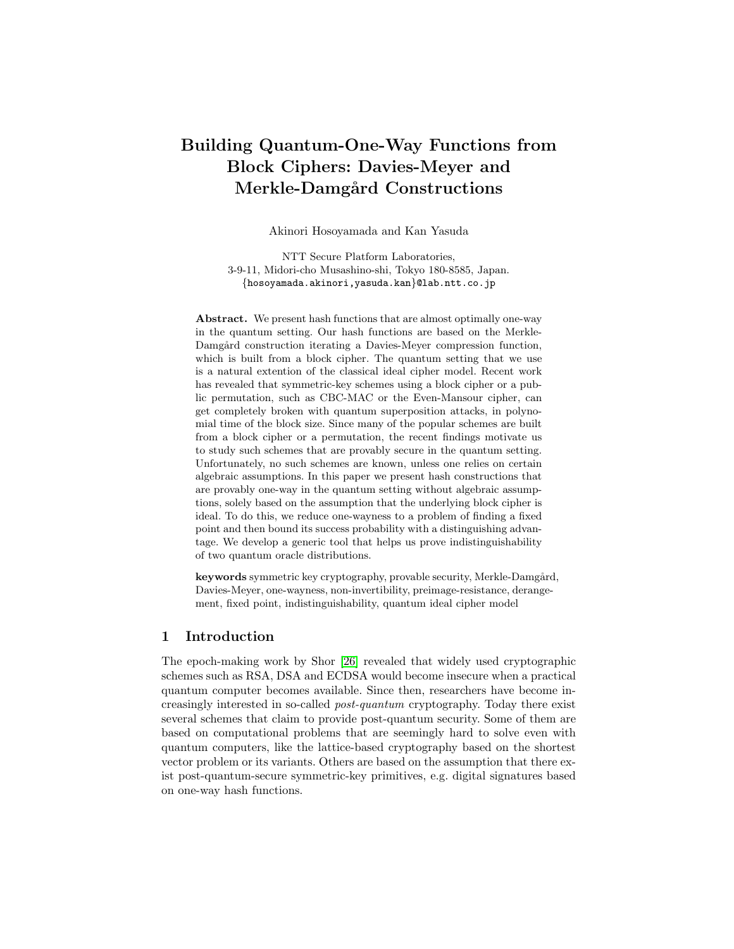# Building Quantum-One-Way Functions from Block Ciphers: Davies-Meyer and Merkle-Damgård Constructions

Akinori Hosoyamada and Kan Yasuda

NTT Secure Platform Laboratories, 3-9-11, Midori-cho Musashino-shi, Tokyo 180-8585, Japan. {hosoyamada.akinori,yasuda.kan}@lab.ntt.co.jp

Abstract. We present hash functions that are almost optimally one-way in the quantum setting. Our hash functions are based on the Merkle-Damgård construction iterating a Davies-Meyer compression function, which is built from a block cipher. The quantum setting that we use is a natural extention of the classical ideal cipher model. Recent work has revealed that symmetric-key schemes using a block cipher or a public permutation, such as CBC-MAC or the Even-Mansour cipher, can get completely broken with quantum superposition attacks, in polynomial time of the block size. Since many of the popular schemes are built from a block cipher or a permutation, the recent findings motivate us to study such schemes that are provably secure in the quantum setting. Unfortunately, no such schemes are known, unless one relies on certain algebraic assumptions. In this paper we present hash constructions that are provably one-way in the quantum setting without algebraic assumptions, solely based on the assumption that the underlying block cipher is ideal. To do this, we reduce one-wayness to a problem of finding a fixed point and then bound its success probability with a distinguishing advantage. We develop a generic tool that helps us prove indistinguishability of two quantum oracle distributions.

keywords symmetric key cryptography, provable security, Merkle-Damgård, Davies-Meyer, one-wayness, non-invertibility, preimage-resistance, derangement, fixed point, indistinguishability, quantum ideal cipher model

# 1 Introduction

The epoch-making work by Shor [\[26\]](#page-29-0) revealed that widely used cryptographic schemes such as RSA, DSA and ECDSA would become insecure when a practical quantum computer becomes available. Since then, researchers have become increasingly interested in so-called post-quantum cryptography. Today there exist several schemes that claim to provide post-quantum security. Some of them are based on computational problems that are seemingly hard to solve even with quantum computers, like the lattice-based cryptography based on the shortest vector problem or its variants. Others are based on the assumption that there exist post-quantum-secure symmetric-key primitives, e.g. digital signatures based on one-way hash functions.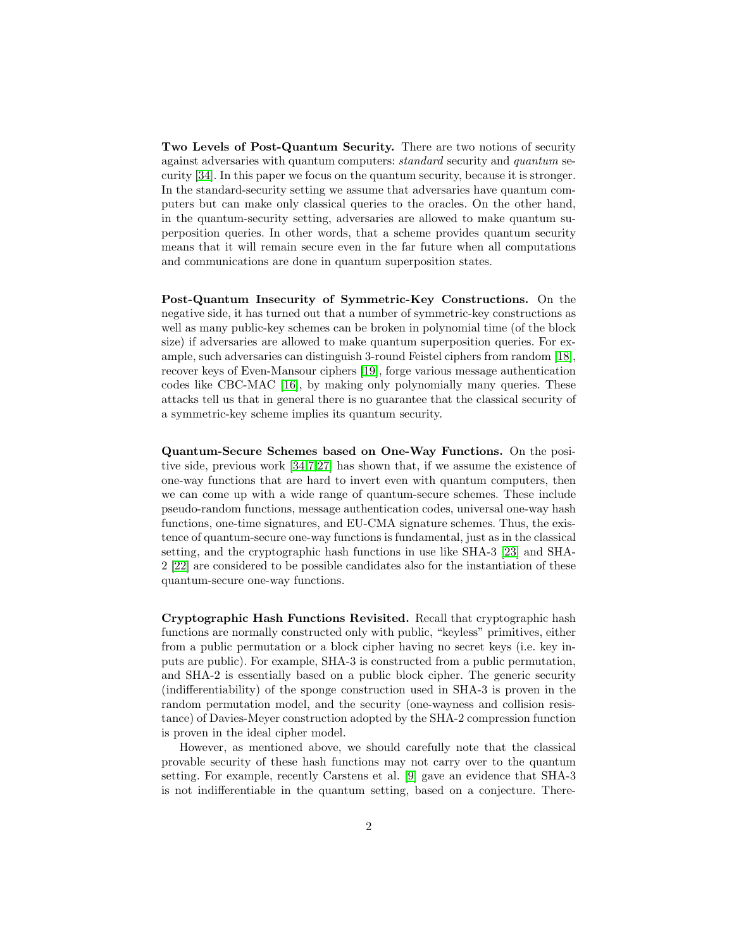Two Levels of Post-Quantum Security. There are two notions of security against adversaries with quantum computers: standard security and quantum security [\[34\]](#page-29-1). In this paper we focus on the quantum security, because it is stronger. In the standard-security setting we assume that adversaries have quantum computers but can make only classical queries to the oracles. On the other hand, in the quantum-security setting, adversaries are allowed to make quantum superposition queries. In other words, that a scheme provides quantum security means that it will remain secure even in the far future when all computations and communications are done in quantum superposition states.

Post-Quantum Insecurity of Symmetric-Key Constructions. On the negative side, it has turned out that a number of symmetric-key constructions as well as many public-key schemes can be broken in polynomial time (of the block size) if adversaries are allowed to make quantum superposition queries. For example, such adversaries can distinguish 3-round Feistel ciphers from random [\[18\]](#page-28-0), recover keys of Even-Mansour ciphers [\[19\]](#page-28-1), forge various message authentication codes like CBC-MAC [\[16\]](#page-28-2), by making only polynomially many queries. These attacks tell us that in general there is no guarantee that the classical security of a symmetric-key scheme implies its quantum security.

Quantum-Secure Schemes based on One-Way Functions. On the positive side, previous work [\[34](#page-29-1)[,7,](#page-28-3)[27\]](#page-29-2) has shown that, if we assume the existence of one-way functions that are hard to invert even with quantum computers, then we can come up with a wide range of quantum-secure schemes. These include pseudo-random functions, message authentication codes, universal one-way hash functions, one-time signatures, and EU-CMA signature schemes. Thus, the existence of quantum-secure one-way functions is fundamental, just as in the classical setting, and the cryptographic hash functions in use like SHA-3 [\[23\]](#page-29-3) and SHA-2 [\[22\]](#page-29-4) are considered to be possible candidates also for the instantiation of these quantum-secure one-way functions.

Cryptographic Hash Functions Revisited. Recall that cryptographic hash functions are normally constructed only with public, "keyless" primitives, either from a public permutation or a block cipher having no secret keys (i.e. key inputs are public). For example, SHA-3 is constructed from a public permutation, and SHA-2 is essentially based on a public block cipher. The generic security (indifferentiability) of the sponge construction used in SHA-3 is proven in the random permutation model, and the security (one-wayness and collision resistance) of Davies-Meyer construction adopted by the SHA-2 compression function is proven in the ideal cipher model.

However, as mentioned above, we should carefully note that the classical provable security of these hash functions may not carry over to the quantum setting. For example, recently Carstens et al. [\[9\]](#page-28-4) gave an evidence that SHA-3 is not indifferentiable in the quantum setting, based on a conjecture. There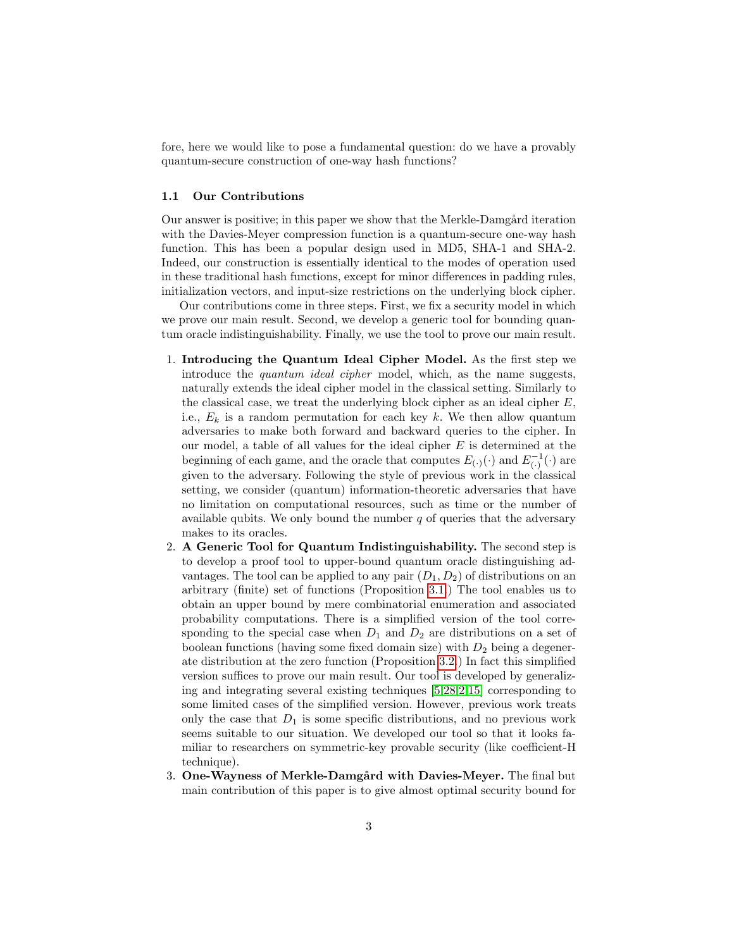fore, here we would like to pose a fundamental question: do we have a provably quantum-secure construction of one-way hash functions?

### 1.1 Our Contributions

Our answer is positive; in this paper we show that the Merkle-Damgård iteration with the Davies-Meyer compression function is a quantum-secure one-way hash function. This has been a popular design used in MD5, SHA-1 and SHA-2. Indeed, our construction is essentially identical to the modes of operation used in these traditional hash functions, except for minor differences in padding rules, initialization vectors, and input-size restrictions on the underlying block cipher.

Our contributions come in three steps. First, we fix a security model in which we prove our main result. Second, we develop a generic tool for bounding quantum oracle indistinguishability. Finally, we use the tool to prove our main result.

- 1. Introducing the Quantum Ideal Cipher Model. As the first step we introduce the *quantum ideal cipher* model, which, as the name suggests, naturally extends the ideal cipher model in the classical setting. Similarly to the classical case, we treat the underlying block cipher as an ideal cipher  $E$ , i.e.,  $E_k$  is a random permutation for each key k. We then allow quantum adversaries to make both forward and backward queries to the cipher. In our model, a table of all values for the ideal cipher  $E$  is determined at the beginning of each game, and the oracle that computes  $E_{(\cdot)}(\cdot)$  and  $E_{(\cdot)}^{-1}(\cdot)$  are given to the adversary. Following the style of previous work in the classical setting, we consider (quantum) information-theoretic adversaries that have no limitation on computational resources, such as time or the number of available qubits. We only bound the number  $q$  of queries that the adversary makes to its oracles.
- 2. A Generic Tool for Quantum Indistinguishability. The second step is to develop a proof tool to upper-bound quantum oracle distinguishing advantages. The tool can be applied to any pair  $(D_1, D_2)$  of distributions on an arbitrary (finite) set of functions (Proposition [3.1.](#page-11-0)) The tool enables us to obtain an upper bound by mere combinatorial enumeration and associated probability computations. There is a simplified version of the tool corresponding to the special case when  $D_1$  and  $D_2$  are distributions on a set of boolean functions (having some fixed domain size) with  $D_2$  being a degenerate distribution at the zero function (Proposition [3.2.](#page-12-0)) In fact this simplified version suffices to prove our main result. Our tool is developed by generalizing and integrating several existing techniques [\[5](#page-28-5)[,28,](#page-29-5)[2,](#page-27-0)[15\]](#page-28-6) corresponding to some limited cases of the simplified version. However, previous work treats only the case that  $D_1$  is some specific distributions, and no previous work seems suitable to our situation. We developed our tool so that it looks familiar to researchers on symmetric-key provable security (like coefficient-H technique).
- 3. One-Wayness of Merkle-Damgård with Davies-Meyer. The final but main contribution of this paper is to give almost optimal security bound for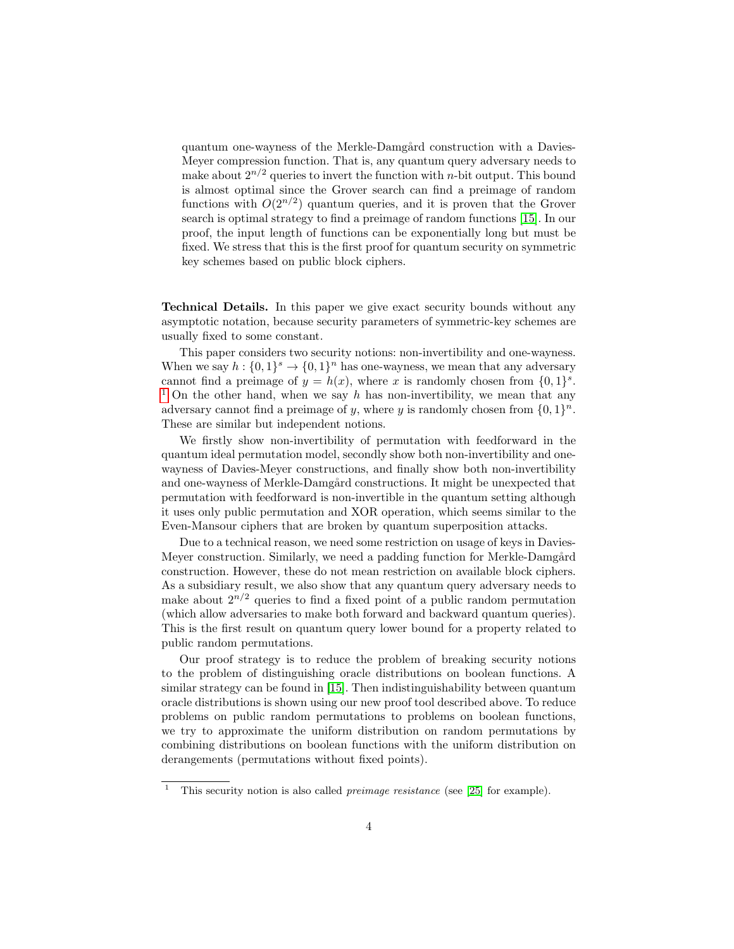quantum one-wayness of the Merkle-Damgård construction with a Davies-Meyer compression function. That is, any quantum query adversary needs to make about  $2^{n/2}$  queries to invert the function with *n*-bit output. This bound is almost optimal since the Grover search can find a preimage of random functions with  $O(2^{n/2})$  quantum queries, and it is proven that the Grover search is optimal strategy to find a preimage of random functions [\[15\]](#page-28-6). In our proof, the input length of functions can be exponentially long but must be fixed. We stress that this is the first proof for quantum security on symmetric key schemes based on public block ciphers.

Technical Details. In this paper we give exact security bounds without any asymptotic notation, because security parameters of symmetric-key schemes are usually fixed to some constant.

This paper considers two security notions: non-invertibility and one-wayness. When we say  $h: \{0,1\}^s \to \{0,1\}^n$  has one-wayness, we mean that any adversary cannot find a preimage of  $y = h(x)$ , where x is randomly chosen from  $\{0, 1\}^s$ . <sup>[1](#page-3-0)</sup> On the other hand, when we say h has non-invertibility, we mean that any adversary cannot find a preimage of y, where y is randomly chosen from  $\{0,1\}^n$ . These are similar but independent notions.

We firstly show non-invertibility of permutation with feedforward in the quantum ideal permutation model, secondly show both non-invertibility and onewayness of Davies-Meyer constructions, and finally show both non-invertibility and one-wayness of Merkle-Damgård constructions. It might be unexpected that permutation with feedforward is non-invertible in the quantum setting although it uses only public permutation and XOR operation, which seems similar to the Even-Mansour ciphers that are broken by quantum superposition attacks.

Due to a technical reason, we need some restriction on usage of keys in Davies-Meyer construction. Similarly, we need a padding function for Merkle-Damgård construction. However, these do not mean restriction on available block ciphers. As a subsidiary result, we also show that any quantum query adversary needs to make about  $2^{n/2}$  queries to find a fixed point of a public random permutation (which allow adversaries to make both forward and backward quantum queries). This is the first result on quantum query lower bound for a property related to public random permutations.

Our proof strategy is to reduce the problem of breaking security notions to the problem of distinguishing oracle distributions on boolean functions. A similar strategy can be found in [\[15\]](#page-28-6). Then indistinguishability between quantum oracle distributions is shown using our new proof tool described above. To reduce problems on public random permutations to problems on boolean functions, we try to approximate the uniform distribution on random permutations by combining distributions on boolean functions with the uniform distribution on derangements (permutations without fixed points).

<span id="page-3-0"></span><sup>1</sup> This security notion is also called preimage resistance (see [\[25\]](#page-29-6) for example).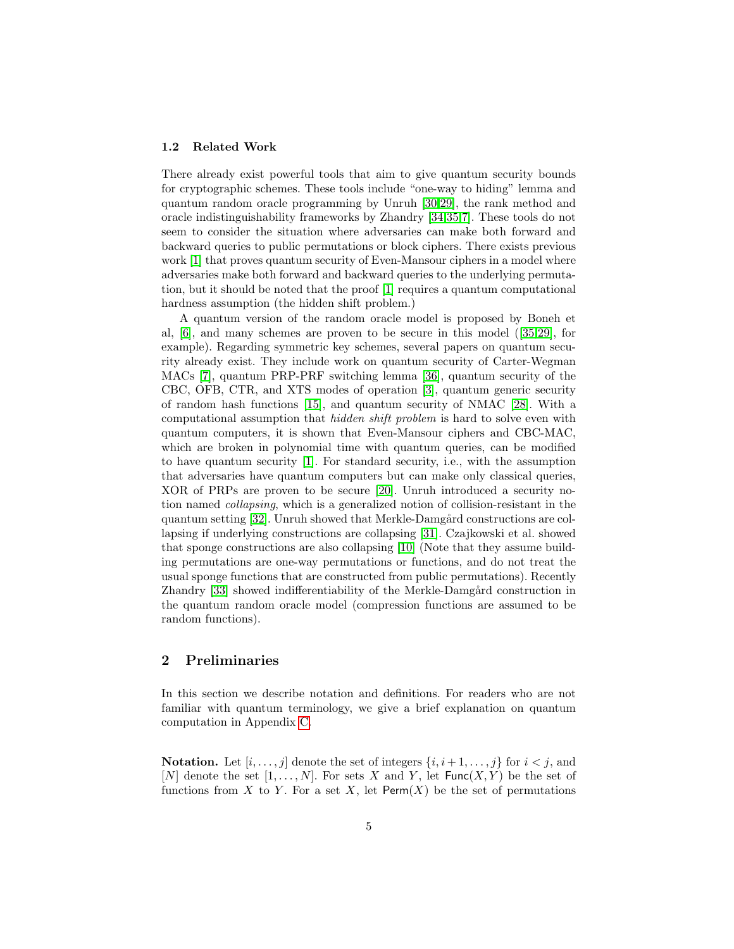### 1.2 Related Work

There already exist powerful tools that aim to give quantum security bounds for cryptographic schemes. These tools include "one-way to hiding" lemma and quantum random oracle programming by Unruh [\[30,](#page-29-7)[29\]](#page-29-8), the rank method and oracle indistinguishability frameworks by Zhandry [\[34,](#page-29-1)[35,](#page-29-9)[7\]](#page-28-3). These tools do not seem to consider the situation where adversaries can make both forward and backward queries to public permutations or block ciphers. There exists previous work [\[1\]](#page-27-1) that proves quantum security of Even-Mansour ciphers in a model where adversaries make both forward and backward queries to the underlying permutation, but it should be noted that the proof [\[1\]](#page-27-1) requires a quantum computational hardness assumption (the hidden shift problem.)

A quantum version of the random oracle model is proposed by Boneh et al, [\[6\]](#page-28-7), and many schemes are proven to be secure in this model ([\[35,](#page-29-9)[29\]](#page-29-8), for example). Regarding symmetric key schemes, several papers on quantum security already exist. They include work on quantum security of Carter-Wegman MACs [\[7\]](#page-28-3), quantum PRP-PRF switching lemma [\[36\]](#page-29-10), quantum security of the CBC, OFB, CTR, and XTS modes of operation [\[3\]](#page-27-2), quantum generic security of random hash functions [\[15\]](#page-28-6), and quantum security of NMAC [\[28\]](#page-29-5). With a computational assumption that hidden shift problem is hard to solve even with quantum computers, it is shown that Even-Mansour ciphers and CBC-MAC, which are broken in polynomial time with quantum queries, can be modified to have quantum security [\[1\]](#page-27-1). For standard security, i.e., with the assumption that adversaries have quantum computers but can make only classical queries, XOR of PRPs are proven to be secure [\[20\]](#page-29-11). Unruh introduced a security notion named collapsing, which is a generalized notion of collision-resistant in the quantum setting [\[32\]](#page-29-12). Unruh showed that Merkle-Damgård constructions are collapsing if underlying constructions are collapsing [\[31\]](#page-29-13). Czajkowski et al. showed that sponge constructions are also collapsing [\[10\]](#page-28-8) (Note that they assume building permutations are one-way permutations or functions, and do not treat the usual sponge functions that are constructed from public permutations). Recently Zhandry [\[33\]](#page-29-14) showed indifferentiability of the Merkle-Damgård construction in the quantum random oracle model (compression functions are assumed to be random functions).

## <span id="page-4-0"></span>2 Preliminaries

In this section we describe notation and definitions. For readers who are not familiar with quantum terminology, we give a brief explanation on quantum computation in Appendix [C.](#page-31-0)

**Notation.** Let  $[i, \ldots, j]$  denote the set of integers  $\{i, i+1, \ldots, j\}$  for  $i < j$ , and [N] denote the set  $[1, \ldots, N]$ . For sets X and Y, let  $\mathsf{Func}(X, Y)$  be the set of functions from X to Y. For a set X, let  $\text{Perm}(X)$  be the set of permutations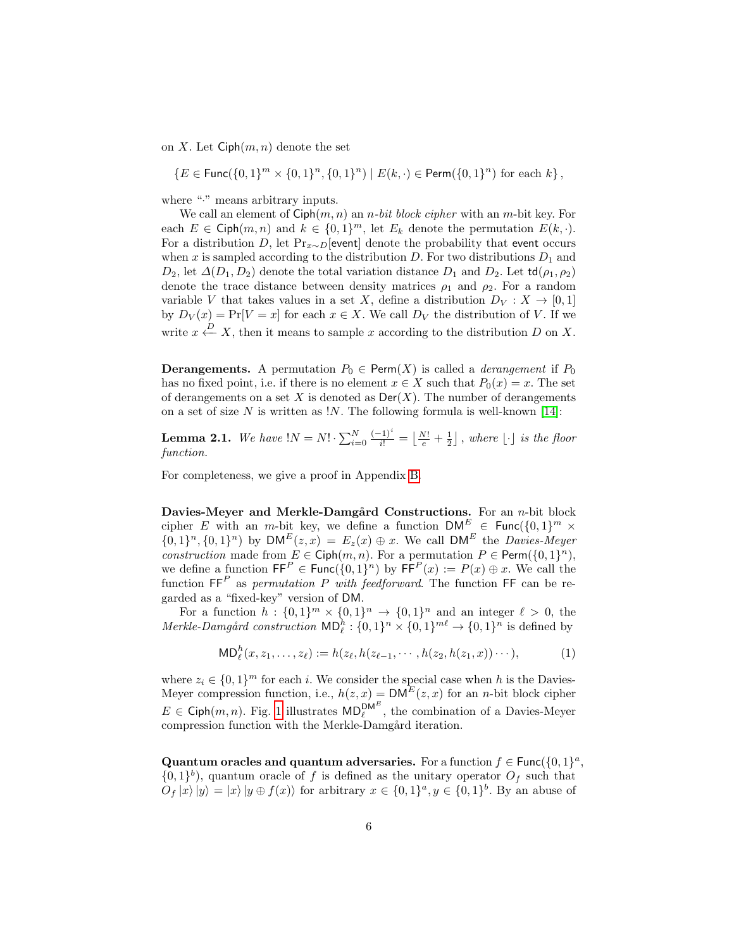on X. Let  $\text{Ciph}(m, n)$  denote the set

 $\{E \in \text{Func}(\{0,1\}^m \times \{0,1\}^n, \{0,1\}^n) \mid E(k, \cdot) \in \text{Perm}(\{0,1\}^n) \text{ for each } k\},\$ 

where "." means arbitrary inputs.

We call an element of  $\text{Ciph}(m, n)$  an *n*-bit block cipher with an *m*-bit key. For each  $E \in \text{Ciph}(m, n)$  and  $k \in \{0, 1\}^m$ , let  $E_k$  denote the permutation  $E(k, \cdot)$ . For a distribution D, let  $Pr_{x \sim D}$ [event] denote the probability that event occurs when x is sampled according to the distribution  $D$ . For two distributions  $D_1$  and  $D_2$ , let  $\Delta(D_1, D_2)$  denote the total variation distance  $D_1$  and  $D_2$ . Let  $\mathsf{td}(\rho_1, \rho_2)$ denote the trace distance between density matrices  $\rho_1$  and  $\rho_2$ . For a random variable V that takes values in a set X, define a distribution  $D_V: X \to [0,1]$ by  $D_V(x) = Pr[V = x]$  for each  $x \in X$ . We call  $D_V$  the distribution of V. If we write  $x \stackrel{D}{\leftarrow} X$ , then it means to sample x according to the distribution D on X.

**Derangements.** A permutation  $P_0 \in \text{Perm}(X)$  is called a *derangement* if  $P_0$ has no fixed point, i.e. if there is no element  $x \in X$  such that  $P_0(x) = x$ . The set of derangements on a set X is denoted as  $\text{Der}(X)$ . The number of derangements on a set of size N is written as  $N$ . The following formula is well-known [\[14\]](#page-28-9):

<span id="page-5-0"></span>**Lemma 2.1.** We have  $!N = N! \cdot \sum_{i=0}^{N} \frac{(-1)^i}{i!} = \left\lfloor \frac{N!}{e} + \frac{1}{2} \right\rfloor$ , where  $\lfloor \cdot \rfloor$  is the floor function.

For completeness, we give a proof in Appendix [B.](#page-30-0)

Davies-Meyer and Merkle-Damgård Constructions. For an  $n$ -bit block cipher E with an m-bit key, we define a function  $\text{\rm DM}^E$   $\in$  Func $(\{0,1\}^m \times$  $\{0,1\}^n$ ,  $\{0,1\}^n$ ) by DM<sup>E</sup> $(z, x) = E_z(x) \oplus x$ . We call DM<sup>E</sup> the *Davies-Meyer* construction made from  $E \in \text{Ciph}(m, n)$ . For a permutation  $P \in \text{Perm}(\{0, 1\}^n)$ , we define a function  $\mathsf{FF}^P \in \mathsf{Func}(\{0,1\}^n)$  by  $\mathsf{FF}^P(x) := P(x) \oplus x$ . We call the function  $\mathsf{FF}^P$  as permutation P with feedforward. The function  $\mathsf{FF}$  can be regarded as a "fixed-key" version of DM.

For a function  $h: \{0,1\}^m \times \{0,1\}^n \rightarrow \{0,1\}^n$  and an integer  $\ell > 0$ , the Merkle-Damgård construction  $MD_{\ell}^{h} : \{0,1\}^{n} \times \{0,1\}^{m_{\ell}} \to \{0,1\}^{n}$  is defined by

$$
MD_{\ell}^{h}(x, z_{1},..., z_{\ell}) := h(z_{\ell}, h(z_{\ell-1},...,h(z_{2}, h(z_{1}, x))\cdots),
$$
\n(1)

where  $z_i \in \{0,1\}^m$  for each i. We consider the special case when h is the Davies-Meyer compression function, i.e.,  $h(z, x) = \text{DM}^E(z, x)$  for an *n*-bit block cipher  $E \in \textsf{Ciph}(m, n)$ . Fig. [1](#page-6-0) illustrates  $\textsf{MD}_{\ell}^{\textsf{DM}^E}$ , the combination of a Davies-Meyer compression function with the Merkle-Damgård iteration.

Quantum oracles and quantum adversaries. For a function  $f \in \text{Func}(\{0, 1\}^a)$ ,  $\{0,1\}$ <sup>b</sup>), quantum oracle of f is defined as the unitary operator  $O_f$  such that  $O_f |x\rangle |y\rangle = |x\rangle |y \oplus f(x)\rangle$  for arbitrary  $x \in \{0,1\}^a, y \in \{0,1\}^b$ . By an abuse of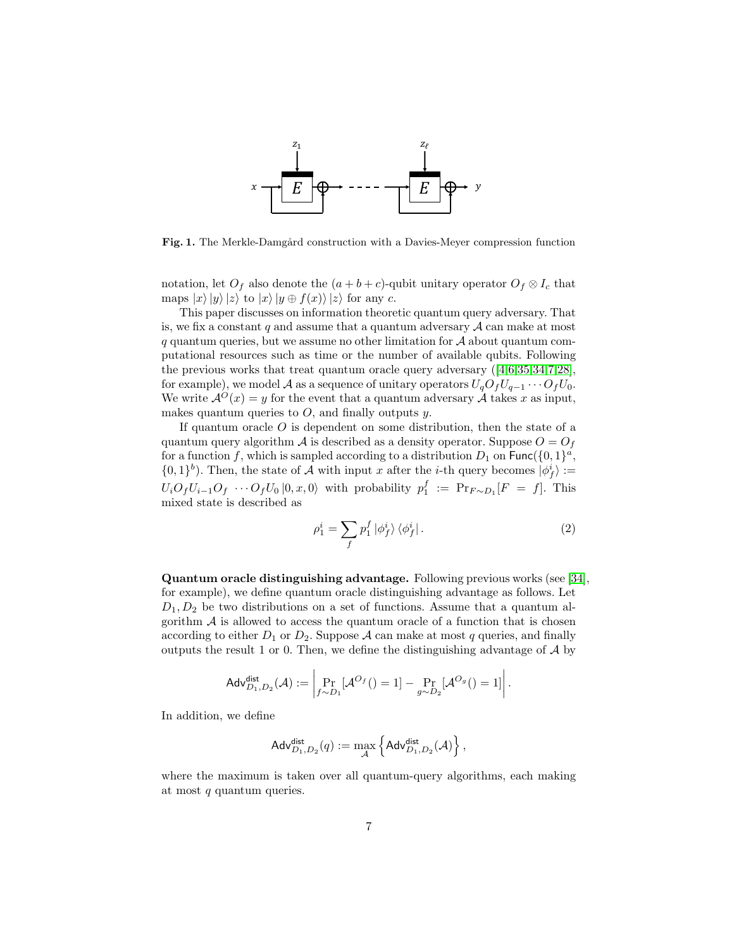<span id="page-6-0"></span>

Fig. 1. The Merkle-Damgård construction with a Davies-Meyer compression function

notation, let  $O_f$  also denote the  $(a + b + c)$ -qubit unitary operator  $O_f \otimes I_c$  that maps  $|x\rangle|y\rangle|z\rangle$  to  $|x\rangle|y \oplus f(x)\rangle|z\rangle$  for any c.

This paper discusses on information theoretic quantum query adversary. That is, we fix a constant  $q$  and assume that a quantum adversary  $A$  can make at most  $q$  quantum queries, but we assume no other limitation for  $A$  about quantum computational resources such as time or the number of available qubits. Following the previous works that treat quantum oracle query adversary ([\[4,](#page-28-10)[6,](#page-28-7)[35,](#page-29-9)[34,](#page-29-1)[7,](#page-28-3)[28\]](#page-29-5), for example), we model A as a sequence of unitary operators  $U_qO_fU_{q-1}\cdots O_fU_0$ . We write  $\mathcal{A}^O(x) = y$  for the event that a quantum adversary A takes x as input, makes quantum queries to  $O$ , and finally outputs  $y$ .

If quantum oracle  $O$  is dependent on some distribution, then the state of a quantum query algorithm A is described as a density operator. Suppose  $O = O<sub>f</sub>$ for a function f, which is sampled according to a distribution  $D_1$  on  $\mathsf{Func}(\{0,1\}^a)$ ,  $\{0,1\}^b$ ). Then, the state of A with input x after the *i*-th query becomes  $|\phi_f^i\rangle$  :=  $U_iO_fU_{i-1}O_f \cdots O_fU_0 |0,x,0\rangle$  with probability  $p_1^f := \Pr_{F \sim D_1}[F = f]$ . This mixed state is described as

<span id="page-6-1"></span>
$$
\rho_1^i = \sum_f p_1^f \left| \phi_f^i \right\rangle \left\langle \phi_f^i \right|.
$$
 (2)

Quantum oracle distinguishing advantage. Following previous works (see [\[34\]](#page-29-1), for example), we define quantum oracle distinguishing advantage as follows. Let  $D_1, D_2$  be two distributions on a set of functions. Assume that a quantum algorithm  $A$  is allowed to access the quantum oracle of a function that is chosen according to either  $D_1$  or  $D_2$ . Suppose A can make at most q queries, and finally outputs the result 1 or 0. Then, we define the distinguishing advantage of  $A$  by

$$
\mathsf{Adv}_{D_1,D_2}^{\mathsf{dist}}(\mathcal{A}) := \left| \Pr_{f \sim D_1}[\mathcal{A}^{O_f}()=1] - \Pr_{g \sim D_2}[\mathcal{A}^{O_g}()=1] \right|.
$$

In addition, we define

$$
\mathsf{Adv}_{D_1,D_2}^{\mathsf{dist}}(q) := \max_{\mathcal{A}} \left\{ \mathsf{Adv}_{D_1,D_2}^{\mathsf{dist}}(\mathcal{A}) \right\},
$$

where the maximum is taken over all quantum-query algorithms, each making at most  $q$  quantum queries.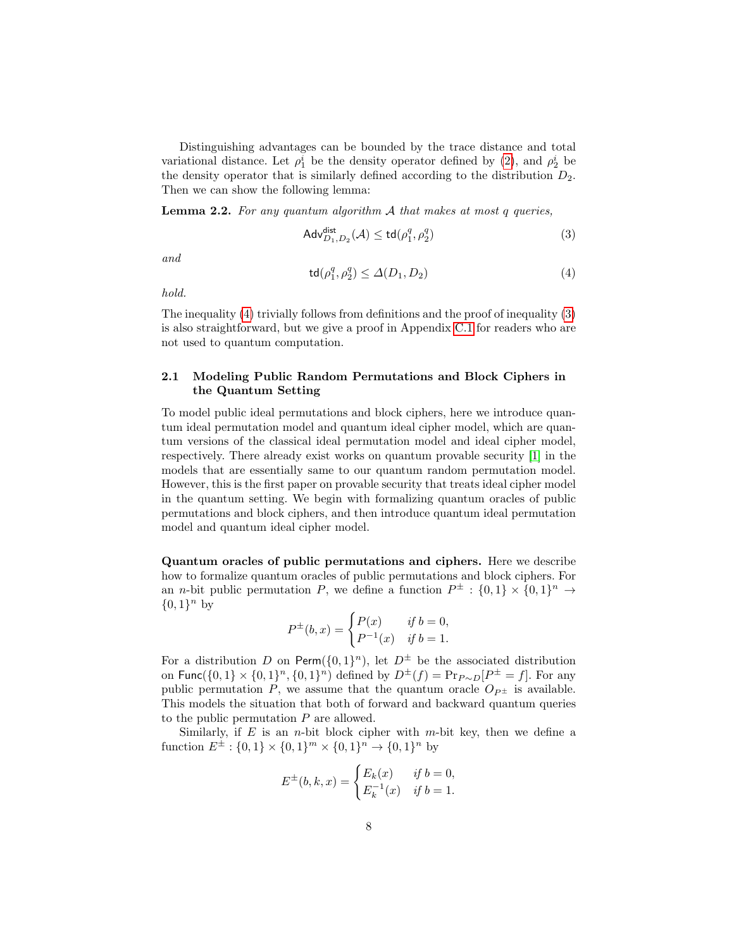Distinguishing advantages can be bounded by the trace distance and total variational distance. Let  $\rho_1^i$  be the density operator defined by [\(2\)](#page-6-1), and  $\rho_2^i$  be the density operator that is similarly defined according to the distribution  $D_2$ . Then we can show the following lemma:

**Lemma 2.2.** For any quantum algorithm  $A$  that makes at most  $q$  queries,

<span id="page-7-2"></span><span id="page-7-1"></span>
$$
\mathsf{Adv}_{D_1,D_2}^{\mathsf{dist}}(\mathcal{A}) \le \mathsf{td}(\rho_1^q, \rho_2^q) \tag{3}
$$

and

<span id="page-7-0"></span>
$$
\operatorname{td}(\rho_1^q, \rho_2^q) \le \Delta(D_1, D_2) \tag{4}
$$

hold.

The inequality [\(4\)](#page-7-0) trivially follows from definitions and the proof of inequality [\(3\)](#page-7-1) is also straightforward, but we give a proof in Appendix [C.1](#page-33-0) for readers who are not used to quantum computation.

## <span id="page-7-3"></span>2.1 Modeling Public Random Permutations and Block Ciphers in the Quantum Setting

To model public ideal permutations and block ciphers, here we introduce quantum ideal permutation model and quantum ideal cipher model, which are quantum versions of the classical ideal permutation model and ideal cipher model, respectively. There already exist works on quantum provable security [\[1\]](#page-27-1) in the models that are essentially same to our quantum random permutation model. However, this is the first paper on provable security that treats ideal cipher model in the quantum setting. We begin with formalizing quantum oracles of public permutations and block ciphers, and then introduce quantum ideal permutation model and quantum ideal cipher model.

Quantum oracles of public permutations and ciphers. Here we describe how to formalize quantum oracles of public permutations and block ciphers. For an *n*-bit public permutation P, we define a function  $P^{\pm}$ :  $\{0,1\} \times \{0,1\}^n \rightarrow$  ${0,1}^n$  by

$$
P^{\pm}(b,x) = \begin{cases} P(x) & \text{if } b = 0, \\ P^{-1}(x) & \text{if } b = 1. \end{cases}
$$

For a distribution D on Perm $(\{0,1\}^n)$ , let  $D^{\pm}$  be the associated distribution on  $\textsf{Func}(\{0,1\} \times \{0,1\}^n, \{0,1\}^n)$  defined by  $D^{\pm}(f) = \Pr_{P \sim D}[P^{\pm} = f]$ . For any public permutation P, we assume that the quantum oracle  $O_{P^{\pm}}$  is available. This models the situation that both of forward and backward quantum queries to the public permutation P are allowed.

Similarly, if  $E$  is an *n*-bit block cipher with *m*-bit key, then we define a function  $E^{\pm} : \{0,1\} \times \{0,1\}^m \times \{0,1\}^n \to \{0,1\}^n$  by

$$
E^{\pm}(b,k,x) = \begin{cases} E_k(x) & \text{if } b = 0, \\ E_k^{-1}(x) & \text{if } b = 1. \end{cases}
$$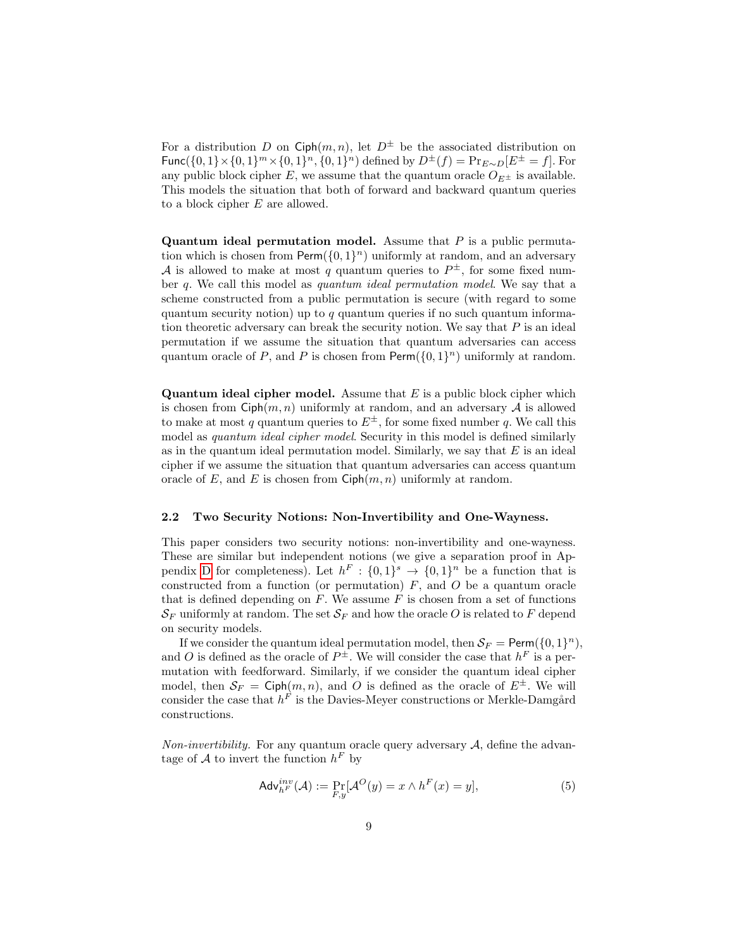For a distribution D on Ciph $(m, n)$ , let  $D^{\pm}$  be the associated distribution on Func({0, 1} × {0, 1}<sup>m</sup> × {0, 1}<sup>n</sup>, {0, 1}<sup>n</sup>) defined by  $D^{\pm}(f) = Pr_{E \sim D}[E^{\pm} = f]$ . For any public block cipher E, we assume that the quantum oracle  $O_{E^{\pm}}$  is available. This models the situation that both of forward and backward quantum queries to a block cipher E are allowed.

**Quantum ideal permutation model.** Assume that  $P$  is a public permutation which is chosen from  $\text{Perm}(\{0,1\}^n)$  uniformly at random, and an adversary A is allowed to make at most q quantum queries to  $P^{\pm}$ , for some fixed number q. We call this model as quantum ideal permutation model. We say that a scheme constructed from a public permutation is secure (with regard to some quantum security notion) up to q quantum queries if no such quantum information theoretic adversary can break the security notion. We say that  $P$  is an ideal permutation if we assume the situation that quantum adversaries can access quantum oracle of P, and P is chosen from  $\text{Perm}(\{0,1\}^n)$  uniformly at random.

**Quantum ideal cipher model.** Assume that  $E$  is a public block cipher which is chosen from Ciph $(m, n)$  uniformly at random, and an adversary A is allowed to make at most q quantum queries to  $E^{\pm}$ , for some fixed number q. We call this model as *quantum ideal cipher model*. Security in this model is defined similarly as in the quantum ideal permutation model. Similarly, we say that  $E$  is an ideal cipher if we assume the situation that quantum adversaries can access quantum oracle of E, and E is chosen from  $\text{Ciph}(m, n)$  uniformly at random.

### 2.2 Two Security Notions: Non-Invertibility and One-Wayness.

This paper considers two security notions: non-invertibility and one-wayness. These are similar but independent notions (we give a separation proof in Ap-pendix [D](#page-36-0) for completeness). Let  $h^F: \{0,1\}^s \to \{0,1\}^n$  be a function that is constructed from a function (or permutation)  $F$ , and  $O$  be a quantum oracle that is defined depending on  $F$ . We assume  $F$  is chosen from a set of functions  $\mathcal{S}_F$  uniformly at random. The set  $\mathcal{S}_F$  and how the oracle O is related to F depend on security models.

If we consider the quantum ideal permutation model, then  $S_F = \text{Perm}(\{0, 1\}^n)$ , and O is defined as the oracle of  $P^{\pm}$ . We will consider the case that  $h^F$  is a permutation with feedforward. Similarly, if we consider the quantum ideal cipher model, then  $S_F = \text{Ciph}(m, n)$ , and O is defined as the oracle of  $E^{\pm}$ . We will consider the case that  $h^F$  is the Davies-Meyer constructions or Merkle-Damgård constructions.

Non-invertibility. For any quantum oracle query adversary  $A$ , define the advantage of A to invert the function  $h^F$  by

$$
\mathsf{Adv}_{h^F}^{inv}(\mathcal{A}) := \Pr_{F,y}[\mathcal{A}^O(y) = x \land h^F(x) = y],\tag{5}
$$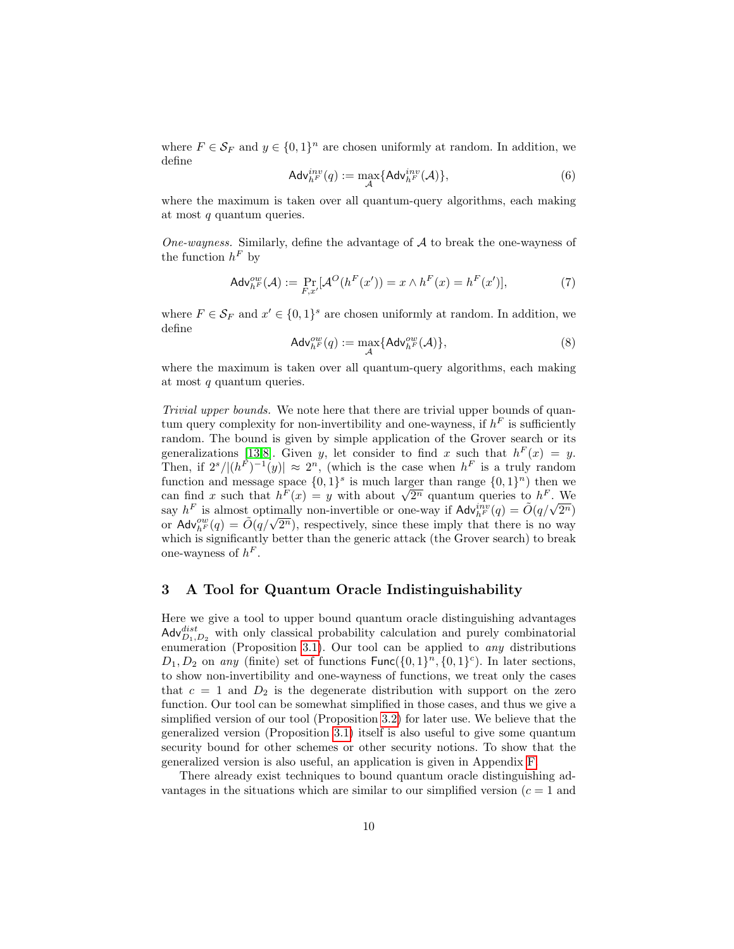where  $F \in \mathcal{S}_F$  and  $y \in \{0,1\}^n$  are chosen uniformly at random. In addition, we define

$$
\mathsf{Adv}_{h^F}^{inv}(q) := \max_{\mathcal{A}} \{ \mathsf{Adv}_{h^F}^{inv}(\mathcal{A}) \},\tag{6}
$$

where the maximum is taken over all quantum-query algorithms, each making at most q quantum queries.

One-wayness. Similarly, define the advantage of  $A$  to break the one-wayness of the function  $h^F$  by

$$
\mathsf{Adv}_{h^F}^{\mathsf{ow}}(\mathcal{A}) := \Pr_{F, x'}[\mathcal{A}^O(h^F(x')) = x \land h^F(x) = h^F(x')],\tag{7}
$$

where  $F \in \mathcal{S}_F$  and  $x' \in \{0,1\}^s$  are chosen uniformly at random. In addition, we define

$$
\mathsf{Adv}_{h^F}^{\mathsf{ow}}(q) := \max_{\mathcal{A}} \{ \mathsf{Adv}_{h^F}^{\mathsf{ow}}(\mathcal{A}) \},\tag{8}
$$

where the maximum is taken over all quantum-query algorithms, each making at most q quantum queries.

Trivial upper bounds. We note here that there are trivial upper bounds of quantum query complexity for non-invertibility and one-wayness, if  $h^F$  is sufficiently random. The bound is given by simple application of the Grover search or its generalizations [\[13](#page-28-11)[,8\]](#page-28-12). Given y, let consider to find x such that  $h^F(x) = y$ . Then, if  $2^{s}/|(h^{F})^{-1}(y)| \approx 2^{n}$ , (which is the case when  $h^{F}$  is a truly random function and message space  $\{0,1\}^s$  is much larger than range  $\{0,1\}^n$ ) then we function and message space  $\{0,1\}^{\infty}$  is much larger than range  $\{0,1\}^{\infty}$  (i.e.  $\{0,1\}^{\infty}$ ) then we can find x such that  $h^F(x) = y$  with about  $\sqrt{2^n}$  quantum queries to  $h^F$ . We can find x such that  $h^2(x) = y$  with about  $\sqrt{2^n}$  quantum queries to  $h^2$ . We say  $h^F$  is almost optimally non-invertible or one-way if  $\text{Adv}_{h^F}^{inv}(q) = \tilde{O}(q/\sqrt{2^n})$ say *n* is almost optimally non-invertible or one-way if  $\text{Adv}_{h^F}(q) = O(q/\sqrt{2^n})$ <br>or  $\text{Adv}_{h^F}^{ov}(q) = \tilde{O}(q/\sqrt{2^n})$ , respectively, since these imply that there is no way which is significantly better than the generic attack (the Grover search) to break one-wayness of  $h^F$ .

# <span id="page-9-0"></span>3 A Tool for Quantum Oracle Indistinguishability

Here we give a tool to upper bound quantum oracle distinguishing advantages  $\mathsf{Adv}_{D_1,D_2}^{dist}$  with only classical probability calculation and purely combinatorial enumeration (Proposition [3.1\)](#page-11-0). Our tool can be applied to any distributions  $D_1, D_2$  on any (finite) set of functions  $\text{Func}(\{0,1\}^n, \{0,1\}^c)$ . In later sections, to show non-invertibility and one-wayness of functions, we treat only the cases that  $c = 1$  and  $D_2$  is the degenerate distribution with support on the zero function. Our tool can be somewhat simplified in those cases, and thus we give a simplified version of our tool (Proposition [3.2\)](#page-12-0) for later use. We believe that the generalized version (Proposition [3.1\)](#page-11-0) itself is also useful to give some quantum security bound for other schemes or other security notions. To show that the generalized version is also useful, an application is given in Appendix [F.](#page-41-0)

There already exist techniques to bound quantum oracle distinguishing advantages in the situations which are similar to our simplified version  $(c = 1$  and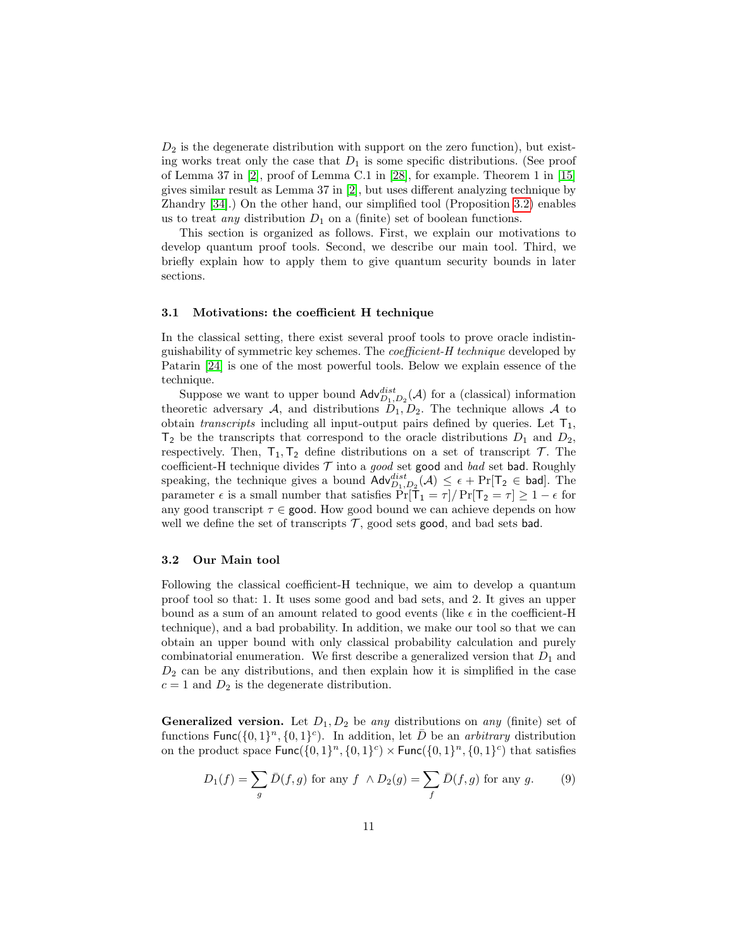$D_2$  is the degenerate distribution with support on the zero function), but existing works treat only the case that  $D_1$  is some specific distributions. (See proof of Lemma 37 in [\[2\]](#page-27-0), proof of Lemma C.1 in [\[28\]](#page-29-5), for example. Theorem 1 in [\[15\]](#page-28-6) gives similar result as Lemma 37 in [\[2\]](#page-27-0), but uses different analyzing technique by Zhandry [\[34\]](#page-29-1).) On the other hand, our simplified tool (Proposition [3.2\)](#page-12-0) enables us to treat *any* distribution  $D_1$  on a (finite) set of boolean functions.

This section is organized as follows. First, we explain our motivations to develop quantum proof tools. Second, we describe our main tool. Third, we briefly explain how to apply them to give quantum security bounds in later sections.

### 3.1 Motivations: the coefficient H technique

In the classical setting, there exist several proof tools to prove oracle indistinguishability of symmetric key schemes. The coefficient-H technique developed by Patarin [\[24\]](#page-29-15) is one of the most powerful tools. Below we explain essence of the technique.

Suppose we want to upper bound  $\mathsf{Adv}_{D_1,D_2}^{dist}(\mathcal{A})$  for a (classical) information theoretic adversary A, and distributions  $D_1, D_2$ . The technique allows A to obtain *transcripts* including all input-output pairs defined by queries. Let  $T_1$ ,  $T_2$  be the transcripts that correspond to the oracle distributions  $D_1$  and  $D_2$ , respectively. Then,  $T_1, T_2$  define distributions on a set of transcript  $\mathcal{T}$ . The coefficient-H technique divides  $\mathcal T$  into a good set good and bad set bad. Roughly speaking, the technique gives a bound  $\text{Adv}_{D_1,D_2}^{dist}(\mathcal{A}) \leq \epsilon + \Pr[\mathsf{T}_2 \in \text{bad}].$  The parameter  $\epsilon$  is a small number that satisfies  $\Pr[\overline{T}_1 = \tau] / \Pr[T_2 = \tau] \ge 1 - \epsilon$  for any good transcript  $\tau \in \text{good}$ . How good bound we can achieve depends on how well we define the set of transcripts  $\mathcal{T}$ , good sets good, and bad sets bad.

### 3.2 Our Main tool

Following the classical coefficient-H technique, we aim to develop a quantum proof tool so that: 1. It uses some good and bad sets, and 2. It gives an upper bound as a sum of an amount related to good events (like  $\epsilon$  in the coefficient-H technique), and a bad probability. In addition, we make our tool so that we can obtain an upper bound with only classical probability calculation and purely combinatorial enumeration. We first describe a generalized version that  $D_1$  and  $D_2$  can be any distributions, and then explain how it is simplified in the case  $c = 1$  and  $D_2$  is the degenerate distribution.

**Generalized version.** Let  $D_1, D_2$  be any distributions on any (finite) set of functions  $\text{Func}(\{0,1\}^n, \{0,1\}^c)$ . In addition, let  $\overline{D}$  be an *arbitrary* distribution on the product space  $\text{Func}(\{0,1\}^n, \{0,1\}^c) \times \text{Func}(\{0,1\}^n, \{0,1\}^c)$  that satisfies

<span id="page-10-0"></span>
$$
D_1(f) = \sum_g \bar{D}(f,g) \text{ for any } f \wedge D_2(g) = \sum_f \bar{D}(f,g) \text{ for any } g.
$$
 (9)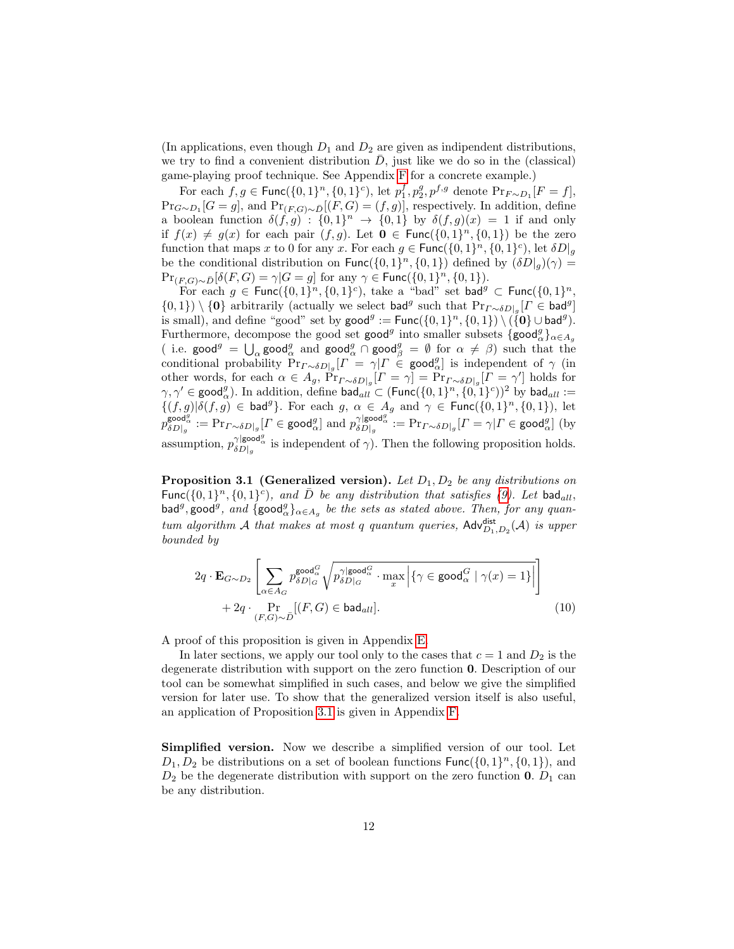(In applications, even though  $D_1$  and  $D_2$  are given as indipendent distributions, we try to find a convenient distribution  $D$ , just like we do so in the (classical) game-playing proof technique. See Appendix [F](#page-41-0) for a concrete example.)

For each  $f, g \in \textsf{Func}(\{0, 1\}^n, \{0, 1\}^c)$ , let  $p_1^f, p_2^g, p^{f, g}$  denote  $\Pr_{F \sim D_1}[F = f]$ ,  $\Pr_{G \sim D_1}[G = g]$ , and  $\Pr_{(F,G) \sim \bar{D}}[(F,G) = (f,g)]$ , respectively. In addition, define a boolean function  $\delta(\hat{f}, \hat{g})$ :  $\{0, 1\}^n \to \{0, 1\}$  by  $\delta(f, g)(x) = 1$  if and only if  $f(x) \neq g(x)$  for each pair  $(f, g)$ . Let  $\mathbf{0} \in \text{Func}(\{0, 1\}^n, \{0, 1\})$  be the zero function that maps x to 0 for any x. For each  $g \in \text{Func}(\{0,1\}^n, \{0,1\}^c)$ , let  $\delta D|_g$ be the conditional distribution on  $\text{Func}(\{0,1\}^n, \{0,1\})$  defined by  $(\delta D|_g)(\gamma) =$  $\Pr_{(F,G)\sim \bar{D}}[\delta(F,G)=\gamma|G=g]$  for any  $\gamma \in \textsf{Func}(\{0,1\}^n,\{0,1\}).$ 

For each  $g \in \text{Func}(\{0,1\}^n, \{0,1\}^c)$ , take a "bad" set bad<sup>g</sup>  $\subset \text{Func}(\{0,1\}^n,$  $\{0,1\}\$  \  $\{0\}$  arbitrarily (actually we select bad<sup>g</sup> such that  $Pr_{\Gamma\sim\delta D|_g}[ \Gamma \in \text{bad}^g]$ is small), and define "good" set by  $\mathsf{good}^g := \mathsf{Func}(\{0,1\}^n, \{0,1\}) \setminus (\{0\} \cup \mathsf{bad}^g)$ . Furthermore, decompose the good set good<sup>g</sup> into smaller subsets  $\{ \text{good}_{\alpha}^g \}_{\alpha \in A_g}$ (i.e. good<sup>g</sup> =  $\bigcup_{\alpha}$  good<sub> $\alpha$ </sub> and good<sub> $\alpha$ </sub>  $\cap$  good<sub> $\beta$ </sub> =  $\emptyset$  for  $\alpha \neq \beta$ ) such that the conditional probability  $\Pr_{T \sim \delta D|g} [T] = \gamma |T| \in \mathsf{good}_{\alpha}^g$  is independent of  $\gamma$  (in other words, for each  $\alpha \in A_g$ ,  $\Pr_{\Gamma \sim \delta D|_g}[ \Gamma = \gamma ] = \Pr_{\Gamma \sim \delta D|_g}[ \Gamma = \gamma' ]$  holds for  $\gamma, \gamma' \in \mathsf{good}_{\alpha}^g$ ). In addition, define  $\mathsf{bad}_{all} \subset (\mathsf{Func}(\{0,1\}^n, \{0,1\}^c))^2$  by  $\mathsf{bad}_{all} :=$  $\{(f,g)|\delta(f,g)\in \mathsf{bad}^g\}$ . For each  $g, \alpha \in A_g$  and  $\gamma \in \mathsf{Func}(\{0,1\}^n, \{0,1\}),$  let  $p_{\delta D|_g}^{\mathsf{good}^g_\alpha} := \Pr_{\Gamma \sim \delta D|_g} [ \Gamma \in \mathsf{good}^g_\alpha] \text{ and } p_{\delta D|_g}^{\gamma|\mathsf{good}^g_\alpha} := \Pr_{\Gamma \sim \delta D|_g} [ \Gamma = \gamma | \Gamma \in \mathsf{good}^g_\alpha] \text{ (by }$ assumption,  $p_{\delta D|g}^{\gamma|\text{good}^g_{\alpha}}$  is independent of  $\gamma$ ). Then the following proposition holds.

<span id="page-11-0"></span>**Proposition 3.1 (Generalized version).** Let  $D_1, D_2$  be any distributions on Func $(\{0,1\}^n, \{0,1\}^c)$ , and  $\overline{D}$  be any distribution that satisfies [\(9\)](#page-10-0). Let bad<sub>all</sub>, bad<sup>g</sup>, good<sup>g</sup>, and {good<sub>a}</sub> $_{\alpha \in A_g}$  be the sets as stated above. Then, for any quantum algorithm A that makes at most q quantum queries,  $\mathsf{Adv}_{D_1,D_2}^{\mathsf{dist}}(\mathcal{A})$  is upper bounded by

$$
2q \cdot \mathbf{E}_{G \sim D_2} \left[ \sum_{\alpha \in A_G} p_{\delta D|G}^{\text{good}_\alpha^G} \sqrt{p_{\delta D|G}^{\gamma|\text{good}_\alpha^G} \cdot \max_x \left| \{ \gamma \in \text{good}_\alpha^G \mid \gamma(x) = 1 \} \right|} \right]
$$
  
+ 
$$
2q \cdot \Pr_{(F,G) \sim \bar{D}} [(F,G) \in \text{bad}_{all}].
$$
 (10)

A proof of this proposition is given in Appendix [E.](#page-36-1)

In later sections, we apply our tool only to the cases that  $c = 1$  and  $D_2$  is the degenerate distribution with support on the zero function 0. Description of our tool can be somewhat simplified in such cases, and below we give the simplified version for later use. To show that the generalized version itself is also useful, an application of Proposition [3.1](#page-11-0) is given in Appendix [F.](#page-41-0)

Simplified version. Now we describe a simplified version of our tool. Let  $D_1, D_2$  be distributions on a set of boolean functions  $\textsf{Func}(\{0,1\}^n, \{0,1\}),$  and  $D_2$  be the degenerate distribution with support on the zero function 0.  $D_1$  can be any distribution.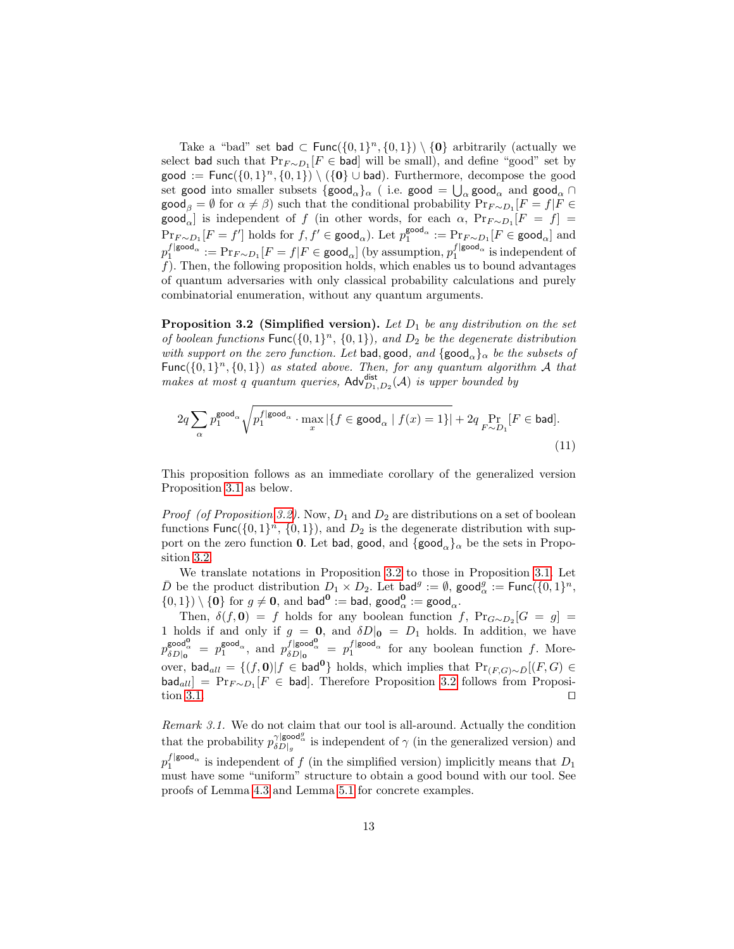Take a "bad" set bad  $\subset$  Func $(\{0,1\}^n, \{0,1\}) \setminus \{0\}$  arbitrarily (actually we select bad such that  $Pr_{F \sim D_1}[F \in \text{bad}]$  will be small), and define "good" set by good :=  $Func({0,1}<sup>n</sup>, {0,1}) \setminus ({0} \cup bad)$ . Furthermore, decompose the good set good into smaller subsets  $\{\mathsf{good}_\alpha\}_\alpha$  ( i.e. good  $=\bigcup_\alpha \mathsf{good}_\alpha$  and  $\mathsf{good}_\alpha \cap$  $\mathsf{good}_{\beta} = \emptyset$  for  $\alpha \neq \beta$ ) such that the conditional probability  $\Pr_{F \sim D_1}[F = f | F \in$  $\mathsf{good}_{\alpha}$ ] is independent of f (in other words, for each  $\alpha$ ,  $\Pr_{F \sim D_1}[F = f] =$  $\Pr_{F \sim D_1}[F = f']$  holds for  $f, f' \in \mathsf{good}_\alpha$ ). Let  $p_1^{\mathsf{good}_\alpha} := \Pr_{F \sim D_1}[F \in \mathsf{good}_\alpha]$  and  $p_1^{f|\mathsf{good}_\alpha} := \Pr_{F \sim D_1}[F = f | F \in \mathsf{good}_\alpha]$  (by assumption,  $p_1^{f|\mathsf{good}_\alpha}$  is independent of f). Then, the following proposition holds, which enables us to bound advantages of quantum adversaries with only classical probability calculations and purely combinatorial enumeration, without any quantum arguments.

<span id="page-12-0"></span>**Proposition 3.2 (Simplified version).** Let  $D_1$  be any distribution on the set of boolean functions  $\text{Func}(\{0,1\}^n, \{0,1\})$ , and  $D_2$  be the degenerate distribution with support on the zero function. Let bad, good, and  $\{good_{\alpha}\}_\alpha$  be the subsets of Func $(\{0,1\}^n, \{0,1\})$  as stated above. Then, for any quantum algorithm A that makes at most q quantum queries,  $\mathsf{Adv}_{D_1,D_2}^{\mathsf{dist}}(\mathcal{A})$  is upper bounded by

$$
2q \sum_{\alpha} p_1^{\text{good}_\alpha} \sqrt{p_1^{f|\text{good}_\alpha} \cdot \max_x |\{f \in \text{good}_\alpha \mid f(x) = 1\}|} + 2q \Pr_{F \sim D_1}[F \in \text{bad}].
$$
\n(11)

This proposition follows as an immediate corollary of the generalized version Proposition [3.1](#page-11-0) as below.

*Proof (of Proposition [3.2\)](#page-12-0).* Now,  $D_1$  and  $D_2$  are distributions on a set of boolean functions  $\textsf{Func}(\{0,1\}^n, \{0,1\}),$  and  $D_2$  is the degenerate distribution with support on the zero function 0. Let bad, good, and  $\{\text{good}_{\alpha}\}_\alpha$  be the sets in Proposition [3.2.](#page-12-0)

We translate notations in Proposition [3.2](#page-12-0) to those in Proposition [3.1.](#page-11-0) Let  $\overline{D}$  be the product distribution  $D_1 \times D_2$ . Let bad<sup>g</sup> :=  $\emptyset$ , good $_{\alpha}^g$  := Func({0,1}<sup>n</sup>,  $\{(0,1\})\setminus\{\mathbf{0}\}$  for  $g\neq \mathbf{0}$ , and bad $\mathbf{0}^{\mathbf{0}}:=\mathsf{bad}, \mathsf{good}_{\alpha}^{\mathbf{0}}:=\mathsf{good}_{\alpha}$ .

Then,  $\delta(f, 0) = f$  holds for any boolean function f, Pr<sub>G∼D2</sub>[ $G = g$ ] = 1 holds if and only if  $g = 0$ , and  $\delta D|_{0} = D_1$  holds. In addition, we have  $p_{\delta D|\alpha}^{\text{good}\alpha} = p_1^{\text{good}\alpha}$ , and  $p_{\delta D|\alpha}^{\mathsf{f}| \text{good}\alpha} = p_1^{\mathsf{f}| \text{good}\alpha}$  for any boolean function f. Moreover, bad<sub>all</sub> = { $(f, 0) | f \in$  bad<sup>0</sup>} holds, which implies that  $Pr_{(F, G) \sim \bar{D}}[(F, G) \in$  $\textsf{bad}_{all}$ ] =  $\Pr_{F \sim D_1}[F \in \textsf{bad}]$ . Therefore Proposition [3.2](#page-12-0) follows from Proposi-tion [3.1.](#page-11-0)  $\Box$ 

Remark 3.1. We do not claim that our tool is all-around. Actually the condition that the probability  $p_{\delta D|g}^{\gamma|\text{good}^g}$  is independent of  $\gamma$  (in the generalized version) and  $p_1^{f | \text{good}_{\alpha}}$  is independent of f (in the simplified version) implicitly means that  $D_1$ must have some "uniform" structure to obtain a good bound with our tool. See proofs of Lemma [4.3](#page-19-0) and Lemma [5.1](#page-22-0) for concrete examples.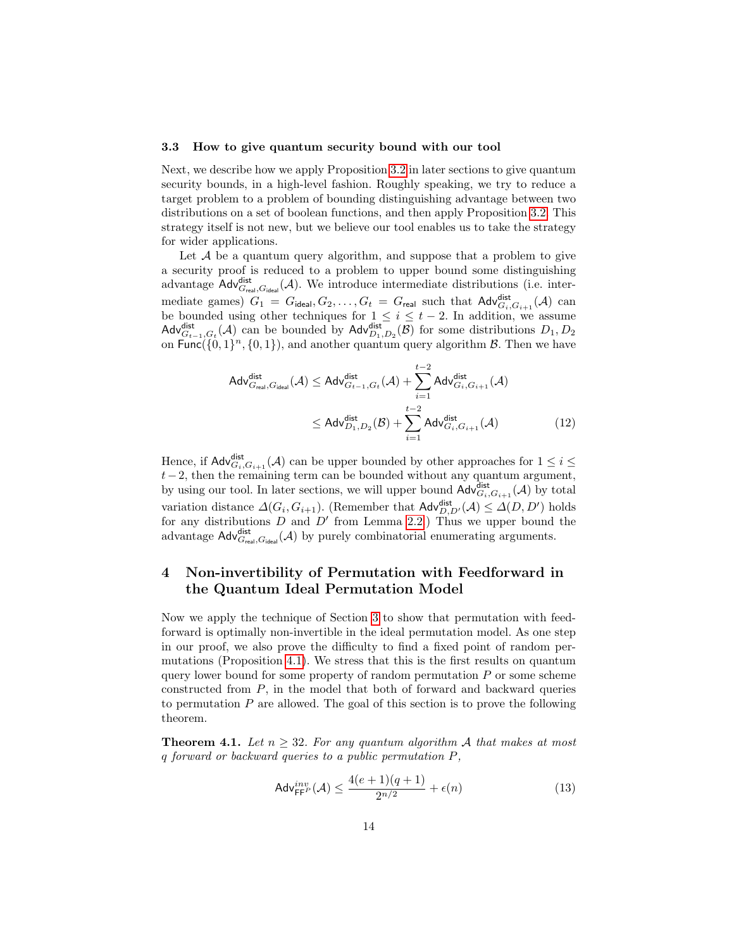### 3.3 How to give quantum security bound with our tool

Next, we describe how we apply Proposition [3.2](#page-12-0) in later sections to give quantum security bounds, in a high-level fashion. Roughly speaking, we try to reduce a target problem to a problem of bounding distinguishing advantage between two distributions on a set of boolean functions, and then apply Proposition [3.2.](#page-12-0) This strategy itself is not new, but we believe our tool enables us to take the strategy for wider applications.

Let  $A$  be a quantum query algorithm, and suppose that a problem to give a security proof is reduced to a problem to upper bound some distinguishing advantage  $\mathsf{Adv}_{G_{\mathsf{real}}^{\mathsf{dist}}}(A)$ . We introduce intermediate distributions (i.e. intermediate games)  $G_1 = G_{\text{ideal}}, G_2, \ldots, G_t = G_{\text{real}}$  such that  $\text{Adv}_{G_i, G_{i+1}}^{dist}(\mathcal{A})$  can be bounded using other techniques for  $1 \leq i \leq t-2$ . In addition, we assume Adv<sup>dist</sup><sub> $G_{t-1},G_t(\mathcal{A})$  can be bounded by  $\text{Adv}_{D_1,D_2}^{\text{dist}}(\mathcal{B})$  for some distributions  $D_1, D_2$ </sub> on  $\text{Func}(\{0,1\}^n, \{0,1\})$ , and another quantum query algorithm B. Then we have

$$
\mathsf{Adv}_{G_{\mathsf{real}}, G_{\mathsf{ideal}}}^{\mathsf{dist}}(\mathcal{A}) \leq \mathsf{Adv}_{G_{t-1}, G_t}^{\mathsf{dist}}(\mathcal{A}) + \sum_{i=1}^{t-2} \mathsf{Adv}_{G_i, G_{i+1}}^{\mathsf{dist}}(\mathcal{A})
$$

$$
\leq \mathsf{Adv}_{D_1, D_2}^{\mathsf{dist}}(\mathcal{B}) + \sum_{i=1}^{t-2} \mathsf{Adv}_{G_i, G_{i+1}}^{\mathsf{dist}}(\mathcal{A}) \tag{12}
$$

Hence, if  $\mathsf{Adv}_{G_i, G_{i+1}}^{\mathsf{dist}}(\mathcal{A})$  can be upper bounded by other approaches for  $1 \leq i \leq$  $t-2$ , then the remaining term can be bounded without any quantum argument, by using our tool. In later sections, we will upper bound  $\mathsf{Adv}_{G_i, G_{i+1}}^{\mathsf{dist}}(\mathcal{A})$  by total variation distance  $\Delta(G_i, G_{i+1})$ . (Remember that  $\mathsf{Adv}_{D, D'}^{\mathsf{dist}}(\mathcal{A}) \leq \Delta(D, D')$  holds for any distributions  $D$  and  $D'$  from Lemma [2.2.](#page-7-2)) Thus we upper bound the advantage  $\mathsf{Adv}_{G_{\mathsf{real}}^{\mathsf{dist}}}(A)$  by purely combinatorial enumerating arguments.

# <span id="page-13-1"></span>4 Non-invertibility of Permutation with Feedforward in the Quantum Ideal Permutation Model

Now we apply the technique of Section [3](#page-9-0) to show that permutation with feedforward is optimally non-invertible in the ideal permutation model. As one step in our proof, we also prove the difficulty to find a fixed point of random permutations (Proposition [4.1\)](#page-14-0). We stress that this is the first results on quantum query lower bound for some property of random permutation  $P$  or some scheme constructed from P, in the model that both of forward and backward queries to permutation  $P$  are allowed. The goal of this section is to prove the following theorem.

<span id="page-13-0"></span>**Theorem 4.1.** Let  $n \geq 32$ . For any quantum algorithm A that makes at most q forward or backward queries to a public permutation P,

$$
\mathsf{Adv}_{\mathsf{FF}^{P}}^{inv}(\mathcal{A}) \le \frac{4(e+1)(q+1)}{2^{n/2}} + \epsilon(n) \tag{13}
$$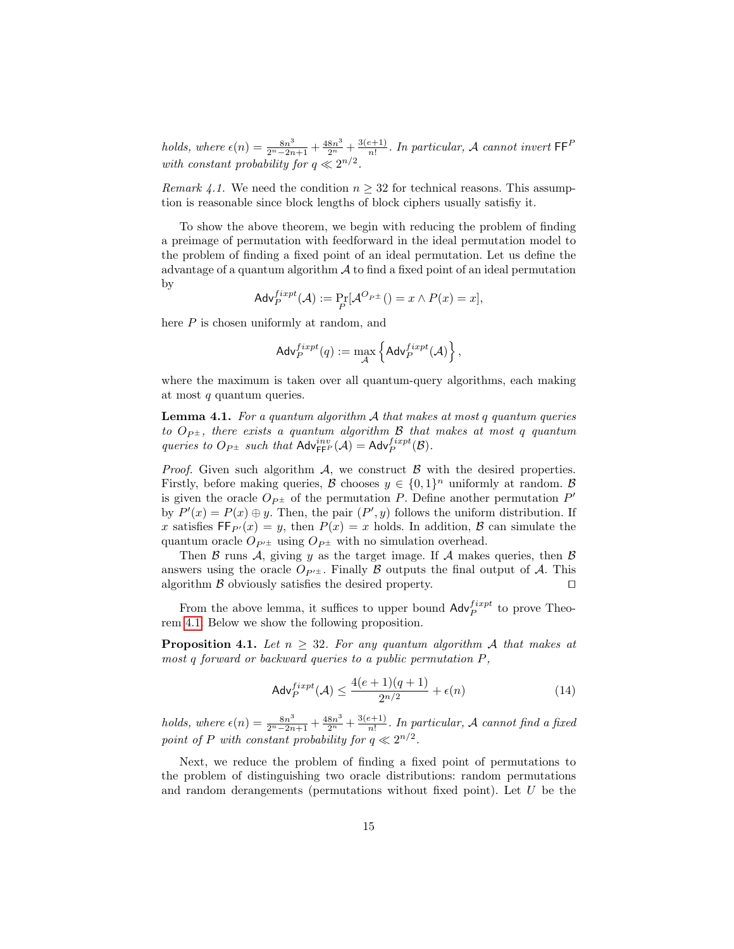holds, where  $\epsilon(n) = \frac{8n^3}{2^n - 2n + 1} + \frac{48n^3}{2^n} + \frac{3(e+1)}{n!}$  $\frac{e+1}{n!}$ . In particular, A cannot invert  $\mathsf{FF}^P$ with constant probability for  $q \ll 2^{n/2}$ .

Remark 4.1. We need the condition  $n \geq 32$  for technical reasons. This assumption is reasonable since block lengths of block ciphers usually satisfiy it.

To show the above theorem, we begin with reducing the problem of finding a preimage of permutation with feedforward in the ideal permutation model to the problem of finding a fixed point of an ideal permutation. Let us define the advantage of a quantum algorithm  $A$  to find a fixed point of an ideal permutation by

$$
\mathsf{Adv}_P^{fixpt}(\mathcal{A}) := \Pr_P[\mathcal{A}^{O_{P^\pm}}( ) = x \land P(x) = x],
$$

here P is chosen uniformly at random, and

$$
\mathsf{Adv}^{fixpt}_P(q) := \max_{\mathcal{A}} \left\{ \mathsf{Adv}^{fixpt}_P(\mathcal{A}) \right\},
$$

where the maximum is taken over all quantum-query algorithms, each making at most q quantum queries.

**Lemma 4.1.** For a quantum algorithm  $\mathcal A$  that makes at most q quantum queries to  $O_{P^{\pm}}$ , there exists a quantum algorithm  $\beta$  that makes at most q quantum queries to  $O_{P^{\pm}}$  such that  $\mathsf{Adv}_{\mathsf{FF}^P}^{inv}(\mathcal{A}) = \mathsf{Adv}_P^{fixpt}(\mathcal{B})$ .

*Proof.* Given such algorithm  $A$ , we construct  $B$  with the desired properties. Firstly, before making queries,  $\mathcal{B}$  chooses  $y \in \{0,1\}^n$  uniformly at random.  $\mathcal{B}$ is given the oracle  $O_{P^{\pm}}$  of the permutation P. Define another permutation P' by  $P'(x) = P(x) \oplus y$ . Then, the pair  $(P', y)$  follows the uniform distribution. If x satisfies  $\mathsf{FF}_{P'}(x) = y$ , then  $P(x) = x$  holds. In addition, B can simulate the quantum oracle  $O_{P<sup>±</sup>}$  using  $O_{P<sup>±</sup>}$  with no simulation overhead.

Then B runs A, giving y as the target image. If A makes queries, then B answers using the oracle  $O_{P^{\prime \pm}}$ . Finally B outputs the final output of A. This algorithm  $\beta$  obviously satisfies the desired property.

From the above lemma, it suffices to upper bound  $\mathsf{Adv}^{fixpt}_P$  to prove Theorem [4.1.](#page-13-0) Below we show the following proposition.

**Proposition 4.1.** Let  $n \geq 32$ . For any quantum algorithm A that makes at most q forward or backward queries to a public permutation P,

<span id="page-14-1"></span><span id="page-14-0"></span>
$$
\mathsf{Adv}_{P}^{fixpt}(\mathcal{A}) \le \frac{4(e+1)(q+1)}{2^{n/2}} + \epsilon(n) \tag{14}
$$

holds, where  $\epsilon(n) = \frac{8n^3}{2^n - 2n + 1} + \frac{48n^3}{2^n} + \frac{3(e+1)}{n!}$  $\frac{e+1}{n!}$ . In particular, A cannot find a fixed point of P with constant probability for  $q \ll 2^{n/2}$ .

Next, we reduce the problem of finding a fixed point of permutations to the problem of distinguishing two oracle distributions: random permutations and random derangements (permutations without fixed point). Let  $U$  be the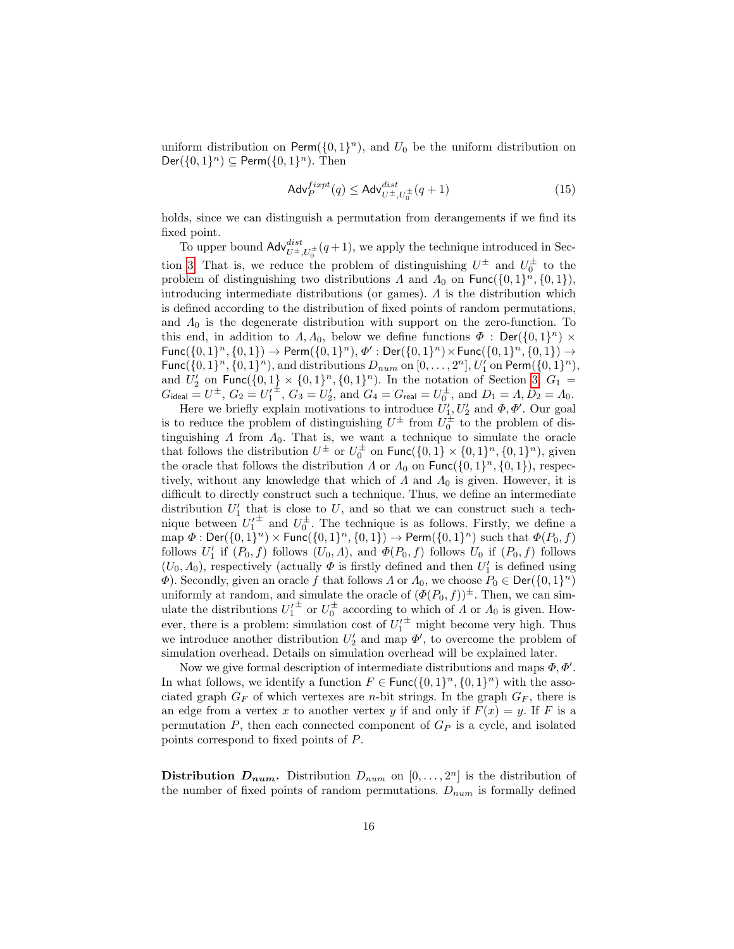uniform distribution on Perm( $\{0,1\}^n$ ), and  $U_0$  be the uniform distribution on  $Der({0,1}^n) \subseteq Perm({0,1}^n)$ . Then

<span id="page-15-0"></span>
$$
\mathsf{Adv}_{P}^{fixpt}(q) \leq \mathsf{Adv}_{U^{\pm}, U_{0}^{\pm}}^{dist}(q+1) \tag{15}
$$

holds, since we can distinguish a permutation from derangements if we find its fixed point.

To upper bound  $\mathsf{Adv}_{U^{\pm},U_0^{\pm}}^{dist}(q+1)$ , we apply the technique introduced in Sec-tion [3.](#page-9-0) That is, we reduce the problem of distinguishing  $U^{\pm}$  and  $U_0^{\pm}$  to the problem of distinguishing two distributions  $\Lambda$  and  $\Lambda_0$  on  $\textsf{Func}(\{0,1\}^n, \{0,1\}),$ introducing intermediate distributions (or games).  $\Lambda$  is the distribution which is defined according to the distribution of fixed points of random permutations, and  $\Lambda_0$  is the degenerate distribution with support on the zero-function. To this end, in addition to  $\Lambda$ ,  $\Lambda$ <sub>0</sub>, below we define functions  $\Phi$  : Der( $\{0,1\}$ <sup>n</sup>)  $\times$  $Func({0,1}<sup>n</sup>, {0,1}) \rightarrow Perm({0,1}<sup>n</sup>), \Phi' : Der({0,1}<sup>n</sup>) \times Func({0,1}<sup>n</sup>, {0,1}) \rightarrow$ Func $(\{0,1\}^n, \{0,1\}^n)$ , and distributions  $D_{num}$  on  $[0, \ldots, 2^n]$ ,  $U'_1$  on Perm $(\{0,1\}^n)$ , and  $U'_2$  on  $\textsf{Func}(\{0,1\} \times \{0,1\}^n, \{0,1\}^n)$ . In the notation of Section [3,](#page-9-0)  $G_1 =$  $G_{\text{ideal}} = U^{\pm}$ ,  $G_2 = U_1^{\pm}$ ,  $G_3 = U_2^{\prime}$ , and  $G_4 = G_{\text{real}} = U_0^{\pm}$ , and  $D_1 = \Lambda$ ,  $D_2 = \Lambda_0$ .

Here we briefly explain motivations to introduce  $U'_1, U'_2$  and  $\Phi, \Phi'$ . Our goal is to reduce the problem of distinguishing  $U^{\pm}$  from  $U_{0}^{\pm}$  to the problem of distinguishing  $\Lambda$  from  $\Lambda_0$ . That is, we want a technique to simulate the oracle that follows the distribution  $U^{\pm}$  or  $U_0^{\pm}$  on  $\text{Func}(\{0,1\} \times \{0,1\}^n, \{0,1\}^n)$ , given the oracle that follows the distribution  $\Lambda$  or  $\Lambda_0$  on  $\text{Func}(\{0,1\}^n, \{0,1\})$ , respectively, without any knowledge that which of  $\Lambda$  and  $\Lambda_0$  is given. However, it is difficult to directly construct such a technique. Thus, we define an intermediate distribution  $U'_1$  that is close to U, and so that we can construct such a technique between  $U_1^{\pm}$  and  $U_0^{\pm}$ . The technique is as follows. Firstly, we define a map  $\Phi : \mathsf{Der}(\{0,1\}^n) \times \mathsf{Func}(\{0,1\}^n, \{0,1\}) \to \mathsf{Perm}(\{0,1\}^n)$  such that  $\Phi(P_0, f)$ follows  $U'_1$  if  $(P_0, f)$  follows  $(U_0, \Lambda)$ , and  $\Phi(P_0, f)$  follows  $U_0$  if  $(P_0, f)$  follows  $(U_0, \Lambda_0)$ , respectively (actually  $\Phi$  is firstly defined and then  $U'_1$  is defined using  $\Phi$ ). Secondly, given an oracle f that follows  $\Lambda$  or  $\Lambda_0$ , we choose  $P_0 \in \text{Der}(\{0,1\}^n)$ uniformly at random, and simulate the oracle of  $(\Phi(P_0, f))^{\pm}$ . Then, we can simulate the distributions  $U_1^{\prime \pm}$  or  $U_0^{\pm}$  according to which of  $\Lambda$  or  $\Lambda_0$  is given. However, there is a problem: simulation cost of  $U_1'^{\pm}$  might become very high. Thus we introduce another distribution  $U_2'$  and map  $\Phi'$ , to overcome the problem of simulation overhead. Details on simulation overhead will be explained later.

Now we give formal description of intermediate distributions and maps  $\Phi, \Phi'$ . In what follows, we identify a function  $F \in \text{Func}(\{0,1\}^n, \{0,1\}^n)$  with the associated graph  $G_F$  of which vertexes are *n*-bit strings. In the graph  $G_F$ , there is an edge from a vertex x to another vertex y if and only if  $F(x) = y$ . If F is a permutation  $P$ , then each connected component of  $G_P$  is a cycle, and isolated points correspond to fixed points of P.

**Distribution**  $D_{num}$ **.** Distribution  $D_{num}$  on  $[0, \ldots, 2^n]$  is the distribution of the number of fixed points of random permutations.  $D_{num}$  is formally defined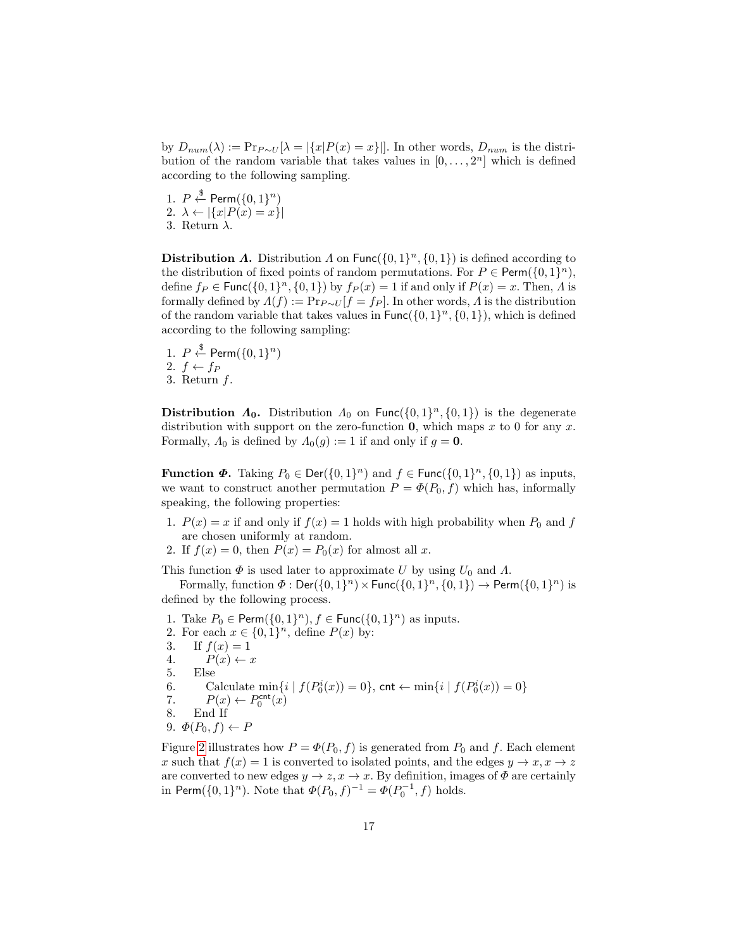by  $D_{num}(\lambda) := \Pr_{P \sim U}[\lambda = |\{x|P(x) = x\}|]$ . In other words,  $D_{num}$  is the distribution of the random variable that takes values in  $[0, \ldots, 2^n]$  which is defined according to the following sampling.

- 1.  $P \stackrel{\$}{\leftarrow} \text{Perm}(\{0,1\}^n)$ 2.  $\lambda \leftarrow |\{x|P(x) = x\}|$
- 3. Return  $\lambda$ .

Distribution  $\Lambda$ . Distribution  $\Lambda$  on Func $(\{0,1\}^n, \{0,1\})$  is defined according to the distribution of fixed points of random permutations. For  $P \in \text{Perm}(\{0,1\}^n)$ , define  $f_P \in \text{Func}(\{0, 1\}^n, \{0, 1\})$  by  $f_P(x) = 1$  if and only if  $P(x) = x$ . Then,  $\Lambda$  is formally defined by  $\Lambda(f) := \Pr_{P \sim U} [f = f_P]$ . In other words,  $\Lambda$  is the distribution of the random variable that takes values in  $Func({0, 1}<sup>n</sup>, {0, 1})$ , which is defined according to the following sampling:

1.  $P \stackrel{\$}{\leftarrow} \mathsf{Perm}(\{0,1\}^n)$ 2.  $f \leftarrow f_P$ 3. Return  $f$ .

Distribution  $\Lambda_0$ . Distribution  $\Lambda_0$  on Func $(\{0,1\}^n, \{0,1\})$  is the degenerate distribution with support on the zero-function  $\mathbf{0}$ , which maps x to 0 for any x. Formally,  $\Lambda_0$  is defined by  $\Lambda_0(g) := 1$  if and only if  $g = 0$ .

**Function**  $\Phi$ **.** Taking  $P_0 \in \text{Der}(\{0,1\}^n)$  and  $f \in \text{Func}(\{0,1\}^n, \{0,1\})$  as inputs, we want to construct another permutation  $P = \Phi(P_0, f)$  which has, informally speaking, the following properties:

- 1.  $P(x) = x$  if and only if  $f(x) = 1$  holds with high probability when  $P_0$  and f are chosen uniformly at random.
- 2. If  $f(x) = 0$ , then  $P(x) = P_0(x)$  for almost all x.

This function  $\Phi$  is used later to approximate U by using  $U_0$  and  $\Lambda$ .

Formally, function  $\Phi : \text{Der}(\{0,1\}^n) \times \text{Func}(\{0,1\}^n, \{0,1\}) \to \text{Perm}(\{0,1\}^n)$  is defined by the following process.

- 1. Take  $P_0 \in \text{Perm}(\{0, 1\}^n)$ ,  $f \in \text{Func}(\{0, 1\}^n)$  as inputs.
- 2. For each  $x \in \{0, 1\}^n$ , define  $P(x)$  by:
- 3. If  $f(x) = 1$
- 4.  $P(x) \leftarrow x$
- 5. Else
- 6. Calculate  $\min\{i \mid f(P_0^i(x)) = 0\}$ ,  $\text{cnt} \leftarrow \min\{i \mid f(P_0^i(x)) = 0\}$
- 7.  $P(x) \leftarrow P_0^{\text{cnt}}(x)$
- 8. End If
- 9.  $\Phi(P_0, f) \leftarrow P$

Figure [2](#page-17-0) illustrates how  $P = \Phi(P_0, f)$  is generated from  $P_0$  and f. Each element x such that  $f(x) = 1$  is converted to isolated points, and the edges  $y \to x, x \to z$ are converted to new edges  $y \to z$ ,  $x \to x$ . By definition, images of  $\Phi$  are certainly in Perm({0, 1}<sup>n</sup>). Note that  $\Phi(P_0, f)^{-1} = \Phi(P_0^{-1}, f)$  holds.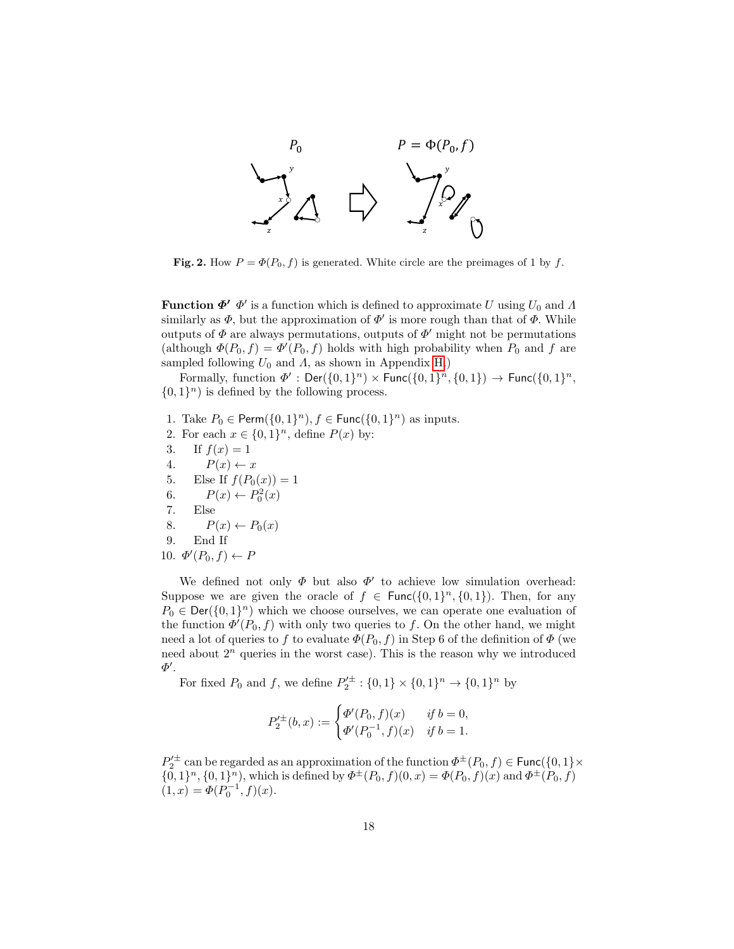<span id="page-17-0"></span>

Fig. 2. How  $P = \Phi(P_0, f)$  is generated. White circle are the preimages of 1 by f.

**Function**  $\Phi'$   $\Phi'$  is a function which is defined to approximate U using  $U_0$  and  $\Lambda$ similarly as  $\Phi$ , but the approximation of  $\Phi'$  is more rough than that of  $\Phi$ . While outputs of  $\Phi$  are always permutations, outputs of  $\Phi'$  might not be permutations (although  $\Phi(P_0, f) = \Phi'(P_0, f)$  holds with high probability when  $P_0$  and f are sampled following  $U_0$  and  $\Lambda$ , as shown in Appendix [H.](#page-50-0))

Formally, function  $\Phi'$ : Der $(\{0,1\}^n) \times$  Func $(\{0,1\}^n, \{0,1\}) \to$  Func $(\{0,1\}^n, \{0,1\})$  $\{0,1\}$ <sup>n</sup>) is defined by the following process.

- 1. Take  $P_0 \in \text{Perm}(\{0, 1\}^n)$ ,  $f \in \text{Func}(\{0, 1\}^n)$  as inputs.
- 2. For each  $x \in \{0,1\}^n$ , define  $P(x)$  by:
- 3. If  $f(x) = 1$
- 4.  $P(x) \leftarrow x$
- 5. Else If  $f(P_0(x)) = 1$
- 6.  $P(x) \leftarrow P_0^2(x)$
- 7. Else
- 8.  $P(x) \leftarrow P_0(x)$
- 9. End If
- 10.  $\Phi'(P_0, f) \leftarrow P$

We defined not only  $\Phi$  but also  $\Phi'$  to achieve low simulation overhead: Suppose we are given the oracle of  $f \in \text{Func}(\{0,1\}^n, \{0,1\})$ . Then, for any  $P_0 \in \text{Der}(\{0,1\}^n)$  which we choose ourselves, we can operate one evaluation of the function  $\Phi'(P_0, f)$  with only two queries to f. On the other hand, we might need a lot of queries to f to evaluate  $\Phi(P_0, f)$  in Step 6 of the definition of  $\Phi$  (we need about  $2^n$  queries in the worst case). This is the reason why we introduced  $\varPhi'.$ 

For fixed  $P_0$  and f, we define  $P_2'^{\pm} : \{0,1\} \times \{0,1\}^n \to \{0,1\}^n$  by

$$
P_2'^{\pm}(b, x) := \begin{cases} \Phi'(P_0, f)(x) & \text{if } b = 0, \\ \Phi'(P_0^{-1}, f)(x) & \text{if } b = 1. \end{cases}
$$

 $P'^{\pm}_{2}$  can be regarded as an approximation of the function  $\varPhi^{\pm}(P_{0},f)\in \mathsf{Func}(\{0,1\}\times \mathbb{R})$  $\{0,1\}^n$ ,  $\{0,1\}^n$ ), which is defined by  $\Phi^{\pm}(P_0, f)(0, x) = \Phi(P_0, f)(x)$  and  $\Phi^{\pm}(P_0, f)$  $(1, x) = \Phi(P_0^{-1}, f)(x).$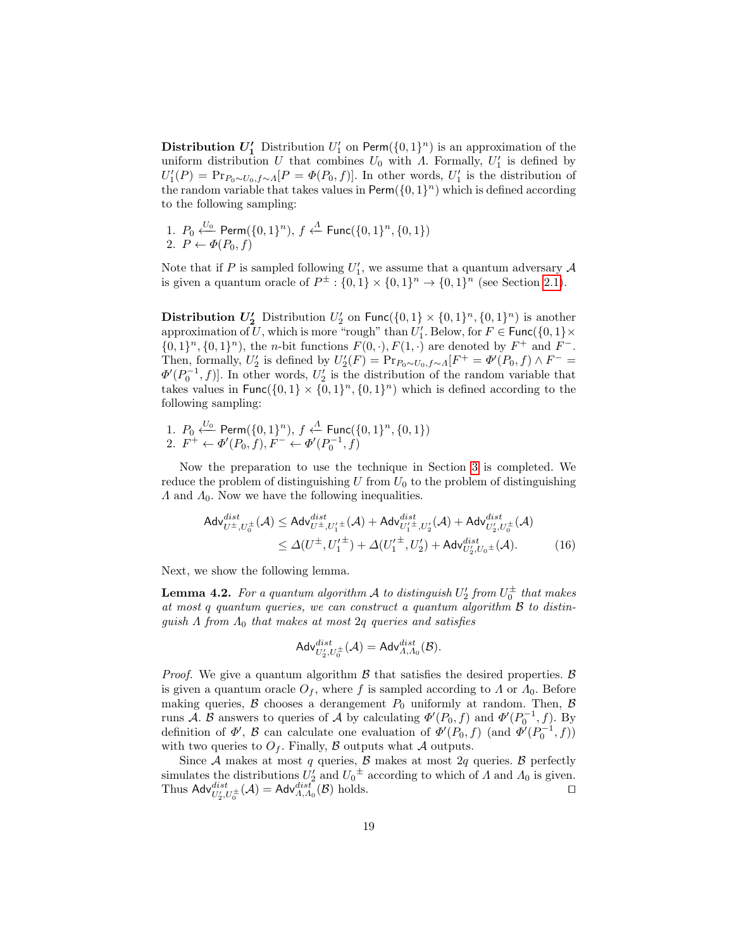**Distribution**  $U'_1$  Distribution  $U'_1$  on Perm( $\{0,1\}^n$ ) is an approximation of the uniform distribution U that combines  $U_0$  with  $\Lambda$ . Formally,  $U'_1$  is defined by  $U_1'(P) = \Pr_{P_0 \sim U_0, f \sim A}[P = \Phi(P_0, f)].$  In other words,  $U_1'$  is the distribution of the random variable that takes values in  $\text{Perm}(\{0,1\}^n)$  which is defined according to the following sampling:

1. 
$$
P_0 \xleftarrow{U_0} \text{Perm}(\{0,1\}^n), f \xleftarrow{A} \text{Func}(\{0,1\}^n, \{0,1\})
$$
  
2.  $P \leftarrow \Phi(P_0, f)$ 

Note that if P is sampled following  $U'_1$ , we assume that a quantum adversary  $\mathcal A$ is given a quantum oracle of  $P^{\pm}$ :  $\{0,1\} \times \{0,1\}^n \to \{0,1\}^n$  (see Section [2.1\)](#page-7-3).

Distribution  $U'_2$  Distribution  $U'_2$  on  $Func({0,1} \times {0,1}^n, {0,1}^n)$  is another approximation of U, which is more "rough" than  $U'_1$ . Below, for  $F \in \mathsf{Func}(\{0,1\} \times$  $\{0,1\}^n$ ,  $\{0,1\}^n$ ), the *n*-bit functions  $F(0, \cdot)$ ,  $F(1, \cdot)$  are denoted by  $F^+$  and  $F^-$ . Then, formally,  $U'_2$  is defined by  $U'_2(F) = Pr_{P_0 \sim U_0, f \sim A}[F^+ = \Phi'(P_0, f) \wedge F^- =$  $\Phi'(P_0^{-1},f)$ . In other words,  $U_2'$  is the distribution of the random variable that takes values in  $\textsf{Func}(\{0,1\} \times \{0,1\}^n, \{0,1\}^n)$  which is defined according to the following sampling:

1.  $P_0 \stackrel{U_0}{\longleftarrow}$  Perm $(\{0,1\}^n)$ ,  $f \stackrel{A}{\longleftarrow}$  Func $(\{0,1\}^n,\{0,1\})$ 2.  $F^+ \leftarrow \Phi'(P_0, f), F^- \leftarrow \Phi'(P_0^{-1}, f)$ 

Now the preparation to use the technique in Section [3](#page-9-0) is completed. We reduce the problem of distinguishing  $U$  from  $U_0$  to the problem of distinguishing  $\Lambda$  and  $\Lambda_0$ . Now we have the following inequalities.

$$
\mathsf{Adv}_{U^{\pm}, U_0^{\pm}}^{dist}(\mathcal{A}) \leq \mathsf{Adv}_{U^{\pm}, U_1^{\pm}}^{dist}(\mathcal{A}) + \mathsf{Adv}_{U_1^{\prime \pm}, U_2^{\prime}}^{dist}(\mathcal{A}) + \mathsf{Adv}_{U_2^{\prime}, U_0^{\pm}}^{dist}(\mathcal{A})
$$
  
 
$$
\leq \Delta(U^{\pm}, U_1^{\prime \pm}) + \Delta(U_1^{\prime \pm}, U_2^{\prime}) + \mathsf{Adv}_{U_2^{\prime}, U_0^{\pm}}^{dist}(\mathcal{A}). \tag{16}
$$

Next, we show the following lemma.

**Lemma 4.2.** For a quantum algorithm  $\mathcal A$  to distinguish  $U_2'$  from  $U_0^{\pm}$  that makes at most q quantum queries, we can construct a quantum algorithm  $\beta$  to distinguish  $\Lambda$  from  $\Lambda_0$  that makes at most 2q queries and satisfies

<span id="page-18-0"></span>
$$
\mathsf{Adv}_{U_2',U_0^{\pm}}^{dist}(\mathcal{A})=\mathsf{Adv}_{A,A_0}^{dist}(\mathcal{B}).
$$

*Proof.* We give a quantum algorithm  $\beta$  that satisfies the desired properties.  $\beta$ is given a quantum oracle  $O_f$ , where f is sampled according to  $\Lambda$  or  $\Lambda_0$ . Before making queries,  $\beta$  chooses a derangement  $P_0$  uniformly at random. Then,  $\beta$ runs A. B answers to queries of A by calculating  $\Phi'(P_0, f)$  and  $\Phi'(P_0^{-1}, f)$ . By definition of  $\Phi'$ ,  $\mathcal B$  can calculate one evaluation of  $\Phi'(P_0, f)$  (and  $\Phi'(P_0^{-1}, f)$ ) with two queries to  $O_f$ . Finally, B outputs what A outputs.

Since A makes at most q queries,  $\beta$  makes at most 2q queries.  $\beta$  perfectly simulates the distributions  $U_2'$  and  $U_0^{\pm}$  according to which of  $\Lambda$  and  $\Lambda_0$  is given. Thus  $\mathsf{Adv}_{U_2',U_0^{\pm}}^{dist}(\mathcal{A}) = \mathsf{Adv}_{A,A_0}^{dist}(\mathcal{B})$  holds.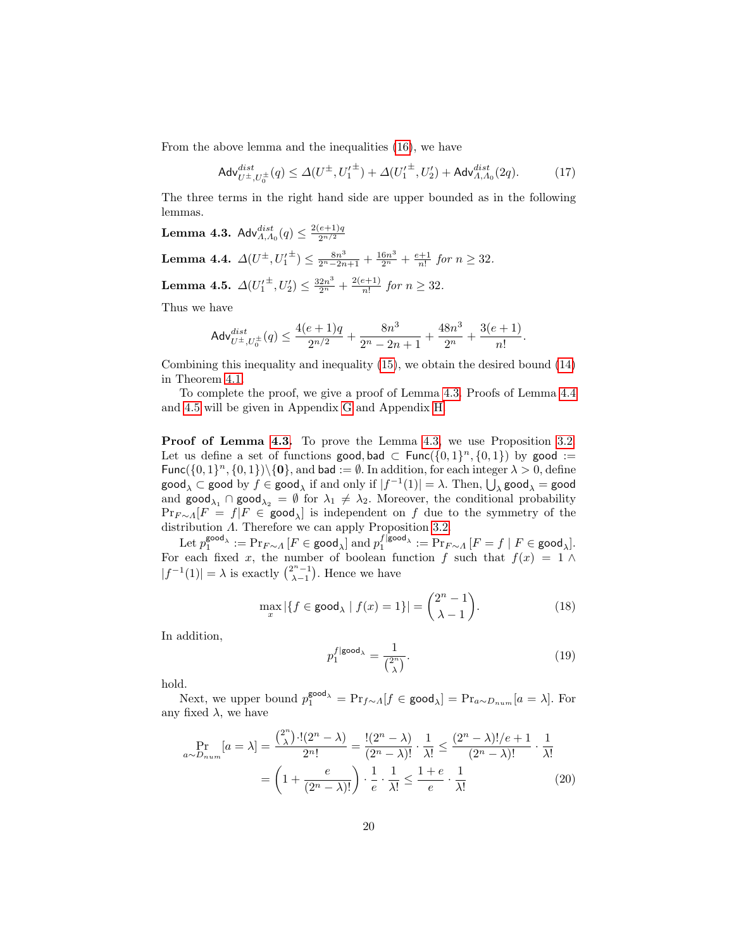From the above lemma and the inequalities [\(16\)](#page-18-0), we have

<span id="page-19-5"></span><span id="page-19-0"></span>
$$
\mathsf{Adv}_{U^{\pm}, U_0^{\pm}}^{dist}(q) \le \Delta(U^{\pm}, U_1'^{\pm}) + \Delta(U_1'^{\pm}, U_2') + \mathsf{Adv}_{A, A_0}^{dist}(2q). \tag{17}
$$

The three terms in the right hand side are upper bounded as in the following lemmas.

 $\textbf{Lemma 4.3.}\; \mathsf{Adv}^{dist}_{A,A_0}(q)\leq \frac{2(e+1)q}{2^{n/2}}$  $2^{n/2}$ 

<span id="page-19-1"></span>Lemma 4.4.  $\Delta(U^{\pm}, U_1^{\prime \pm}) \leq \frac{8n^3}{2^n - 2n + 1} + \frac{16n^3}{2^n} + \frac{e+1}{n!}$  for  $n \geq 32$ .

<span id="page-19-2"></span>Lemma 4.5.  $\varDelta (U_{1}^{\prime \pm},U_{2}^{\prime })\leq \frac{32n^{3}}{2^{n}}+\frac{2(e+1)}{n!}$  $\frac{e+1}{n!}$  for  $n \geq 32$ .

Thus we have

$$
\mathsf{Adv}_{U^\pm, U_0^\pm}^{dist}(q) \leq \frac{4(e+1)q}{2^{n/2}} + \frac{8n^3}{2^n - 2n + 1} + \frac{48n^3}{2^n} + \frac{3(e+1)}{n!}.
$$

Combining this inequality and inequality [\(15\)](#page-15-0), we obtain the desired bound [\(14\)](#page-14-1) in Theorem [4.1.](#page-13-0)

To complete the proof, we give a proof of Lemma [4.3.](#page-19-0) Proofs of Lemma [4.4](#page-19-1) and [4.5](#page-19-2) will be given in Appendix [G](#page-44-0) and Appendix [H.](#page-50-0)

Proof of Lemma [4.3.](#page-19-0) To prove the Lemma [4.3,](#page-19-0) we use Proposition [3.2.](#page-12-0) Let us define a set of functions good, bad  $\subset$  Func $(\{0,1\}^n, \{0,1\})$  by good := Func $(\{0,1\}^n, \{0,1\})\backslash\{\mathbf{0}\}\)$ , and bad :=  $\emptyset$ . In addition, for each integer  $\lambda > 0$ , define  $\mathsf{good}_\lambda \subset \mathsf{good}$  by  $f \in \mathsf{good}_\lambda$  if and only if  $|f^{-1}(1)| = \lambda$ . Then,  $\bigcup_\lambda \mathsf{good}_\lambda = \mathsf{good}$ and  $\text{good}_{\lambda_1} \cap \text{good}_{\lambda_2} = \emptyset$  for  $\lambda_1 \neq \lambda_2$ . Moreover, the conditional probability  $\Pr_{F \sim A}[F = f | F \in \mathsf{good}_{\lambda}]$  is independent on f due to the symmetry of the distribution Λ. Therefore we can apply Proposition [3.2.](#page-12-0)

Let  $p_1^{\mathsf{good}}{}_{\lambda} := \Pr_{F \sim A} \left[ F \in \mathsf{good}_{\lambda} \right]$  and  $p_1^{f|\mathsf{good}_{\lambda}} := \Pr_{F \sim A} \left[ F = f \mid F \in \mathsf{good}_{\lambda} \right]$ . For each fixed x, the number of boolean function f such that  $f(x) = 1 \wedge$  $|f^{-1}(1)| = \lambda$  is exactly  $\binom{2^n-1}{\lambda-1}$ . Hence we have

<span id="page-19-3"></span>
$$
\max_{x} |\{f \in \text{good}_{\lambda} \mid f(x) = 1\}| = \binom{2^n - 1}{\lambda - 1}.
$$
 (18)

In addition,

<span id="page-19-6"></span><span id="page-19-4"></span>
$$
p_1^{f|\text{good}_\lambda} = \frac{1}{\binom{2^n}{\lambda}}.\tag{19}
$$

hold.

Next, we upper bound  $p_1^{\text{good}_\lambda} = Pr_{f \sim A}[f \in \text{good}_\lambda] = Pr_{a \sim D_{num}}[a = \lambda]$ . For any fixed  $\lambda$ , we have

$$
\Pr_{a \sim D_{num}}[a=\lambda] = \frac{\binom{2^n}{\lambda} \cdot \frac{!(2^n-\lambda)}{2^n!}}{2^n!} = \frac{\binom{2^n-\lambda}{2^n} \cdot \frac{1}{\lambda!}}{\binom{2^n-\lambda)!} \cdot \frac{1}{\lambda!}} \le \frac{\binom{2^n-\lambda}{2^n-\lambda} \cdot \frac{1}{\lambda!}}{\binom{2^n-\lambda}{2}} \cdot \frac{1}{\lambda!} = \left(1 + \frac{e}{(2^n-\lambda)!}\right) \cdot \frac{1}{e} \cdot \frac{1}{\lambda!} \le \frac{1+e}{e} \cdot \frac{1}{\lambda!}
$$
(20)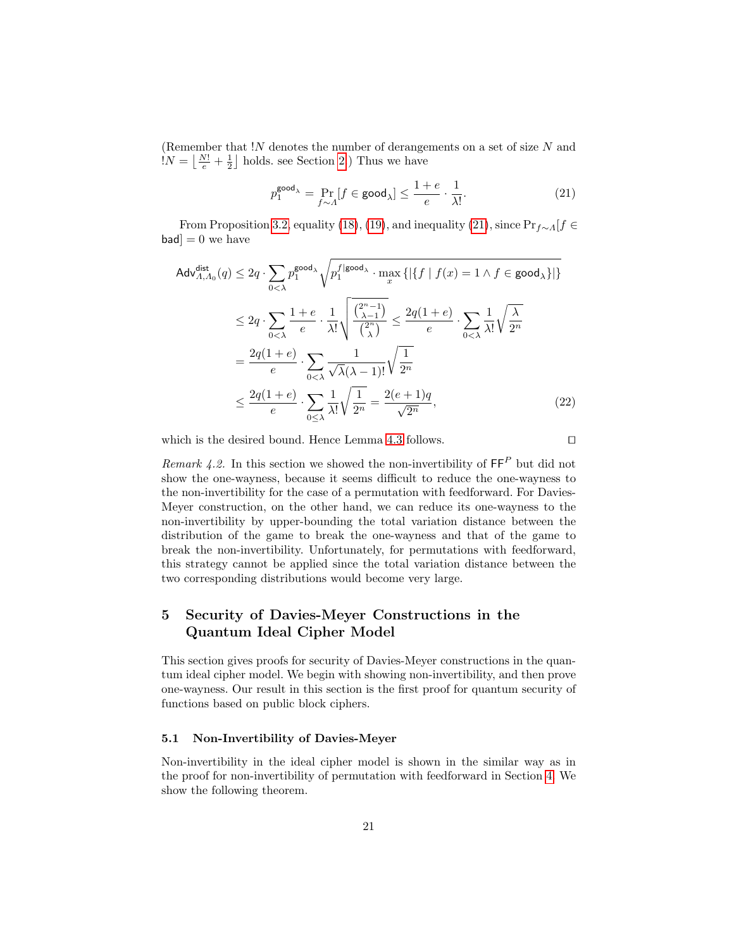(Remember that  $!N$  denotes the number of derangements on a set of size  $N$  and  $SN = \left\lfloor \frac{N!}{e} + \frac{1}{2} \right\rfloor$  holds. see Section [2.](#page-4-0)) Thus we have

<span id="page-20-0"></span>
$$
p_1^{\mathsf{good}_\lambda} = \Pr_{f \sim \Lambda} [f \in \mathsf{good}_\lambda] \le \frac{1+e}{e} \cdot \frac{1}{\lambda!}.
$$
 (21)

From Proposition [3.2,](#page-12-0) equality [\(18\)](#page-19-3), [\(19\)](#page-19-4), and inequality [\(21\)](#page-20-0), since  $Pr_{f \sim A}[f \in$  $bad] = 0$  we have

$$
\mathsf{Adv}_{A,A_0}^{\mathsf{dist}}(q) \le 2q \cdot \sum_{0 < \lambda} p_1^{\mathsf{good}_\lambda} \sqrt{p_1^{\mathsf{f}|\mathsf{good}_\lambda} \cdot \max_x \{|\{f \mid f(x) = 1 \land f \in \mathsf{good}_\lambda\}|\}}
$$
  
\n
$$
\le 2q \cdot \sum_{0 < \lambda} \frac{1+e}{e} \cdot \frac{1}{\lambda!} \sqrt{\frac{\binom{2^n - 1}{\lambda - 1}}{\binom{2^n}{\lambda}}} \le \frac{2q(1+e)}{e} \cdot \sum_{0 < \lambda} \frac{1}{\lambda!} \sqrt{\frac{\lambda}{2^n}}
$$
  
\n
$$
= \frac{2q(1+e)}{e} \cdot \sum_{0 < \lambda} \frac{1}{\sqrt{\lambda}(\lambda - 1)!} \sqrt{\frac{1}{2^n}}
$$
  
\n
$$
\le \frac{2q(1+e)}{e} \cdot \sum_{0 \le \lambda} \frac{1}{\lambda!} \sqrt{\frac{1}{2^n}} = \frac{2(e+1)q}{\sqrt{2^n}},
$$
\n(22)

which is the desired bound. Hence Lemma [4.3](#page-19-0) follows.  $\Box$ 

*Remark 4.2.* In this section we showed the non-invertibility of  $\mathsf{FF}^P$  but did not show the one-wayness, because it seems difficult to reduce the one-wayness to the non-invertibility for the case of a permutation with feedforward. For Davies-Meyer construction, on the other hand, we can reduce its one-wayness to the non-invertibility by upper-bounding the total variation distance between the distribution of the game to break the one-wayness and that of the game to break the non-invertibility. Unfortunately, for permutations with feedforward, this strategy cannot be applied since the total variation distance between the two corresponding distributions would become very large.

# <span id="page-20-2"></span>5 Security of Davies-Meyer Constructions in the Quantum Ideal Cipher Model

This section gives proofs for security of Davies-Meyer constructions in the quantum ideal cipher model. We begin with showing non-invertibility, and then prove one-wayness. Our result in this section is the first proof for quantum security of functions based on public block ciphers.

## 5.1 Non-Invertibility of Davies-Meyer

<span id="page-20-1"></span>Non-invertibility in the ideal cipher model is shown in the similar way as in the proof for non-invertibility of permutation with feedforward in Section [4.](#page-13-1) We show the following theorem.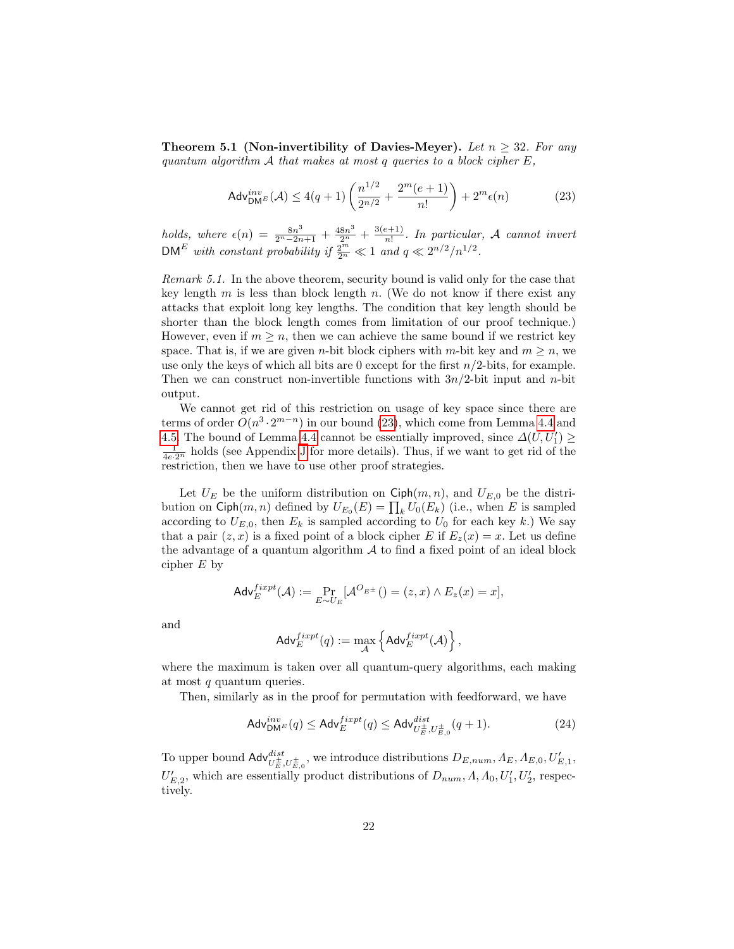**Theorem 5.1 (Non-invertibility of Davies-Meyer).** Let  $n \geq 32$ . For any quantum algorithm  $\mathcal A$  that makes at most q queries to a block cipher  $E$ ,

<span id="page-21-0"></span>
$$
Adv_{\text{DM}^{inv}}^{inv}(\mathcal{A}) \le 4(q+1) \left( \frac{n^{1/2}}{2^{n/2}} + \frac{2^m(e+1)}{n!} \right) + 2^m \epsilon(n) \tag{23}
$$

holds, where  $\epsilon(n) = \frac{8n^3}{2^n - 2n + 1} + \frac{48n^3}{2^n} + \frac{3(e+1)}{n!}$  $\frac{a+1}{n!}$ . In particular, A cannot invert  $\mathsf{DM}^E$  with constant probability if  $\frac{2^m}{2^n} \ll 1$  and  $q \ll 2^{n/2}/n^{1/2}$ .

<span id="page-21-1"></span>Remark 5.1. In the above theorem, security bound is valid only for the case that key length m is less than block length n. (We do not know if there exist any attacks that exploit long key lengths. The condition that key length should be shorter than the block length comes from limitation of our proof technique.) However, even if  $m \geq n$ , then we can achieve the same bound if we restrict key space. That is, if we are given *n*-bit block ciphers with *m*-bit key and  $m \geq n$ , we use only the keys of which all bits are 0 except for the first  $n/2$ -bits, for example. Then we can construct non-invertible functions with  $3n/2$ -bit input and *n*-bit output.

We cannot get rid of this restriction on usage of key space since there are terms of order  $O(n^3 \cdot 2^{m-n})$  in our bound [\(23\)](#page-21-0), which come from Lemma [4.4](#page-19-1) and [4.5.](#page-19-2) The bound of Lemma [4.4](#page-19-1) cannot be essentially improved, since  $\Delta(U, U'_1) \geq$  $\frac{1}{4e \cdot 2^n}$  holds (see Appendix [J](#page-58-0) for more details). Thus, if we want to get rid of the restriction, then we have to use other proof strategies.

Let  $U_E$  be the uniform distribution on Ciph $(m, n)$ , and  $U_{E,0}$  be the distribution on Ciph $(m, n)$  defined by  $U_{E_0}(E) = \prod_k U_0(E_k)$  (i.e., when E is sampled according to  $U_{E,0}$ , then  $E_k$  is sampled according to  $U_0$  for each key k.) We say that a pair  $(z, x)$  is a fixed point of a block cipher E if  $E_z(x) = x$ . Let us define the advantage of a quantum algorithm  $\mathcal A$  to find a fixed point of an ideal block cipher  $E$  by

$$
\mathsf{Adv}_{E}^{fixpt}(\mathcal{A}) := \Pr_{E \sim U_{E}}[\mathcal{A}^{O_{E^{\pm}}}(x) = (z,x) \land E_{z}(x) = x],
$$

and

$$
\mathsf{Adv}_{E}^{fixpt}(q) := \max_{\mathcal{A}} \left\{ \mathsf{Adv}_{E}^{fixpt}(\mathcal{A}) \right\},
$$

where the maximum is taken over all quantum-query algorithms, each making at most q quantum queries.

Then, similarly as in the proof for permutation with feedforward, we have

$$
\mathsf{Adv}_{\mathsf{DM}^E}^{inv}(q) \le \mathsf{Adv}_{E}^{fixpt}(q) \le \mathsf{Adv}_{U_E^{\pm}}^{dist}(q+1). \tag{24}
$$

To upper bound  $\mathsf{Adv}_{U_E^{\pm}, U_{E,0}^{\pm}}^{dist}$ , we introduce distributions  $D_{E,num}, A_E, A_{E,0}, U'_{E,1},$  $U'_{E,2}$ , which are essentially product distributions of  $D_{num}, A, A_0, U'_1, U'_2$ , respectively.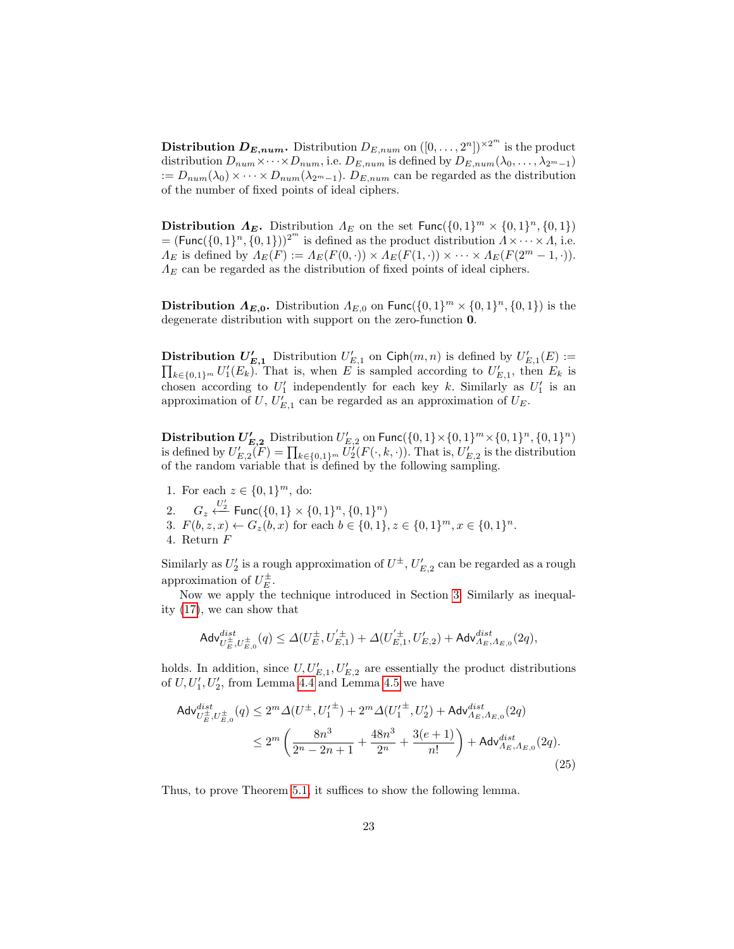**Distribution**  $D_{E, num}$ . Distribution  $D_{E, num}$  on  $([0, ..., 2^n])^{\times 2^m}$  is the product distribution  $D_{num} \times \cdots \times D_{num}$ , i.e.  $D_{E,num}$  is defined by  $D_{E,num}(\lambda_0, \ldots, \lambda_{2^m-1})$  $:= D_{num}(\lambda_0) \times \cdots \times D_{num}(\lambda_{2^m-1}).$   $D_{E,num}$  can be regarded as the distribution of the number of fixed points of ideal ciphers.

Distribution  $\Lambda_E$ . Distribution  $\Lambda_E$  on the set  $\text{Func}(\{0,1\}^m \times \{0,1\}^n, \{0,1\})$  $=$  (Func({0, 1}<sup>n</sup>, {0, 1}))<sup>2*m*</sup> is defined as the product distribution  $\Lambda \times \cdots \times \Lambda$ , i.e.  $\Lambda_E$  is defined by  $\Lambda_E(F) := \Lambda_E(F(0, \cdot)) \times \Lambda_E(F(1, \cdot)) \times \cdots \times \Lambda_E(F(2^m-1, \cdot)).$  $\Lambda_E$  can be regarded as the distribution of fixed points of ideal ciphers.

Distribution  $\Lambda_{E,0}$ . Distribution  $\Lambda_{E,0}$  on  $\text{Func}(\{0,1\}^m \times \{0,1\}^n, \{0,1\})$  is the degenerate distribution with support on the zero-function 0.

Distribution  $U'_{E,1}$  Distribution  $U'_{E,1}$  on Ciph $(m, n)$  is defined by  $U'_{E,1}(E)$ :  $\prod_{k\in\{0,1\}^m} U'_1(E_k)$ . That is, when E is sampled according to  $U'_{E,1}$ , then  $E_k$  is chosen according to  $U'_1$  independently for each key k. Similarly as  $U'_1$  is an approximation of U,  $U'_{E,1}$  can be regarded as an approximation of  $U_E$ .

Distribution  $U'_{E,2}$  Distribution  $U'_{E,2}$  on  $\textsf {Func}(\{0,1\}\times\{0,1\}^m\times\{0,1\}^n,\{0,1\}^n)$ is defined by  $U'_{E,2}(\overline{F}) = \prod_{k \in \{0,1\}^m} U_2^j(F(\cdot, k, \cdot))$ . That is,  $U'_{E,2}$  is the distribution of the random variable that is defined by the following sampling.

1. For each  $z \in \{0, 1\}^m$ , do:

2.  $G_z \stackrel{U'_2}{\longleftarrow} \mathsf{Func}(\{0,1\} \times \{0,1\}^n, \{0,1\}^n)$ 

- 3.  $F(b, z, x) \leftarrow G_z(b, x)$  for each  $b \in \{0, 1\}, z \in \{0, 1\}^m, x \in \{0, 1\}^n$ .
- 4. Return F

Similarly as  $U_2'$  is a rough approximation of  $U^{\pm}$ ,  $U_{E,2}'$  can be regarded as a rough approximation of  $U_E^{\pm}$ .

Now we apply the technique introduced in Section [3.](#page-9-0) Similarly as inequality [\(17\)](#page-19-5), we can show that

$$
\mathsf{Adv}_{U_E^\pm, U_{E,0}^\pm}^{dist}(q) \leq \varDelta(U_E^\pm, U_{E,1}^{'\pm}) + \varDelta(U_{E,1}^{'\pm}, U_{E,2}') + \mathsf{Adv}_{\varLambda_E, \varLambda_{E,0}}^{dist}(2q),
$$

holds. In addition, since  $U, U'_{E,1}, U'_{E,2}$  are essentially the product distributions of  $U, U'_1, U'_2$ , from Lemma [4.4](#page-19-1) and Lemma [4.5](#page-19-2) we have

$$
\mathsf{Adv}_{U_E^{\pm}, U_{E,0}^{\pm}}^{dist}(q) \le 2^m \Delta(U^{\pm}, U_1^{\prime \pm}) + 2^m \Delta(U_1^{\prime \pm}, U_2^{\prime}) + \mathsf{Adv}_{A_E, A_{E,0}}^{dist}(2q)
$$
\n
$$
\le 2^m \left( \frac{8n^3}{2^n - 2n + 1} + \frac{48n^3}{2^n} + \frac{3(e+1)}{n!} \right) + \mathsf{Adv}_{A_E, A_{E,0}}^{dist}(2q).
$$
\n(25)

<span id="page-22-0"></span>Thus, to prove Theorem [5.1,](#page-20-1) it suffices to show the following lemma.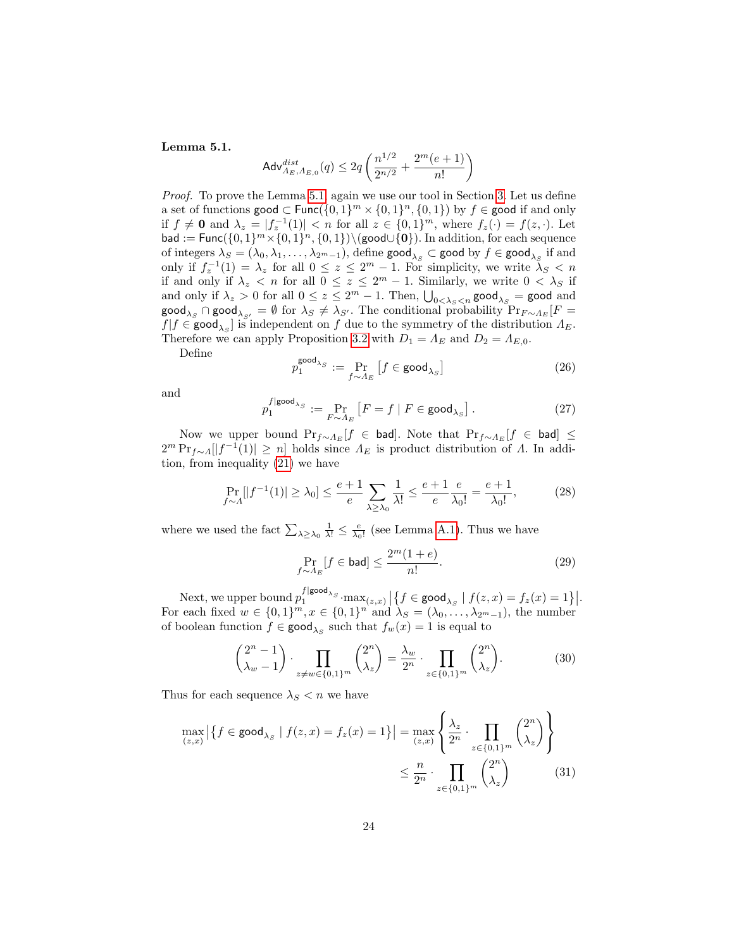Lemma 5.1.

$$
\mathsf{Adv}_{\varLambda_E,\varLambda_{E,0}}^{dist}(q)\le 2q\left(\frac{n^{1/2}}{2^{n/2}}+\frac{2^m(e+1)}{n!}\right)
$$

Proof. To prove the Lemma [5.1,](#page-22-0) again we use our tool in Section [3.](#page-9-0) Let us define a set of functions good  $\subset$  Func $(\{0,1\}^m \times \{0,1\}^n, \{0,1\})$  by  $f \in$  good if and only if  $f \neq \mathbf{0}$  and  $\lambda_z = |f_z^{-1}(1)| < n$  for all  $z \in \{0,1\}^m$ , where  $f_z(\cdot) = f(z, \cdot)$ . Let bad :=  $\textsf{Func}(\{0,1\}^m \times \{0,1\}^n, \{0,1\}) \setminus (\textsf{good} \cup \{0\})$ . In addition, for each sequence of integers  $\lambda_S = (\lambda_0, \lambda_1, \dots, \lambda_{2^m-1}),$  define  $\mathsf{good}_{\lambda_S} \subset \mathsf{good}$  by  $f \in \mathsf{good}_{\lambda_S}$  if and only if  $f_z^{-1}(1) = \lambda_z$  for all  $0 \le z \le 2^m - 1$ . For simplicity, we write  $\lambda_s < n$ if and only if  $\lambda_z < n$  for all  $0 \le z \le 2^m - 1$ . Similarly, we write  $0 < \lambda_S$  if and only if  $\lambda_z > 0$  for all  $0 \le z \le 2^m - 1$ . Then,  $\bigcup_{0 \le \lambda_S \le n} \text{good}_{\lambda_S} = \text{good}$  and  $\mathsf{good}_{\lambda_S} \cap \mathsf{good}_{\lambda_{S'}} = \emptyset$  for  $\lambda_S \neq \lambda_{S'}$ . The conditional probability  $\Pr_{F \sim A_E} [F =$  $f|f \in \text{good}_{\lambda_S}$  is independent on f due to the symmetry of the distribution  $\Lambda_E$ . Therefore we can apply Proposition [3.2](#page-12-0) with  $D_1 = \Lambda_E$  and  $D_2 = \Lambda_{E,0}$ .

Define

$$
p_1^{\text{good}_{\lambda_S}} := \Pr_{f \sim A_E} \left[ f \in \text{good}_{\lambda_S} \right] \tag{26}
$$

and

$$
p_1^{f|\text{good}_{\lambda_S}} := \Pr_{F \sim A_E} \left[ F = f \mid F \in \text{good}_{\lambda_S} \right]. \tag{27}
$$

Now we upper bound  $Pr_{f \sim A_E} [f \in \mathsf{bad}]$ . Note that  $Pr_{f \sim A_E} [f \in \mathsf{bad}] \leq$  $2^m \Pr_{f \sim A}(|f^{-1}(1)| \ge n]$  holds since  $\Lambda_E$  is product distribution of  $\Lambda$ . In addition, from inequality [\(21\)](#page-20-0) we have

<span id="page-23-1"></span>
$$
\Pr_{f \sim \Lambda} [|f^{-1}(1)| \ge \lambda_0] \le \frac{e+1}{e} \sum_{\lambda \ge \lambda_0} \frac{1}{\lambda!} \le \frac{e+1}{e} \frac{e}{\lambda_0!} = \frac{e+1}{\lambda_0!},\tag{28}
$$

where we used the fact  $\sum_{\lambda \geq \lambda_0} \frac{1}{\lambda!} \leq \frac{e}{\lambda_0!}$  (see Lemma [A.1\)](#page-30-1). Thus we have

<span id="page-23-0"></span>
$$
\Pr_{f \sim A_E} [f \in \mathsf{bad}] \le \frac{2^m (1+e)}{n!}.\tag{29}
$$

Next, we upper bound  $p_1^{f|\text{good}_{\lambda_S}} \cdot \max_{(z,x)} |\{f \in \text{good}_{\lambda_S} \mid f(z,x) = f_z(x) = 1\}|.$ For each fixed  $w \in \{0,1\}^m$ ,  $x \in \{0,1\}^n$  and  $\lambda_S = (\lambda_0, \ldots, \lambda_{2^m-1})$ , the number of boolean function  $f \in \text{good}_{\lambda_S}$  such that  $f_w(x) = 1$  is equal to

$$
\begin{pmatrix} 2^n - 1 \\ \lambda_w - 1 \end{pmatrix} \cdot \prod_{z \neq w \in \{0, 1\}^m} \begin{pmatrix} 2^n \\ \lambda_z \end{pmatrix} = \frac{\lambda_w}{2^n} \cdot \prod_{z \in \{0, 1\}^m} \begin{pmatrix} 2^n \\ \lambda_z \end{pmatrix}.
$$
 (30)

Thus for each sequence  $\lambda_S < n$  we have

$$
\max_{(z,x)} \left| \left\{ f \in \text{good}_{\lambda_S} \mid f(z,x) = f_z(x) = 1 \right\} \right| = \max_{(z,x)} \left\{ \frac{\lambda_z}{2^n} \cdot \prod_{z \in \{0,1\}^m} \binom{2^n}{\lambda_z} \right\}
$$

$$
\leq \frac{n}{2^n} \cdot \prod_{z \in \{0,1\}^m} \binom{2^n}{\lambda_z} \tag{31}
$$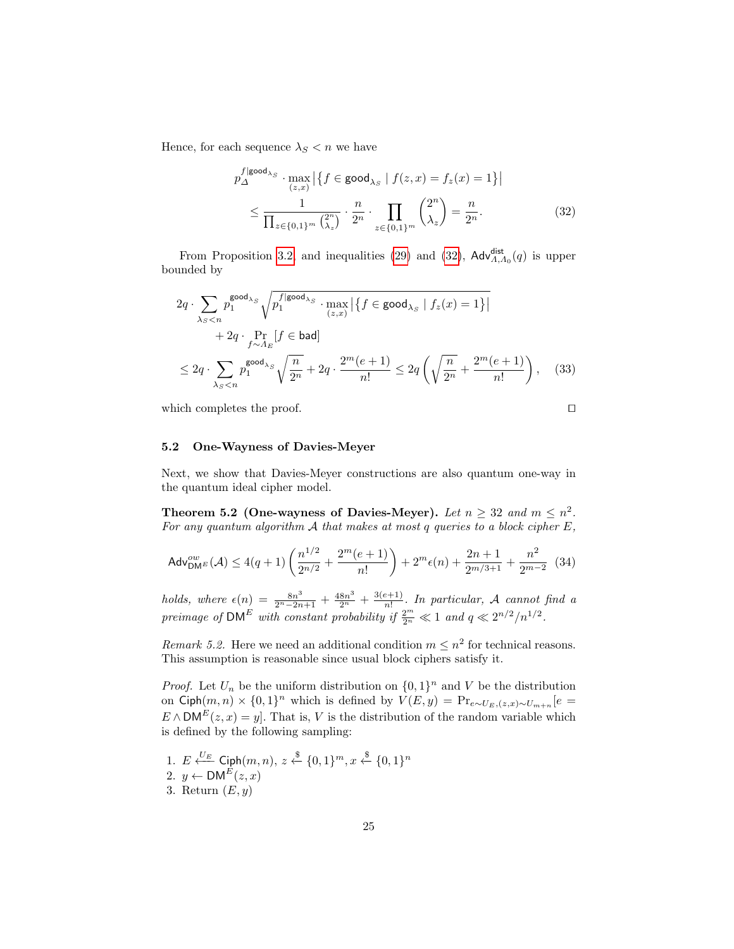Hence, for each sequence  $\lambda_S < n$  we have

$$
p_{\Delta}^{f|\text{good}_{\lambda_{S}}}\cdot \max_{(z,x)} \left| \left\{ f \in \text{good}_{\lambda_{S}} \mid f(z,x) = f_{z}(x) = 1 \right\} \right|
$$
  

$$
\leq \frac{1}{\prod_{z \in \{0,1\}^{m}} {2n \choose \lambda_{z}}}\cdot \frac{n}{2^{n}}\cdot \prod_{z \in \{0,1\}^{m}} {2n \choose \lambda_{z}} = \frac{n}{2^{n}}.
$$
 (32)

From Proposition [3.2,](#page-12-0) and inequalities [\(29\)](#page-23-0) and [\(32\)](#page-24-0),  $\mathsf{Adv}_{A,A_0}^{\mathsf{dist}}(q)$  is upper bounded by

$$
2q \cdot \sum_{\lambda_S < n} p_1^{\text{good}_{\lambda_S}} \sqrt{p_1^{f|\text{good}_{\lambda_S}} \cdot \max_{(z,x)} |\{f \in \text{good}_{\lambda_S} \mid f_z(x) = 1\}|} + 2q \cdot \Pr_{f \sim A_E} [f \in \text{bad}]
$$
\n
$$
\leq 2q \cdot \sum_{\lambda_S < n} p_1^{\text{good}_{\lambda_S}} \sqrt{\frac{n}{2^n}} + 2q \cdot \frac{2^m(e+1)}{n!} \leq 2q \left(\sqrt{\frac{n}{2^n}} + \frac{2^m(e+1)}{n!}\right), \quad (33)
$$

which completes the proof.

<span id="page-24-0"></span>
$$
\Box
$$

# 5.2 One-Wayness of Davies-Meyer

<span id="page-24-1"></span>Next, we show that Davies-Meyer constructions are also quantum one-way in the quantum ideal cipher model.

Theorem 5.2 (One-wayness of Davies-Meyer). Let  $n \geq 32$  and  $m \leq n^2$ . For any quantum algorithm  $A$  that makes at most q queries to a block cipher  $E$ ,

$$
\mathsf{Adv}_{\mathsf{DM}^E}^{ow}(\mathcal{A}) \le 4(q+1)\left(\frac{n^{1/2}}{2^{n/2}} + \frac{2^m(e+1)}{n!}\right) + 2^m\epsilon(n) + \frac{2n+1}{2^{m/3+1}} + \frac{n^2}{2^{m-2}} \tag{34}
$$

holds, where  $\epsilon(n) = \frac{8n^3}{2^n - 2n + 1} + \frac{48n^3}{2^n} + \frac{3(e+1)}{n!}$  $\frac{a+1}{n!}$ . In particular, A cannot find a preimage of DM<sup>E</sup> with constant probability if  $\frac{2^m}{2^n} \ll 1$  and  $q \ll 2^{n/2}/n^{1/2}$ .

*Remark 5.2.* Here we need an additional condition  $m \leq n^2$  for technical reasons. This assumption is reasonable since usual block ciphers satisfy it.

*Proof.* Let  $U_n$  be the uniform distribution on  $\{0,1\}^n$  and V be the distribution on Ciph $(m, n) \times \{0, 1\}^n$  which is defined by  $V(E, y) = \Pr_{e \sim U_E, (z, x) \sim U_{m+n}}[e =$  $E \wedge \text{DM}^E(z, x) = y$ . That is, V is the distribution of the random variable which is defined by the following sampling:

1.  $E \stackrel{U_E}{\longleftarrow}$  Ciph $(m, n), z \stackrel{\$}{\leftarrow} \{0, 1\}^m, x \stackrel{\$}{\leftarrow} \{0, 1\}^n$ 2.  $y \leftarrow \textsf{DM}^E(z, x)$ 3. Return  $(E, y)$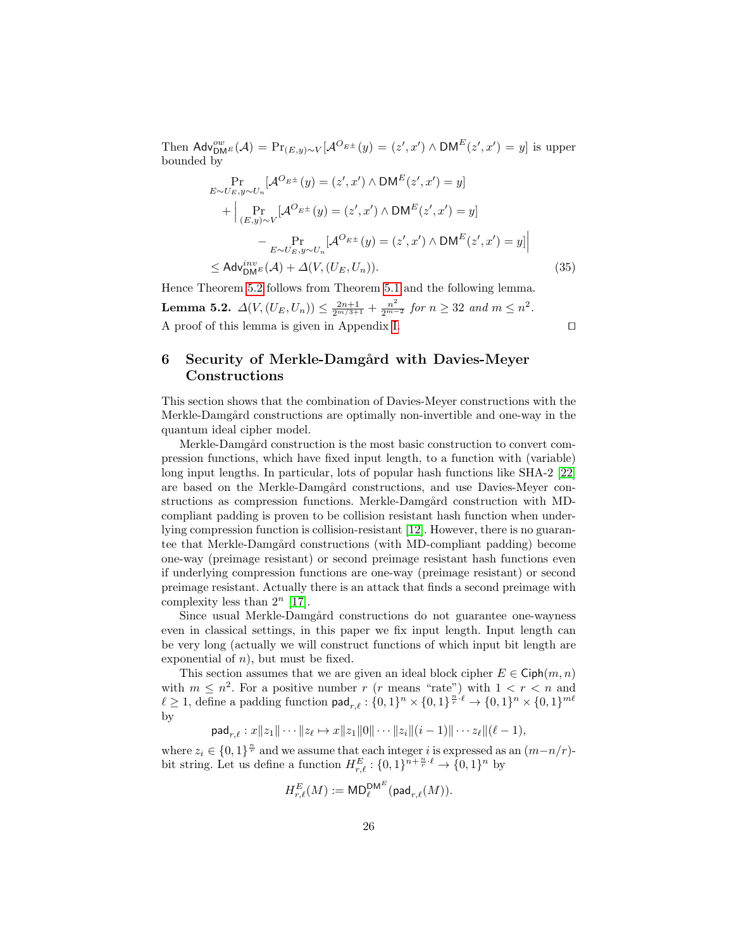Then  $\mathsf{Adv}_{\mathsf{DM}^E}^{ow}(\mathcal{A}) = \Pr_{(E,y)\sim V}[\mathcal{A}^{O_{E^\pm}}(y) = (z',x') \wedge \mathsf{DM}^E(z',x') = y]$  is upper bounded by

<span id="page-25-0"></span>
$$
\Pr_{E \sim U_E, y \sim U_n}[\mathcal{A}^{O_{E^{\pm}}}(y) = (z', x') \land \text{DM}^E(z', x') = y]
$$
\n
$$
+ \left| \Pr_{(E, y) \sim V}[\mathcal{A}^{O_{E^{\pm}}}(y) = (z', x') \land \text{DM}^E(z', x') = y] \right|
$$
\n
$$
- \Pr_{E \sim U_E, y \sim U_n}[\mathcal{A}^{O_{E^{\pm}}}(y) = (z', x') \land \text{DM}^E(z', x') = y] \right|
$$
\n
$$
\leq \text{Adv}_{\text{DM}^E}^{inv}(\mathcal{A}) + \Delta(V, (U_E, U_n)). \tag{35}
$$

Hence Theorem [5.2](#page-24-1) follows from Theorem [5.1](#page-20-1) and the following lemma. **Lemma 5.2.**  $\Delta(V, (U_E, U_n)) \leq \frac{2n+1}{2^{m/3+1}} + \frac{n^2}{2^{m-2}}$  for  $n \geq 32$  and  $m \leq n^2$ . A proof of this lemma is given in Appendix [I.](#page-52-0)  $\Box$ 

# 6 Security of Merkle-Damgård with Davies-Meyer Constructions

This section shows that the combination of Davies-Meyer constructions with the Merkle-Damgård constructions are optimally non-invertible and one-way in the quantum ideal cipher model.

Merkle-Damgård construction is the most basic construction to convert compression functions, which have fixed input length, to a function with (variable) long input lengths. In particular, lots of popular hash functions like SHA-2 [\[22\]](#page-29-4) are based on the Merkle-Damgård constructions, and use Davies-Meyer constructions as compression functions. Merkle-Damgård construction with MDcompliant padding is proven to be collision resistant hash function when underlying compression function is collision-resistant [\[12\]](#page-28-13). However, there is no guarantee that Merkle-Damgård constructions (with MD-compliant padding) become one-way (preimage resistant) or second preimage resistant hash functions even if underlying compression functions are one-way (preimage resistant) or second preimage resistant. Actually there is an attack that finds a second preimage with complexity less than  $2^n$  [\[17\]](#page-28-14).

Since usual Merkle-Damgård constructions do not guarantee one-wayness even in classical settings, in this paper we fix input length. Input length can be very long (actually we will construct functions of which input bit length are exponential of  $n$ , but must be fixed.

This section assumes that we are given an ideal block cipher  $E \in \text{Ciph}(m, n)$ with  $m \leq n^2$ . For a positive number r (r means "rate") with  $1 < r < n$  and  $\ell \geq 1$ , define a padding function  $\textsf{pad}_{r,\ell} : \{0,1\}^n \times \{0,1\}^{\frac{n}{r} \cdot \ell} \to \{0,1\}^n \times \{0,1\}^{m\ell}$ by

$$
\mathsf{pad}_{r,\ell}: x\|z_1\|\cdots\|z_\ell \mapsto x\|z_1\|0\|\cdots\|z_i\|(i-1)\|\cdots z_\ell\|(\ell-1),
$$

where  $z_i \in \{0,1\}^{\frac{n}{r}}$  and we assume that each integer i is expressed as an  $(m-n/r)$ bit string. Let us define a function  $H_{r,\ell}^E : \{0,1\}^{\overline{n} + \frac{n}{r}\cdot\ell} \to \{0,1\}^n$  by

$$
H_{r,\ell}^{E}(M):= \mathsf{MD}_{\ell}^{\mathsf{DM}^E}(\mathsf{pad}_{r,\ell}(M)).
$$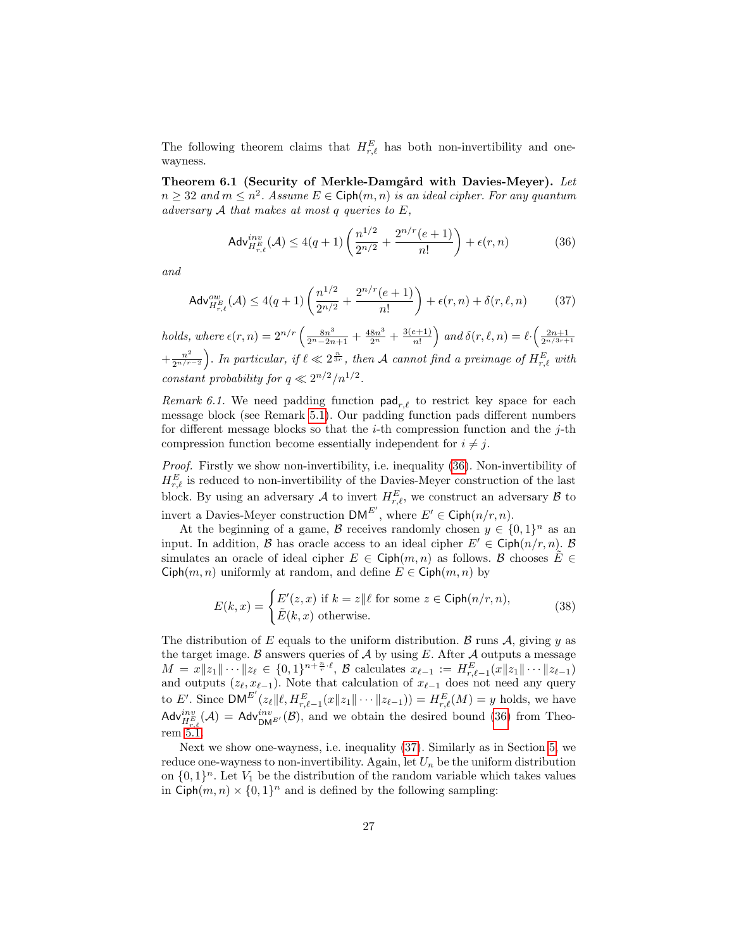The following theorem claims that  $H_{r,\ell}^E$  has both non-invertibility and onewayness.

Theorem 6.1 (Security of Merkle-Damgård with Davies-Meyer). Let  $n \geq 32$  and  $m \leq n^2$ . Assume  $E \in \textsf{Ciph}(m, n)$  is an ideal cipher. For any quantum adversary  $A$  that makes at most  $q$  queries to  $E$ ,

<span id="page-26-0"></span>
$$
\mathsf{Adv}_{H_{r,\ell}^{E}}^{inv}(\mathcal{A}) \le 4(q+1) \left( \frac{n^{1/2}}{2^{n/2}} + \frac{2^{n/r}(e+1)}{n!} \right) + \epsilon(r,n) \tag{36}
$$

and

<span id="page-26-1"></span>
$$
\mathsf{Adv}_{H_{r,\ell}^E}^{\mathit{ow}}(\mathcal{A}) \le 4(q+1) \left( \frac{n^{1/2}}{2^{n/2}} + \frac{2^{n/r}(e+1)}{n!} \right) + \epsilon(r,n) + \delta(r,\ell,n) \tag{37}
$$

holds, where  $\epsilon(r, n) = 2^{n/r} \left( \frac{8n^3}{2^n - 2n + 1} + \frac{48n^3}{2^n} + \frac{3(e+1)}{n!} \right)$  $\binom{n!}{n!}$  and  $\delta(r,\ell,n) = \ell \cdot \left( \frac{2n+1}{2^{n/3r+1}} \right)$  $+\frac{n^2}{2n/r}$  $\frac{n^2}{2^{n/r-2}}$ ). In particular, if  $\ell \ll 2^{\frac{n}{3r}}$ , then A cannot find a preimage of  $H_{r,\ell}^E$  with constant probability for  $q \ll 2^{n/2}/n^{1/2}$ .

Remark 6.1. We need padding function  $pad_{r,\ell}$  to restrict key space for each message block (see Remark [5.1\)](#page-21-1). Our padding function pads different numbers for different message blocks so that the *i*-th compression function and the *j*-th compression function become essentially independent for  $i \neq j$ .

Proof. Firstly we show non-invertibility, i.e. inequality [\(36\)](#page-26-0). Non-invertibility of  $H_{r,\ell}^E$  is reduced to non-invertibility of the Davies-Meyer construction of the last block. By using an adversary  $\mathcal A$  to invert  $H_{r,\ell}^E$ , we construct an adversary  $\mathcal B$  to invert a Davies-Meyer construction  $\mathsf{DM}^{E'}$ , where  $E' \in \mathsf{Ciph}(n/r, n)$ .

At the beginning of a game, B receives randomly chosen  $y \in \{0,1\}^n$  as an input. In addition, B has oracle access to an ideal cipher  $E' \in \text{Ciph}(n/r, n)$ . B simulates an oracle of ideal cipher  $E \in \text{Ciph}(m, n)$  as follows. B chooses  $E \in$  $Ciph(m, n)$  uniformly at random, and define  $E \in Ciph(m, n)$  by

$$
E(k, x) = \begin{cases} E'(z, x) \text{ if } k = z \parallel \ell \text{ for some } z \in \text{Ciph}(n/r, n), \\ \tilde{E}(k, x) \text{ otherwise.} \end{cases}
$$
(38)

The distribution of E equals to the uniform distribution. B runs A, giving y as the target image. B answers queries of  $A$  by using E. After  $A$  outputs a message  $M = x||z_1|| \cdots ||z_\ell \in \{0,1\}^{n+\frac{n}{r}\cdot \ell}, \mathcal{B} \text{ calculates } x_{\ell-1} := H_{r,\ell-1}^E(x||z_1|| \cdots ||z_{\ell-1})$ and outputs  $(z_{\ell}, x_{\ell-1})$ . Note that calculation of  $x_{\ell-1}$  does not need any query to E'. Since  $\text{DM}^{E'}(z_{\ell}||\ell, H_{r,\ell-1}^E(x||z_1|| \cdots ||z_{\ell-1})) = H_{r,\ell}^E(M) = y$  holds, we have  $\mathsf{Adv}_{H_{r,\ell}^{E}}^{inv}(\mathcal{A}) = \mathsf{Adv}_{\mathsf{DM}^{E}}^{inv}(\mathcal{B}),$  and we obtain the desired bound [\(36\)](#page-26-0) from Theorem [5.1.](#page-20-1)

Next we show one-wayness, i.e. inequality [\(37\)](#page-26-1). Similarly as in Section [5,](#page-20-2) we reduce one-wayness to non-invertibility. Again, let  $U_n$  be the uniform distribution on  $\{0,1\}^n$ . Let  $V_1$  be the distribution of the random variable which takes values in Ciph $(m, n) \times \{0, 1\}^n$  and is defined by the following sampling: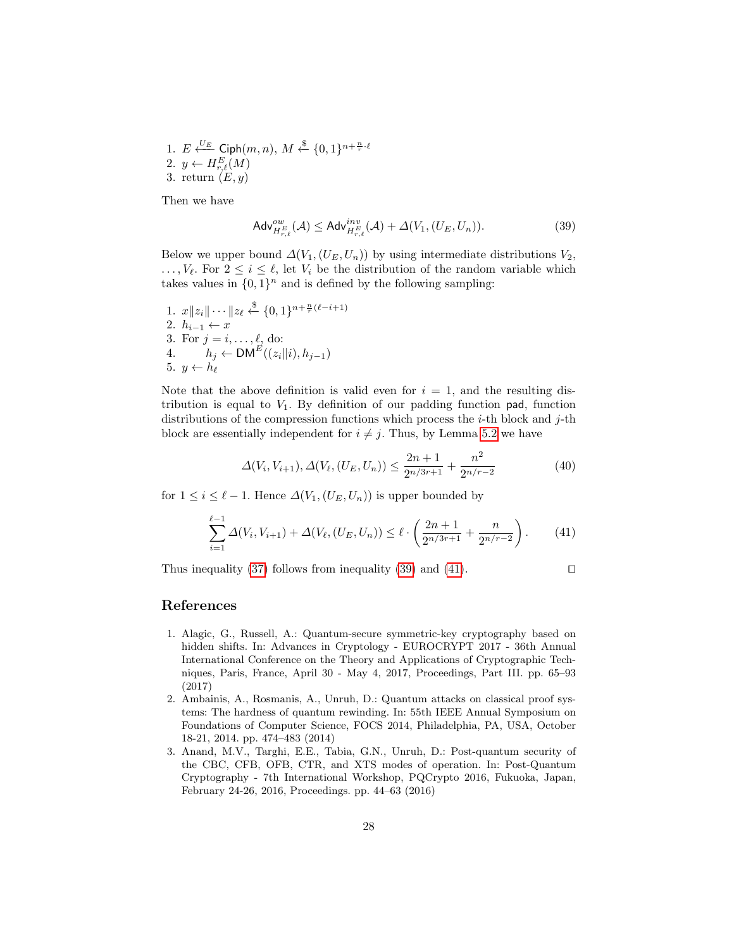1.  $E \stackrel{U_E}{\longleftarrow}$  Ciph $(m, n), M \stackrel{\$}{\leftarrow} \{0, 1\}^{n + \frac{n}{r} \cdot \ell}$ 2.  $y \leftarrow H_{r,\ell}^E(M)$ 3. return  $(E, y)$ 

Then we have

<span id="page-27-3"></span>
$$
\mathsf{Adv}_{H_{r,\ell}^p}^{\mathsf{ow}}(\mathcal{A}) \leq \mathsf{Adv}_{H_{r,\ell}^p}^{\mathsf{inv}}(\mathcal{A}) + \Delta(V_1, (U_E, U_n)).\tag{39}
$$

Below we upper bound  $\Delta(V_1,(U_E,U_n))$  by using intermediate distributions  $V_2$ ,  $\ldots, V_{\ell}$ . For  $2 \leq i \leq \ell$ , let  $V_i$  be the distribution of the random variable which takes values in  $\{0,1\}^n$  and is defined by the following sampling:

1. 
$$
x ||z_i|| \cdots ||z_\ell \stackrel{\$}{\leftarrow} \{0,1\}^{n + \frac{n}{r}(\ell - i + 1)}
$$
  
\n2.  $h_{i-1} \leftarrow x$   
\n3. For  $j = i, ..., \ell$ , do:  
\n4.  $h_j \leftarrow \text{DM}^E((z_i || i), h_{j-1})$   
\n5.  $y \leftarrow h_\ell$ 

Note that the above definition is valid even for  $i = 1$ , and the resulting distribution is equal to  $V_1$ . By definition of our padding function pad, function distributions of the compression functions which process the *i*-th block and *j*-th block are essentially independent for  $i \neq j$ . Thus, by Lemma [5.2](#page-25-0) we have

<span id="page-27-4"></span>
$$
\Delta(V_i, V_{i+1}), \Delta(V_\ell, (U_E, U_n)) \le \frac{2n+1}{2^{n/3r+1}} + \frac{n^2}{2^{n/r-2}} \tag{40}
$$

for  $1 \leq i \leq \ell - 1$ . Hence  $\Delta(V_1,(U_E,U_n))$  is upper bounded by

$$
\sum_{i=1}^{\ell-1} \Delta(V_i, V_{i+1}) + \Delta(V_{\ell}, (U_E, U_n)) \le \ell \cdot \left(\frac{2n+1}{2^{n/3r+1}} + \frac{n}{2^{n/r-2}}\right). \tag{41}
$$

Thus inequality [\(37\)](#page-26-1) follows from inequality [\(39\)](#page-27-3) and [\(41\)](#page-27-4).  $\Box$ 

## References

- <span id="page-27-1"></span>1. Alagic, G., Russell, A.: Quantum-secure symmetric-key cryptography based on hidden shifts. In: Advances in Cryptology - EUROCRYPT 2017 - 36th Annual International Conference on the Theory and Applications of Cryptographic Techniques, Paris, France, April 30 - May 4, 2017, Proceedings, Part III. pp. 65–93 (2017)
- <span id="page-27-0"></span>2. Ambainis, A., Rosmanis, A., Unruh, D.: Quantum attacks on classical proof systems: The hardness of quantum rewinding. In: 55th IEEE Annual Symposium on Foundations of Computer Science, FOCS 2014, Philadelphia, PA, USA, October 18-21, 2014. pp. 474–483 (2014)
- <span id="page-27-2"></span>3. Anand, M.V., Targhi, E.E., Tabia, G.N., Unruh, D.: Post-quantum security of the CBC, CFB, OFB, CTR, and XTS modes of operation. In: Post-Quantum Cryptography - 7th International Workshop, PQCrypto 2016, Fukuoka, Japan, February 24-26, 2016, Proceedings. pp. 44–63 (2016)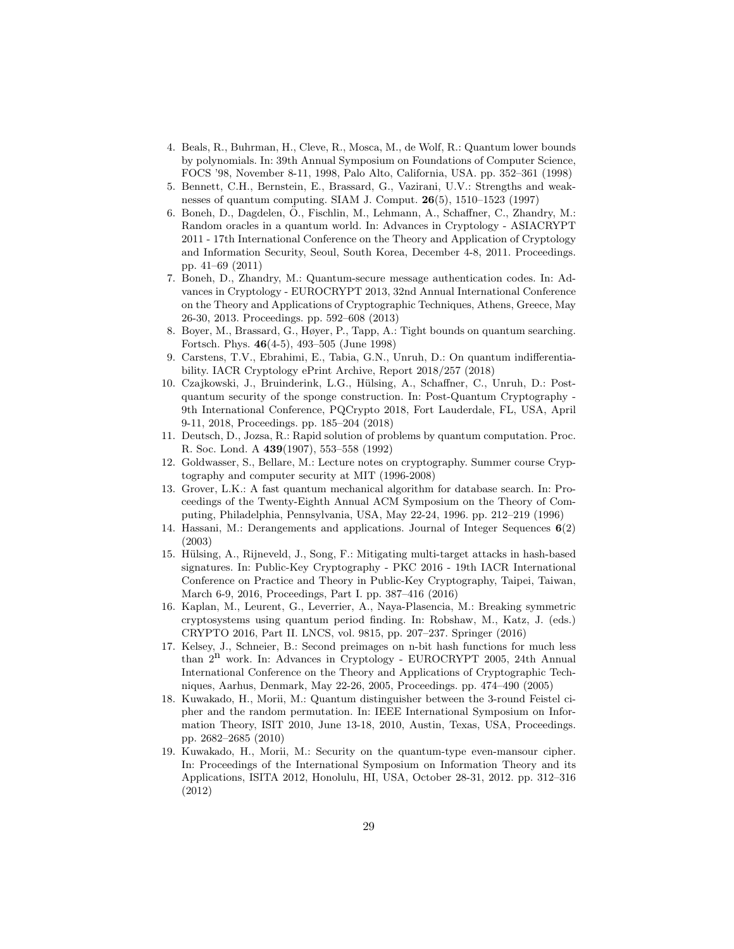- <span id="page-28-10"></span>4. Beals, R., Buhrman, H., Cleve, R., Mosca, M., de Wolf, R.: Quantum lower bounds by polynomials. In: 39th Annual Symposium on Foundations of Computer Science, FOCS '98, November 8-11, 1998, Palo Alto, California, USA. pp. 352–361 (1998)
- <span id="page-28-5"></span>5. Bennett, C.H., Bernstein, E., Brassard, G., Vazirani, U.V.: Strengths and weaknesses of quantum computing. SIAM J. Comput. 26(5), 1510–1523 (1997)
- <span id="page-28-7"></span>6. Boneh, D., Dagdelen, O., Fischlin, M., Lehmann, A., Schaffner, C., Zhandry, M.: ¨ Random oracles in a quantum world. In: Advances in Cryptology - ASIACRYPT 2011 - 17th International Conference on the Theory and Application of Cryptology and Information Security, Seoul, South Korea, December 4-8, 2011. Proceedings. pp. 41–69 (2011)
- <span id="page-28-3"></span>7. Boneh, D., Zhandry, M.: Quantum-secure message authentication codes. In: Advances in Cryptology - EUROCRYPT 2013, 32nd Annual International Conference on the Theory and Applications of Cryptographic Techniques, Athens, Greece, May 26-30, 2013. Proceedings. pp. 592–608 (2013)
- <span id="page-28-12"></span>8. Boyer, M., Brassard, G., Høyer, P., Tapp, A.: Tight bounds on quantum searching. Fortsch. Phys. 46(4-5), 493–505 (June 1998)
- <span id="page-28-4"></span>9. Carstens, T.V., Ebrahimi, E., Tabia, G.N., Unruh, D.: On quantum indifferentiability. IACR Cryptology ePrint Archive, Report 2018/257 (2018)
- <span id="page-28-8"></span>10. Czajkowski, J., Bruinderink, L.G., H¨ulsing, A., Schaffner, C., Unruh, D.: Postquantum security of the sponge construction. In: Post-Quantum Cryptography - 9th International Conference, PQCrypto 2018, Fort Lauderdale, FL, USA, April 9-11, 2018, Proceedings. pp. 185–204 (2018)
- <span id="page-28-15"></span>11. Deutsch, D., Jozsa, R.: Rapid solution of problems by quantum computation. Proc. R. Soc. Lond. A 439(1907), 553–558 (1992)
- <span id="page-28-13"></span>12. Goldwasser, S., Bellare, M.: Lecture notes on cryptography. Summer course Cryptography and computer security at MIT (1996-2008)
- <span id="page-28-11"></span>13. Grover, L.K.: A fast quantum mechanical algorithm for database search. In: Proceedings of the Twenty-Eighth Annual ACM Symposium on the Theory of Computing, Philadelphia, Pennsylvania, USA, May 22-24, 1996. pp. 212–219 (1996)
- <span id="page-28-9"></span>14. Hassani, M.: Derangements and applications. Journal of Integer Sequences 6(2) (2003)
- <span id="page-28-6"></span>15. Hülsing, A., Rijneveld, J., Song, F.: Mitigating multi-target attacks in hash-based signatures. In: Public-Key Cryptography - PKC 2016 - 19th IACR International Conference on Practice and Theory in Public-Key Cryptography, Taipei, Taiwan, March 6-9, 2016, Proceedings, Part I. pp. 387–416 (2016)
- <span id="page-28-2"></span>16. Kaplan, M., Leurent, G., Leverrier, A., Naya-Plasencia, M.: Breaking symmetric cryptosystems using quantum period finding. In: Robshaw, M., Katz, J. (eds.) CRYPTO 2016, Part II. LNCS, vol. 9815, pp. 207–237. Springer (2016)
- <span id="page-28-14"></span>17. Kelsey, J., Schneier, B.: Second preimages on n-bit hash functions for much less than  $2^n$  work. In: Advances in Cryptology - EUROCRYPT 2005, 24th Annual International Conference on the Theory and Applications of Cryptographic Techniques, Aarhus, Denmark, May 22-26, 2005, Proceedings. pp. 474–490 (2005)
- <span id="page-28-0"></span>18. Kuwakado, H., Morii, M.: Quantum distinguisher between the 3-round Feistel cipher and the random permutation. In: IEEE International Symposium on Information Theory, ISIT 2010, June 13-18, 2010, Austin, Texas, USA, Proceedings. pp. 2682–2685 (2010)
- <span id="page-28-1"></span>19. Kuwakado, H., Morii, M.: Security on the quantum-type even-mansour cipher. In: Proceedings of the International Symposium on Information Theory and its Applications, ISITA 2012, Honolulu, HI, USA, October 28-31, 2012. pp. 312–316 (2012)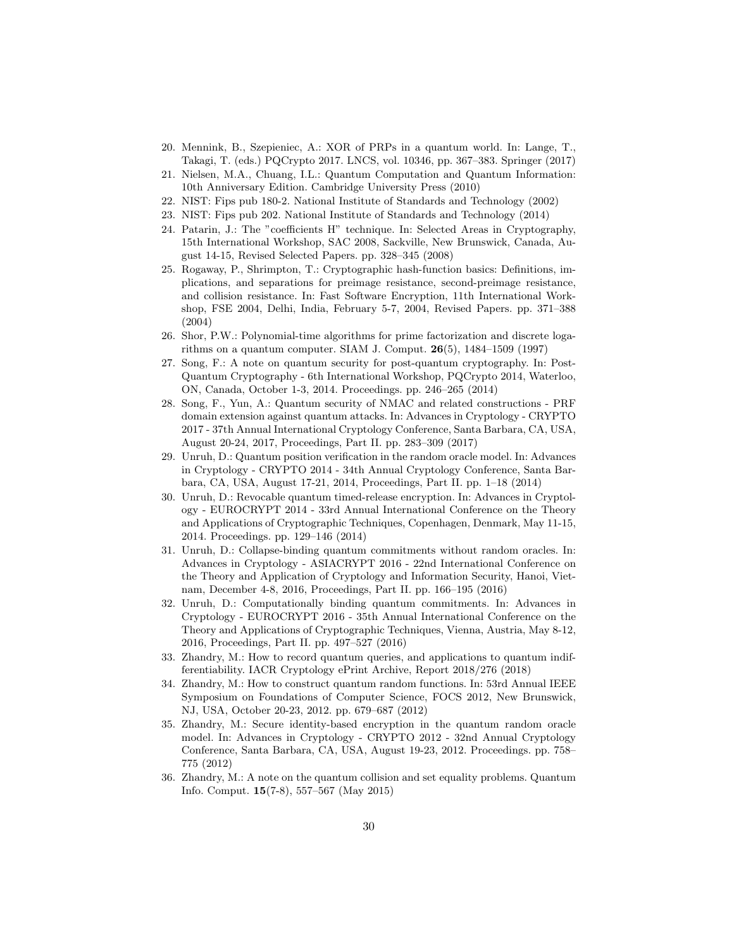- <span id="page-29-11"></span>20. Mennink, B., Szepieniec, A.: XOR of PRPs in a quantum world. In: Lange, T., Takagi, T. (eds.) PQCrypto 2017. LNCS, vol. 10346, pp. 367–383. Springer (2017)
- <span id="page-29-16"></span>21. Nielsen, M.A., Chuang, I.L.: Quantum Computation and Quantum Information: 10th Anniversary Edition. Cambridge University Press (2010)
- <span id="page-29-4"></span>22. NIST: Fips pub 180-2. National Institute of Standards and Technology (2002)
- <span id="page-29-3"></span>23. NIST: Fips pub 202. National Institute of Standards and Technology (2014)
- <span id="page-29-15"></span>24. Patarin, J.: The "coefficients H" technique. In: Selected Areas in Cryptography, 15th International Workshop, SAC 2008, Sackville, New Brunswick, Canada, August 14-15, Revised Selected Papers. pp. 328–345 (2008)
- <span id="page-29-6"></span>25. Rogaway, P., Shrimpton, T.: Cryptographic hash-function basics: Definitions, implications, and separations for preimage resistance, second-preimage resistance, and collision resistance. In: Fast Software Encryption, 11th International Workshop, FSE 2004, Delhi, India, February 5-7, 2004, Revised Papers. pp. 371–388 (2004)
- <span id="page-29-0"></span>26. Shor, P.W.: Polynomial-time algorithms for prime factorization and discrete logarithms on a quantum computer. SIAM J. Comput. 26(5), 1484–1509 (1997)
- <span id="page-29-2"></span>27. Song, F.: A note on quantum security for post-quantum cryptography. In: Post-Quantum Cryptography - 6th International Workshop, PQCrypto 2014, Waterloo, ON, Canada, October 1-3, 2014. Proceedings. pp. 246–265 (2014)
- <span id="page-29-5"></span>28. Song, F., Yun, A.: Quantum security of NMAC and related constructions - PRF domain extension against quantum attacks. In: Advances in Cryptology - CRYPTO 2017 - 37th Annual International Cryptology Conference, Santa Barbara, CA, USA, August 20-24, 2017, Proceedings, Part II. pp. 283–309 (2017)
- <span id="page-29-8"></span>29. Unruh, D.: Quantum position verification in the random oracle model. In: Advances in Cryptology - CRYPTO 2014 - 34th Annual Cryptology Conference, Santa Barbara, CA, USA, August 17-21, 2014, Proceedings, Part II. pp. 1–18 (2014)
- <span id="page-29-7"></span>30. Unruh, D.: Revocable quantum timed-release encryption. In: Advances in Cryptology - EUROCRYPT 2014 - 33rd Annual International Conference on the Theory and Applications of Cryptographic Techniques, Copenhagen, Denmark, May 11-15, 2014. Proceedings. pp. 129–146 (2014)
- <span id="page-29-13"></span>31. Unruh, D.: Collapse-binding quantum commitments without random oracles. In: Advances in Cryptology - ASIACRYPT 2016 - 22nd International Conference on the Theory and Application of Cryptology and Information Security, Hanoi, Vietnam, December 4-8, 2016, Proceedings, Part II. pp. 166–195 (2016)
- <span id="page-29-12"></span>32. Unruh, D.: Computationally binding quantum commitments. In: Advances in Cryptology - EUROCRYPT 2016 - 35th Annual International Conference on the Theory and Applications of Cryptographic Techniques, Vienna, Austria, May 8-12, 2016, Proceedings, Part II. pp. 497–527 (2016)
- <span id="page-29-14"></span>33. Zhandry, M.: How to record quantum queries, and applications to quantum indifferentiability. IACR Cryptology ePrint Archive, Report 2018/276 (2018)
- <span id="page-29-1"></span>34. Zhandry, M.: How to construct quantum random functions. In: 53rd Annual IEEE Symposium on Foundations of Computer Science, FOCS 2012, New Brunswick, NJ, USA, October 20-23, 2012. pp. 679–687 (2012)
- <span id="page-29-9"></span>35. Zhandry, M.: Secure identity-based encryption in the quantum random oracle model. In: Advances in Cryptology - CRYPTO 2012 - 32nd Annual Cryptology Conference, Santa Barbara, CA, USA, August 19-23, 2012. Proceedings. pp. 758– 775 (2012)
- <span id="page-29-10"></span>36. Zhandry, M.: A note on the quantum collision and set equality problems. Quantum Info. Comput. 15(7-8), 557–567 (May 2015)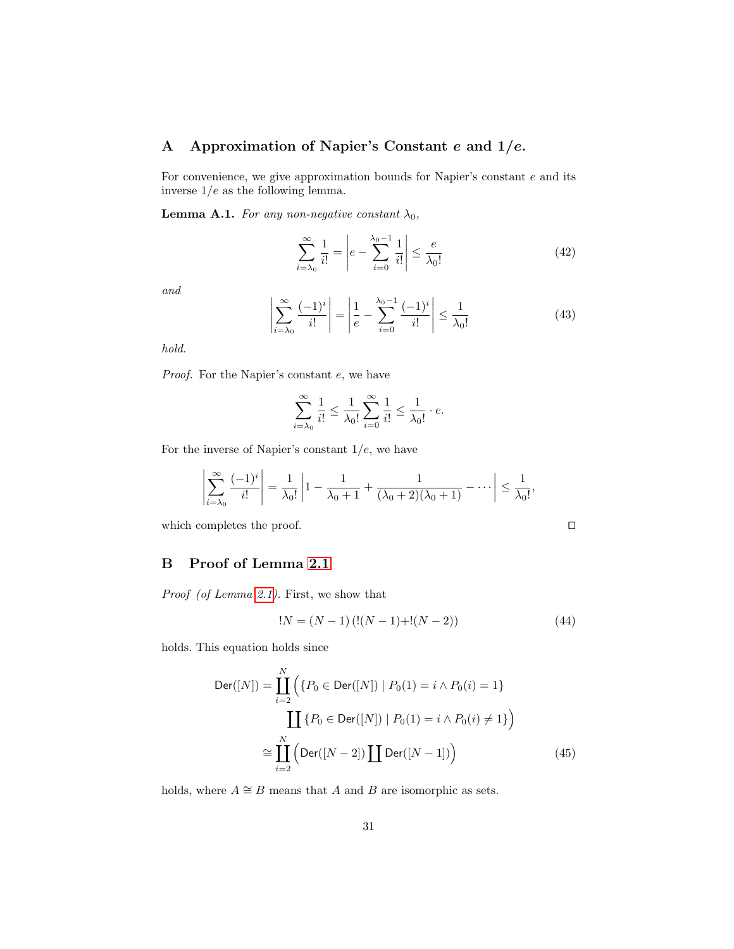# A Approximation of Napier's Constant e and 1/e.

For convenience, we give approximation bounds for Napier's constant  $e$  and its inverse  $1/e$  as the following lemma.

**Lemma A.1.** For any non-negative constant  $\lambda_0$ ,

<span id="page-30-1"></span>
$$
\sum_{i=\lambda_0}^{\infty} \frac{1}{i!} = \left| e - \sum_{i=0}^{\lambda_0 - 1} \frac{1}{i!} \right| \le \frac{e}{\lambda_0!}
$$
 (42)

and

$$
\left| \sum_{i=\lambda_0}^{\infty} \frac{(-1)^i}{i!} \right| = \left| \frac{1}{e} - \sum_{i=0}^{\lambda_0 - 1} \frac{(-1)^i}{i!} \right| \le \frac{1}{\lambda_0!} \tag{43}
$$

hold.

Proof. For the Napier's constant  $e$ , we have

$$
\sum_{i=\lambda_0}^{\infty} \frac{1}{i!} \le \frac{1}{\lambda_0!} \sum_{i=0}^{\infty} \frac{1}{i!} \le \frac{1}{\lambda_0!} \cdot e.
$$

For the inverse of Napier's constant  $1/e$ , we have

$$
\left|\sum_{i=\lambda_0}^{\infty} \frac{(-1)^i}{i!}\right| = \frac{1}{\lambda_0!} \left|1 - \frac{1}{\lambda_0 + 1} + \frac{1}{(\lambda_0 + 2)(\lambda_0 + 1)} - \cdots\right| \le \frac{1}{\lambda_0!},
$$

which completes the proof.  $\hfill \square$ 

# <span id="page-30-0"></span>B Proof of Lemma [2.1](#page-5-0)

Proof (of Lemma [2.1\)](#page-5-0). First, we show that

<span id="page-30-2"></span>
$$
!N = (N-1) \left( (N-1) + (N-2) \right) \tag{44}
$$

holds. This equation holds since

$$
\text{Der}([N]) = \coprod_{i=2}^{N} \left( \{ P_0 \in \text{Der}([N]) \mid P_0(1) = i \land P_0(i) = 1 \} \coprod \{ P_0 \in \text{Der}([N]) \mid P_0(1) = i \land P_0(i) \neq 1 \} \right)
$$

$$
\cong \coprod_{i=2}^{N} \left( \text{Der}([N-2]) \coprod \text{Der}([N-1]) \right) \tag{45}
$$

holds, where  $A \cong B$  means that A and B are isomorphic as sets.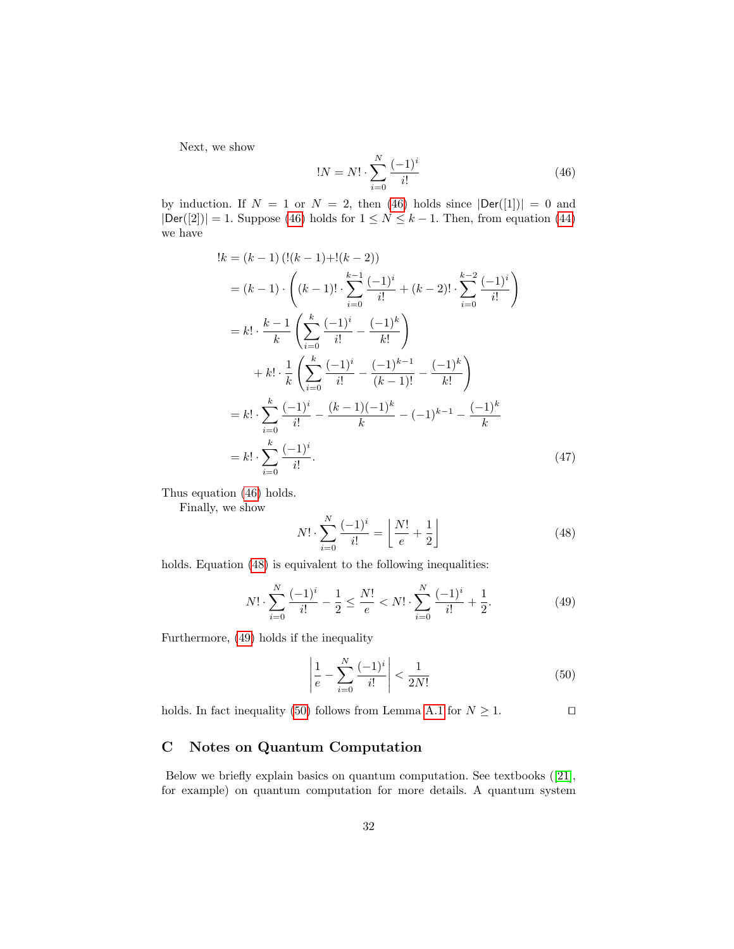Next, we show

<span id="page-31-1"></span>
$$
!N = N! \cdot \sum_{i=0}^{N} \frac{(-1)^i}{i!}
$$
 (46)

by induction. If  $N = 1$  or  $N = 2$ , then [\(46\)](#page-31-1) holds since  $|\text{Der}([1])| = 0$  and  $|Der([2])| = 1$ . Suppose [\(46\)](#page-31-1) holds for  $1 \le N \le k-1$ . Then, from equation [\(44\)](#page-30-2) we have

$$
lk = (k - 1) \left( \frac{((k - 1) + ((k - 2))}{k - 1} \right)
$$
  
\n
$$
= (k - 1) \cdot \left( (k - 1)! \cdot \sum_{i=0}^{k-1} \frac{(-1)^i}{i!} + (k - 2)! \cdot \sum_{i=0}^{k-2} \frac{(-1)^i}{i!} \right)
$$
  
\n
$$
= k! \cdot \frac{k - 1}{k} \left( \sum_{i=0}^{k} \frac{(-1)^i}{i!} - \frac{(-1)^k}{k!} \right)
$$
  
\n
$$
+ k! \cdot \frac{1}{k} \left( \sum_{i=0}^{k} \frac{(-1)^i}{i!} - \frac{(-1)^{k-1}}{(k-1)!} - \frac{(-1)^k}{k!} \right)
$$
  
\n
$$
= k! \cdot \sum_{i=0}^{k} \frac{(-1)^i}{i!} - \frac{(k - 1)(-1)^k}{k} - (-1)^{k-1} - \frac{(-1)^k}{k}
$$
  
\n
$$
= k! \cdot \sum_{i=0}^{k} \frac{(-1)^i}{i!}.
$$
  
\n(47)

Thus equation [\(46\)](#page-31-1) holds.

Finally, we show

<span id="page-31-2"></span>
$$
N! \cdot \sum_{i=0}^{N} \frac{(-1)^i}{i!} = \left\lfloor \frac{N!}{e} + \frac{1}{2} \right\rfloor \tag{48}
$$

holds. Equation  $(48)$  is equivalent to the following inequalities:

<span id="page-31-3"></span>
$$
N! \cdot \sum_{i=0}^{N} \frac{(-1)^i}{i!} - \frac{1}{2} \le \frac{N!}{e} < N! \cdot \sum_{i=0}^{N} \frac{(-1)^i}{i!} + \frac{1}{2}.\tag{49}
$$

Furthermore, [\(49\)](#page-31-3) holds if the inequality

<span id="page-31-4"></span>
$$
\left| \frac{1}{e} - \sum_{i=0}^{N} \frac{(-1)^i}{i!} \right| < \frac{1}{2N!} \tag{50}
$$

holds. In fact inequality [\(50\)](#page-31-4) follows from Lemma [A.1](#page-30-1) for  $N \ge 1$ .

# <span id="page-31-0"></span>C Notes on Quantum Computation

Below we briefly explain basics on quantum computation. See textbooks ([\[21\]](#page-29-16), for example) on quantum computation for more details. A quantum system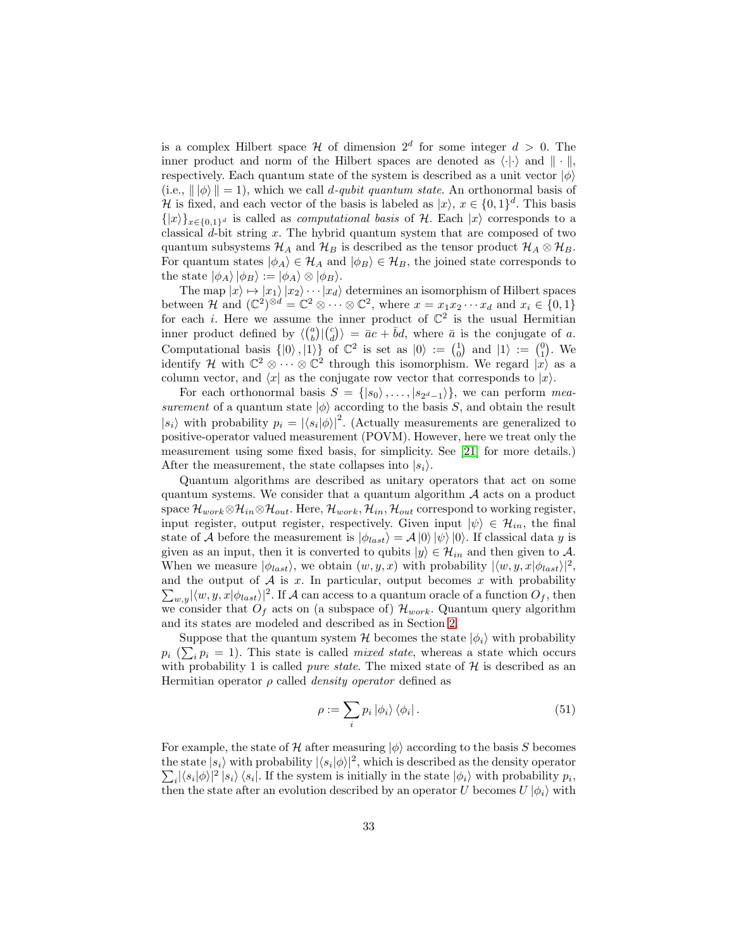is a complex Hilbert space  $\mathcal H$  of dimension  $2^d$  for some integer  $d > 0$ . The inner product and norm of the Hilbert spaces are denoted as  $\langle \cdot | \cdot \rangle$  and  $\| \cdot \|$ , respectively. Each quantum state of the system is described as a unit vector  $|\phi\rangle$ (i.e.,  $\|\phi\| = 1$ ), which we call *d-qubit quantum state*. An orthonormal basis of H is fixed, and each vector of the basis is labeled as  $|x\rangle$ ,  $x \in \{0,1\}^d$ . This basis  $\{|x\rangle\}_{x\in\{0,1\}^d}$  is called as *computational basis* of H. Each  $|x\rangle$  corresponds to a classical  $d$ -bit string  $x$ . The hybrid quantum system that are composed of two quantum subsystems  $\mathcal{H}_A$  and  $\mathcal{H}_B$  is described as the tensor product  $\mathcal{H}_A \otimes \mathcal{H}_B$ . For quantum states  $|\phi_A\rangle \in \mathcal{H}_A$  and  $|\phi_B\rangle \in \mathcal{H}_B$ , the joined state corresponds to the state  $|\phi_A\rangle |\phi_B\rangle := |\phi_A\rangle \otimes |\phi_B\rangle$ .

The map  $|x\rangle \mapsto |x_1\rangle |x_2\rangle \cdots |x_d\rangle$  determines an isomorphism of Hilbert spaces between H and  $(\mathbb{C}^2)^{\otimes d} = \mathbb{C}^2 \otimes \cdots \otimes \mathbb{C}^2$ , where  $x = x_1 x_2 \cdots x_d$  and  $x_i \in \{0, 1\}$ for each i. Here we assume the inner product of  $\mathbb{C}^2$  is the usual Hermitian inner product defined by  $\langle \binom{a}{b} | \binom{c}{d} \rangle = \bar{a}c + \bar{b}d$ , where  $\bar{a}$  is the conjugate of a. Computational basis  $\{|0\rangle, |1\rangle\}$  of  $\mathbb{C}^2$  is set as  $|0\rangle := {1 \choose 0}$  and  $|1\rangle := {0 \choose 1}$ . We identify H with  $\mathbb{C}^2 \otimes \cdots \otimes \mathbb{C}^2$  through this isomorphism. We regard  $\ket{\vec{x}}$  as a column vector, and  $\langle x |$  as the conjugate row vector that corresponds to  $|x\rangle$ .

For each orthonormal basis  $S = \{ |s_0\rangle, \ldots, |s_{2^d-1}\rangle \}$ , we can perform measurement of a quantum state  $|\phi\rangle$  according to the basis S, and obtain the result  $|s_i\rangle$  with probability  $p_i = |\langle s_i | \phi \rangle|^2$ . (Actually measurements are generalized to positive-operator valued measurement (POVM). However, here we treat only the measurement using some fixed basis, for simplicity. See [\[21\]](#page-29-16) for more details.) After the measurement, the state collapses into  $|s_i\rangle$ .

Quantum algorithms are described as unitary operators that act on some quantum systems. We consider that a quantum algorithm  $A$  acts on a product space  $\mathcal{H}_{work} \otimes \mathcal{H}_{in} \otimes \mathcal{H}_{out}$ . Here,  $\mathcal{H}_{work}$ ,  $\mathcal{H}_{in}$ ,  $\mathcal{H}_{out}$  correspond to working register, input register, output register, respectively. Given input  $|\psi\rangle \in \mathcal{H}_{in}$ , the final state of A before the measurement is  $|\phi_{last}\rangle = A |0\rangle |\psi\rangle |0\rangle$ . If classical data y is given as an input, then it is converted to qubits  $|y\rangle \in \mathcal{H}_{in}$  and then given to A. When we measure  $|\phi_{last}\rangle$ , we obtain  $(w, y, x)$  with probability  $|\langle w, y, x|\phi_{last}\rangle|^2$ ,  $\sum_{w,y} |\langle w, y, x | \phi_{last} \rangle|^2$ . If A can access to a quantum oracle of a function  $O_f$ , then and the output of  $A$  is  $x$ . In particular, output becomes  $x$  with probability we consider that  $O_f$  acts on (a subspace of)  $\mathcal{H}_{work}$ . Quantum query algorithm and its states are modeled and described as in Section [2.](#page-4-0)

Suppose that the quantum system H becomes the state  $|\phi_i\rangle$  with probability  $p_i$  ( $\sum_i p_i = 1$ ). This state is called *mixed state*, whereas a state which occurs with probability 1 is called *pure state*. The mixed state of  $H$  is described as an Hermitian operator  $\rho$  called *density operator* defined as

$$
\rho := \sum_{i} p_i \left| \phi_i \right\rangle \left\langle \phi_i \right|.
$$
\n(51)

For example, the state of H after measuring  $|\phi\rangle$  according to the basis S becomes the state  $|s_i\rangle$  with probability  $|\langle s_i|\phi\rangle|^2$ , which is described as the density operator  $\sum_i |\langle s_i | \phi \rangle|^2 |s_i \rangle \langle s_i|$ . If the system is initially in the state  $|\phi_i \rangle$  with probability  $p_i$ , then the state after an evolution described by an operator U becomes  $U |\phi_i\rangle$  with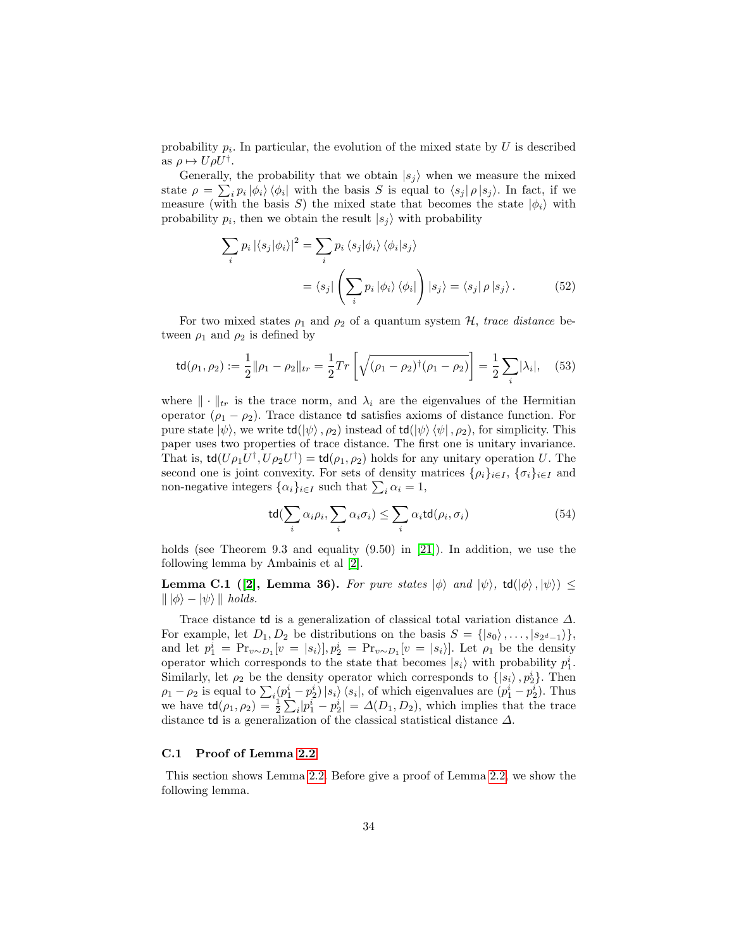probability  $p_i$ . In particular, the evolution of the mixed state by U is described as  $\rho \mapsto U \rho U^{\dagger}$ .

Generally, the probability that we obtain  $|s_j\rangle$  when we measure the mixed state  $\rho = \sum_i p_i |\phi_i\rangle \langle \phi_i|$  with the basis S is equal to  $\langle s_j | \rho | s_j \rangle$ . In fact, if we measure (with the basis S) the mixed state that becomes the state  $|\phi_i\rangle$  with probability  $p_i$ , then we obtain the result  $|s_j\rangle$  with probability

$$
\sum_{i} p_{i} |\langle s_{j} | \phi_{i} \rangle|^{2} = \sum_{i} p_{i} \langle s_{j} | \phi_{i} \rangle \langle \phi_{i} | s_{j} \rangle
$$

$$
= \langle s_{j} | \left( \sum_{i} p_{i} | \phi_{i} \rangle \langle \phi_{i} | \right) | s_{j} \rangle = \langle s_{j} | \rho | s_{j} \rangle. \tag{52}
$$

For two mixed states  $\rho_1$  and  $\rho_2$  of a quantum system H, trace distance between  $\rho_1$  and  $\rho_2$  is defined by

$$
\operatorname{td}(\rho_1, \rho_2) := \frac{1}{2} \|\rho_1 - \rho_2\|_{tr} = \frac{1}{2} Tr \left[ \sqrt{(\rho_1 - \rho_2)^{\dagger} (\rho_1 - \rho_2)} \right] = \frac{1}{2} \sum_i |\lambda_i|, \quad (53)
$$

where  $\|\cdot\|_{tr}$  is the trace norm, and  $\lambda_i$  are the eigenvalues of the Hermitian operator ( $\rho_1 - \rho_2$ ). Trace distance td satisfies axioms of distance function. For pure state  $|\psi\rangle$ , we write  $td(|\psi\rangle, \rho_2)$  instead of  $td(|\psi\rangle, \psi|, \rho_2)$ , for simplicity. This paper uses two properties of trace distance. The first one is unitary invariance. That is,  $\text{td}(U\rho_1 U^{\dagger}, U\rho_2 U^{\dagger}) = \text{td}(\rho_1, \rho_2)$  holds for any unitary operation U. The second one is joint convexity. For sets of density matrices  $\{\rho_i\}_{i\in I}$ ,  $\{\sigma_i\}_{i\in I}$  and non-negative integers  $\{\alpha_i\}_{i\in I}$  such that  $\sum_i \alpha_i = 1$ ,

<span id="page-33-3"></span><span id="page-33-2"></span>
$$
\operatorname{td}(\sum_{i} \alpha_{i} \rho_{i}, \sum_{i} \alpha_{i} \sigma_{i}) \leq \sum_{i} \alpha_{i} \operatorname{td}(\rho_{i}, \sigma_{i})
$$
(54)

holds (see Theorem 9.3 and equality  $(9.50)$  in [\[21\]](#page-29-16)). In addition, we use the following lemma by Ambainis et al [\[2\]](#page-27-0).

**Lemma C.1** ([\[2\]](#page-27-0), Lemma 36). For pure states  $|\phi\rangle$  and  $|\psi\rangle$ , td( $|\phi\rangle$ ,  $|\psi\rangle$ )  $\leq$  $\Vert \ket{\phi} - \ket{\psi} \Vert$  holds.

Trace distance td is a generalization of classical total variation distance ∆. For example, let  $D_1, D_2$  be distributions on the basis  $S = \{ |s_0\rangle, \ldots, |s_{2^d-1}\rangle \},$ and let  $p_1^i = Pr_{v \sim D_1}[v = |s_i\rangle], p_2^i = Pr_{v \sim D_1}[v = |s_i\rangle].$  Let  $\rho_1$  be the density operator which corresponds to the state that becomes  $|s_i\rangle$  with probability  $p_1^i$ . Similarly, let  $\rho_2$  be the density operator which corresponds to  $\{|s_i\rangle, p_2^i\}$ . Then  $\rho_1 - \rho_2$  is equal to  $\sum_i (p_1^i - p_2^i) |s_i\rangle \langle s_i|$ , of which eigenvalues are  $(p_1^i - p_2^i)$ . Thus we have  $\mathsf{td}(\rho_1, \rho_2) = \frac{1}{2} \sum_i |p_1^i - p_2^i| = \Delta(D_1, D_2)$ , which implies that the trace distance td is a generalization of the classical statistical distance  $\Delta$ .

### <span id="page-33-0"></span>C.1 Proof of Lemma [2.2](#page-7-2)

<span id="page-33-1"></span>This section shows Lemma [2.2.](#page-7-2) Before give a proof of Lemma [2.2,](#page-7-2) we show the following lemma.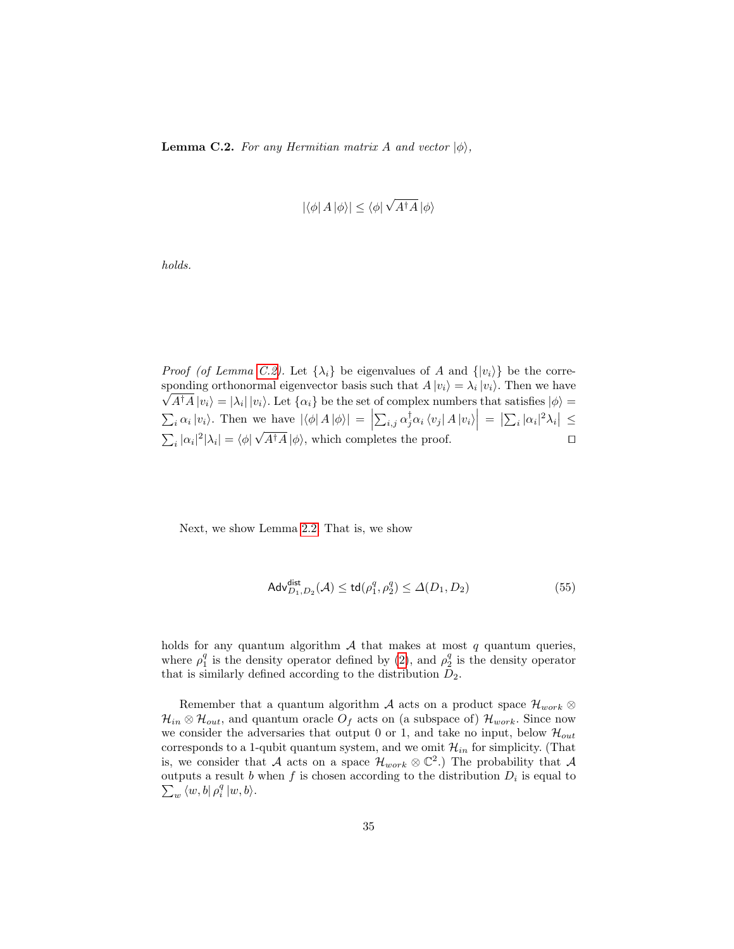**Lemma C.2.** For any Hermitian matrix A and vector  $|\phi\rangle$ ,

$$
|\langle \phi | A | \phi \rangle| \le \langle \phi | \sqrt{A^{\dagger} A} | \phi \rangle
$$

holds.

*Proof (of Lemma [C.2\)](#page-33-1).* Let  $\{\lambda_i\}$  be eigenvalues of A and  $\{|v_i\rangle\}$  be the corresponding orthonormal eigenvector basis such that  $A |v_i\rangle = \lambda_i |v_i\rangle$ . Then we have  $A^{\dagger}A|v_i\rangle = |\lambda_i| |v_i\rangle$ . Let  $\{\alpha_i\}$  be the set of complex numbers that satisfies  $|\phi\rangle =$  $\sum_i \alpha_i |v_i\rangle$ . Then we have  $|\langle \phi | A | \phi \rangle| = \left| \sum_{i,j} \alpha_j^{\dagger} \alpha_i \langle v_j | A | v_i \rangle \right| = \left| \sum_i |\alpha_i|^2 \lambda_i \right| \le$  $\sum_{i} |\alpha_i|^2 |\lambda_i| = \langle \phi | \sqrt{A^{\dagger}A} | \phi \rangle$ , which completes the proof.

Next, we show Lemma [2.2.](#page-7-2) That is, we show

$$
\mathsf{Adv}_{D_1,D_2}^{\mathsf{dist}}(\mathcal{A}) \le \mathsf{td}(\rho_1^q, \rho_2^q) \le \Delta(D_1, D_2) \tag{55}
$$

holds for any quantum algorithm  $A$  that makes at most  $q$  quantum queries, where  $\rho_1^q$  is the density operator defined by [\(2\)](#page-6-1), and  $\rho_2^q$  is the density operator that is similarly defined according to the distribution  $D_2$ .

Remember that a quantum algorithm A acts on a product space  $\mathcal{H}_{work}$  ⊗  $\mathcal{H}_{in} \otimes \mathcal{H}_{out}$ , and quantum oracle  $O_f$  acts on (a subspace of)  $\mathcal{H}_{work}$ . Since now we consider the adversaries that output 0 or 1, and take no input, below  $\mathcal{H}_{out}$ corresponds to a 1-qubit quantum system, and we omit  $\mathcal{H}_{in}$  for simplicity. (That is, we consider that A acts on a space  $\mathcal{H}_{work} \otimes \mathbb{C}^2$ .) The probability that A outputs a result b when f is chosen according to the distribution  $D_i$  is equal to  $\sum_{w}\bra{w,b}\rho_i^q\ket{w,b}.$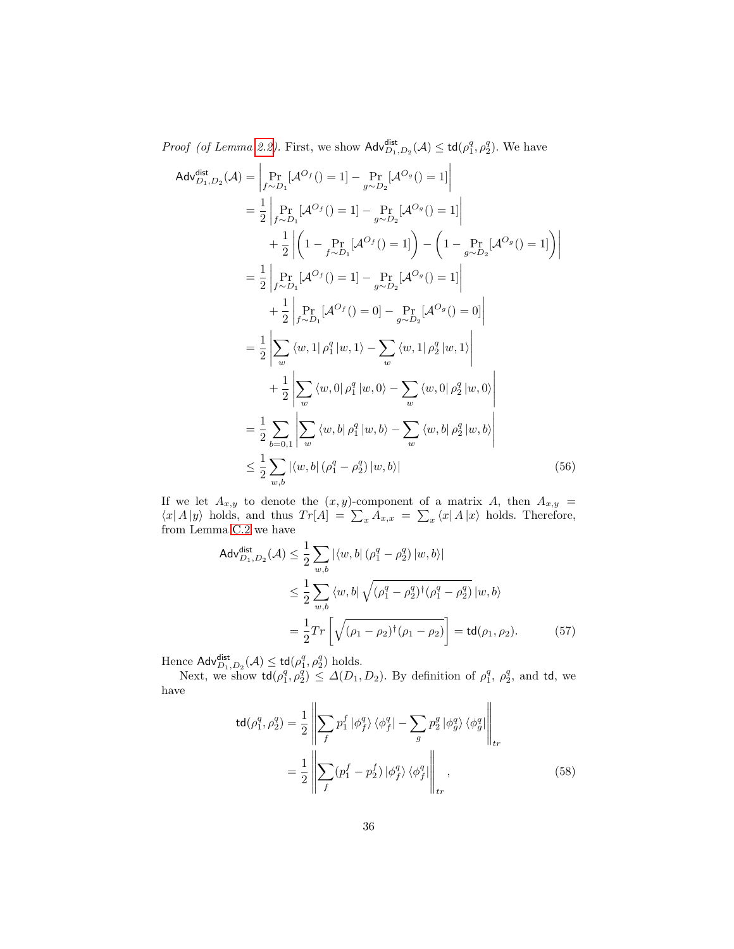*Proof (of Lemma [2.2\)](#page-7-2)*. First, we show  $\mathsf{Adv}_{D_1,D_2}^{\mathsf{dist}}(\mathcal{A}) \leq \mathsf{td}(\rho_1^q, \rho_2^q)$ . We have

$$
\begin{split}\n\text{Adv}_{D_{1},D_{2}}^{\text{dist}}(\mathcal{A}) &= \left| \Pr_{f \sim D_{1}}[\mathcal{A}^{O_{f}}() = 1] - \Pr_{g \sim D_{2}}[\mathcal{A}^{O_{g}}() = 1] \right| \\
&= \frac{1}{2} \left| \Pr_{f \sim D_{1}}[\mathcal{A}^{O_{f}}() = 1] - \Pr_{g \sim D_{2}}[\mathcal{A}^{O_{g}}() = 1] \right| \\
&\quad + \frac{1}{2} \left| \left( 1 - \Pr_{f \sim D_{1}}[\mathcal{A}^{O_{f}}() = 1] \right) - \left( 1 - \Pr_{g \sim D_{2}}[\mathcal{A}^{O_{g}}() = 1] \right) \right| \\
&= \frac{1}{2} \left| \Pr_{f \sim D_{1}}[\mathcal{A}^{O_{f}}() = 1] - \Pr_{g \sim D_{2}}[\mathcal{A}^{O_{g}}() = 1] \right| \\
&\quad + \frac{1}{2} \left| \Pr_{f \sim D_{1}}[\mathcal{A}^{O_{f}}() = 0] - \Pr_{g \sim D_{2}}[\mathcal{A}^{O_{g}}() = 0] \right| \\
&= \frac{1}{2} \left| \sum_{w} \langle w, 1 | \rho_{1}^{q} | w, 1 \rangle - \sum_{w} \langle w, 1 | \rho_{2}^{q} | w, 1 \rangle \right| \\
&\quad + \frac{1}{2} \left| \sum_{w} \langle w, 0 | \rho_{1}^{q} | w, 0 \rangle - \sum_{w} \langle w, 0 | \rho_{2}^{q} | w, 0 \rangle \right| \\
&= \frac{1}{2} \sum_{b=0,1} \left| \sum_{w} \langle w, b | \rho_{1}^{q} | w, b \rangle - \sum_{w} \langle w, b | \rho_{2}^{q} | w, b \rangle \right| \\
&\leq \frac{1}{2} \sum_{w,b} |\langle w, b | ( \rho_{1}^{q} - \rho_{2}^{q} ) | w, b \rangle| \n\end{split} \tag{56}
$$

If we let  $A_{x,y}$  to denote the  $(x, y)$ -component of a matrix A, then  $A_{x,y}$  =  $\langle x | A | y \rangle$  holds, and thus  $Tr[A] = \sum_{x} A_{x,x} = \sum_{x} \langle x | A | x \rangle$  holds. Therefore, from Lemma [C.2](#page-33-1) we have

$$
\begin{split} \mathsf{Adv}_{D_1, D_2}^{\mathsf{dist}}(\mathcal{A}) &\leq \frac{1}{2} \sum_{w, b} |\langle w, b | (\rho_1^q - \rho_2^q) | w, b \rangle| \\ &\leq \frac{1}{2} \sum_{w, b} \langle w, b | \sqrt{(\rho_1^q - \rho_2^q)^{\dagger} (\rho_1^q - \rho_2^q)} | w, b \rangle \\ &= \frac{1}{2} Tr \left[ \sqrt{(\rho_1 - \rho_2)^{\dagger} (\rho_1 - \rho_2)} \right] = \mathsf{td}(\rho_1, \rho_2). \end{split} \tag{57}
$$

Hence  $\mathsf{Adv}_{D_1,D_2}^{\mathsf{dist}}(\mathcal{A}) \leq \mathsf{td}(\rho_1^q,\rho_2^q)$  holds.

Next, we show  $\mathsf{td}(\rho_1^q, \rho_2^q) \leq \Delta(D_1, D_2)$ . By definition of  $\rho_1^q$ ,  $\rho_2^q$ , and  $\mathsf{td}$ , we have

$$
\operatorname{td}(\rho_1^q, \rho_2^q) = \frac{1}{2} \left\| \sum_f p_1^f \left| \phi_f^q \right\rangle \left\langle \phi_f^q \right| - \sum_g p_2^g \left| \phi_g^q \right\rangle \left\langle \phi_g^q \right| \right\|_{tr}
$$

$$
= \frac{1}{2} \left\| \sum_f (p_1^f - p_2^f) \left| \phi_f^q \right\rangle \left\langle \phi_f^q \right| \right\|_{tr}, \tag{58}
$$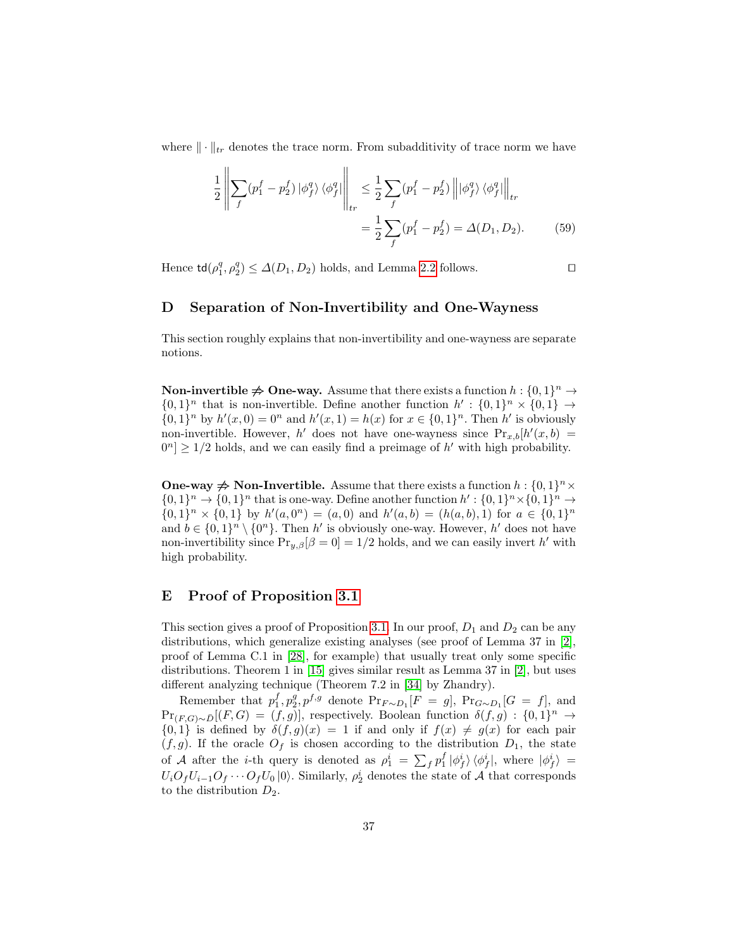where  $\|\cdot\|_{tr}$  denotes the trace norm. From subadditivity of trace norm we have

$$
\frac{1}{2} \left\| \sum_{f} (p_1^f - p_2^f) \left| \phi_f^q \right\rangle \left\langle \phi_f^q \right| \right\|_{tr} \le \frac{1}{2} \sum_{f} (p_1^f - p_2^f) \left\| \phi_f^q \right\rangle \left\langle \phi_f^q \right\|_{tr}
$$
\n
$$
= \frac{1}{2} \sum_{f} (p_1^f - p_2^f) = \Delta(D_1, D_2). \tag{59}
$$

Hence  $\mathsf{td}(\rho_1^q, \rho_2^q) \leq \Delta(D_1, D_2)$  holds, and Lemma [2.2](#page-7-2) follows.

# <span id="page-36-0"></span>D Separation of Non-Invertibility and One-Wayness

This section roughly explains that non-invertibility and one-wayness are separate notions.

**Non-invertible**  $\neq$  **One-way.** Assume that there exists a function  $h: \{0,1\}^n \to$  $\{0,1\}^n$  that is non-invertible. Define another function  $h' : \{0,1\}^n \times \{0,1\} \rightarrow$  $\{0,1\}^n$  by  $h'(x, 0) = 0^n$  and  $h'(x, 1) = h(x)$  for  $x \in \{0,1\}^n$ . Then  $h'$  is obviously non-invertible. However, h' does not have one-wayness since  $Pr_{x,b}[h'(x,b)]=$  $0^n$   $\geq 1/2$  holds, and we can easily find a preimage of h' with high probability.

**One-way**  $\neq$  **Non-Invertible.** Assume that there exists a function  $h: \{0,1\}^n \times$  $\{0,1\}^n \to \{0,1\}^n$  that is one-way. Define another function  $h' : \{0,1\}^n \times \{0,1\}^n \to$  $\{0,1\}^n \times \{0,1\}$  by  $h'(a, 0^n) = (a, 0)$  and  $h'(a, b) = (h(a, b), 1)$  for  $a \in \{0,1\}^n$ and  $b \in \{0,1\}^n \setminus \{0^n\}$ . Then h' is obviously one-way. However, h' does not have non-invertibility since  $Pr_{y,\beta}[\beta=0] = 1/2$  holds, and we can easily invert h' with high probability.

# <span id="page-36-1"></span>E Proof of Proposition [3.1](#page-11-0)

This section gives a proof of Proposition [3.1.](#page-11-0) In our proof,  $D_1$  and  $D_2$  can be any distributions, which generalize existing analyses (see proof of Lemma 37 in [\[2\]](#page-27-0), proof of Lemma C.1 in [\[28\]](#page-29-5), for example) that usually treat only some specific distributions. Theorem 1 in [\[15\]](#page-28-6) gives similar result as Lemma 37 in [\[2\]](#page-27-0), but uses different analyzing technique (Theorem 7.2 in [\[34\]](#page-29-1) by Zhandry).

Remember that  $p_1^f, p_2^g, p^{f,g}$  denote  $Pr_{F \sim D_1}[F = g]$ ,  $Pr_{G \sim D_1}[G = f]$ , and  $\Pr_{(F,G)\sim \bar{D}}[(F,G)=(f,g)],$  respectively. Boolean function  $\delta(f,g): \{0,1\}^n \to$  $\{0,1\}$  is defined by  $\delta(f,g)(x) = 1$  if and only if  $f(x) \neq g(x)$  for each pair  $(f, g)$ . If the oracle  $O_f$  is chosen according to the distribution  $D_1$ , the state of A after the *i*-th query is denoted as  $\rho_1^i = \sum_f p_1^f |\phi_f^i\rangle \langle \phi_f^i|$ , where  $|\phi_f^i\rangle =$  $U_iO_fU_{i-1}O_f\cdots O_fU_0|0\rangle$ . Similarly,  $\rho_2^i$  denotes the state of A that corresponds to the distribution  $D_2$ .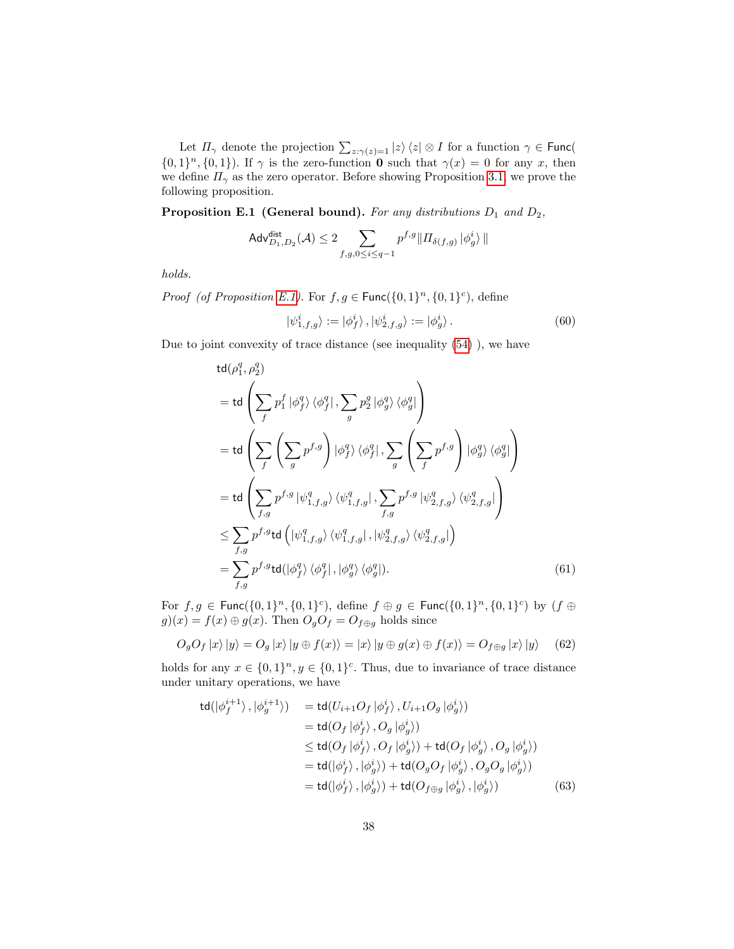Let  $\Pi_{\gamma}$  denote the projection  $\sum_{z:\gamma(z)=1} |z\rangle\langle z| \otimes I$  for a function  $\gamma \in \mathsf{Func}(I)$  $\{0,1\}^n$ ,  $\{0,1\}$ ). If  $\gamma$  is the zero-function **0** such that  $\gamma(x) = 0$  for any x, then we define  $\Pi_{\gamma}$  as the zero operator. Before showing Proposition [3.1,](#page-11-0) we prove the following proposition.

**Proposition E.1** (General bound). For any distributions  $D_1$  and  $D_2$ ,

<span id="page-37-0"></span>
$$
\mathsf{Adv}_{D_1,D_2}^{\mathsf{dist}}(\mathcal{A}) \le 2 \sum_{f,g,0 \le i \le q-1} p^{f,g} \| \Pi_{\delta(f,g)} \, |\phi_g^i\rangle \|
$$

holds.

*Proof (of Proposition [E.1\)](#page-37-0).* For  $f, g \in \text{Func}(\{0, 1\}^n, \{0, 1\}^c)$ , define

<span id="page-37-1"></span>
$$
|\psi_{1,f,g}^{i}\rangle := |\phi_{f}^{i}\rangle, |\psi_{2,f,g}^{i}\rangle := |\phi_{g}^{i}\rangle. \tag{60}
$$

Due to joint convexity of trace distance (see inequality [\(54\)](#page-33-2) ), we have

$$
\begin{split}\n\mathsf{td}(\rho_{1}^{q}, \rho_{2}^{q}) \\
&= \mathsf{td}\left(\sum_{f} p_{1}^{f} | \phi_{f}^{q} \rangle \langle \phi_{f}^{q} | , \sum_{g} p_{2}^{g} | \phi_{g}^{q} \rangle \langle \phi_{g}^{q} | \right) \\
&= \mathsf{td}\left(\sum_{f} \left(\sum_{g} p^{f,g} \right) | \phi_{f}^{q} \rangle \langle \phi_{f}^{q} | , \sum_{g} \left(\sum_{f} p^{f,g} \right) | \phi_{g}^{q} \rangle \langle \phi_{g}^{q} | \right) \\
&= \mathsf{td}\left(\sum_{f,g} p^{f,g} | \psi_{1,f,g}^{q} \rangle \langle \psi_{1,f,g}^{q} | , \sum_{f,g} p^{f,g} | \psi_{2,f,g}^{q} \rangle \langle \psi_{2,f,g}^{q} | \right) \\
&\leq \sum_{f,g} p^{f,g} \mathsf{td}\left(| \psi_{1,f,g}^{q} \rangle \langle \psi_{1,f,g}^{q} | , | \psi_{2,f,g}^{q} \rangle \langle \psi_{2,f,g}^{q} | \right) \\
&= \sum_{f,g} p^{f,g} \mathsf{td}(| \phi_{f}^{q} \rangle \langle \phi_{f}^{q} | , | \phi_{g}^{q} \rangle \langle \phi_{g}^{q} |).
$$
\n(61)

For  $f, g \in \text{Func}(\{0, 1\}^n, \{0, 1\}^c)$ , define  $f \oplus g \in \text{Func}(\{0, 1\}^n, \{0, 1\}^c)$  by  $(f \oplus$  $g(x) = f(x) \oplus g(x)$ . Then  $O_gO_f = O_{f \oplus g}$  holds since

$$
O_g O_f |x\rangle |y\rangle = O_g |x\rangle |y \oplus f(x)\rangle = |x\rangle |y \oplus g(x) \oplus f(x)\rangle = O_{f \oplus g} |x\rangle |y\rangle \quad (62)
$$

holds for any  $x \in \{0,1\}^n, y \in \{0,1\}^c$ . Thus, due to invariance of trace distance under unitary operations, we have

$$
\begin{aligned}\n\operatorname{td}(|\phi_f^{i+1}\rangle, |\phi_g^{i+1}\rangle) &= \operatorname{td}(U_{i+1}O_f | \phi_f^i\rangle, U_{i+1}O_g | \phi_g^i\rangle) \\
&= \operatorname{td}(O_f | \phi_f^i\rangle, O_g | \phi_g^i\rangle) \\
&\leq \operatorname{td}(O_f | \phi_f^i\rangle, O_f | \phi_g^i\rangle) + \operatorname{td}(O_f | \phi_g^i\rangle, O_g | \phi_g^i\rangle) \\
&= \operatorname{td}(|\phi_f^i\rangle, |\phi_g^i\rangle) + \operatorname{td}(O_g O_f | \phi_g^i\rangle, O_g O_g | \phi_g^i\rangle) \\
&= \operatorname{td}(|\phi_f^i\rangle, |\phi_g^i\rangle) + \operatorname{td}(O_{f \oplus g} | \phi_g^i\rangle, |\phi_g^i\rangle)\n\end{aligned} \tag{63}
$$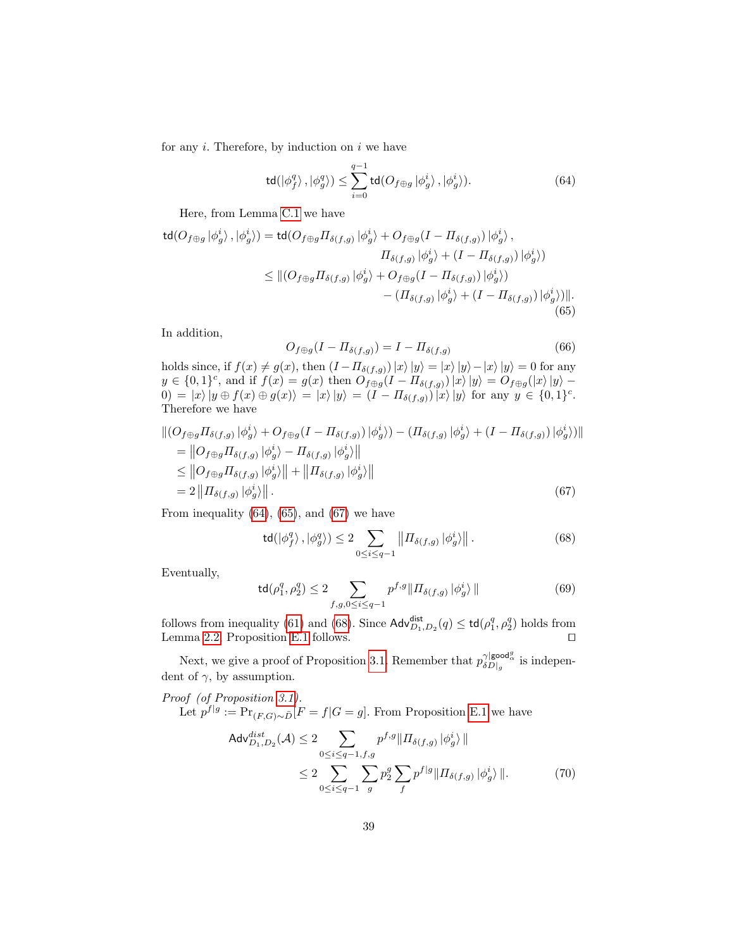for any  $i$ . Therefore, by induction on  $i$  we have

<span id="page-38-0"></span>
$$
\operatorname{td}(|\phi_f^q\rangle, |\phi_g^q\rangle) \le \sum_{i=0}^{q-1} \operatorname{td}(O_{f \oplus g}|\phi_g^i\rangle, |\phi_g^i\rangle). \tag{64}
$$

Here, from Lemma [C.1](#page-33-3) we have

$$
\operatorname{td}(O_{f \oplus g} |\phi_{g}^{i}\rangle, |\phi_{g}^{i}\rangle) = \operatorname{td}(O_{f \oplus g} \Pi_{\delta(f,g)} |\phi_{g}^{i}\rangle + O_{f \oplus g} (I - \Pi_{\delta(f,g)}) |\phi_{g}^{i}\rangle, \n\Pi_{\delta(f,g)} |\phi_{g}^{i}\rangle + (I - \Pi_{\delta(f,g)}) |\phi_{g}^{i}\rangle) \n\leq ||(O_{f \oplus g} \Pi_{\delta(f,g)} |\phi_{g}^{i}\rangle + O_{f \oplus g} (I - \Pi_{\delta(f,g)}) |\phi_{g}^{i}\rangle) \n- (\Pi_{\delta(f,g)} |\phi_{g}^{i}\rangle + (I - \Pi_{\delta(f,g)}) |\phi_{g}^{i}\rangle)||.
$$
\n(65)

In addition,

<span id="page-38-1"></span>
$$
O_{f \oplus g}(I - \Pi_{\delta(f,g)}) = I - \Pi_{\delta(f,g)}\tag{66}
$$

holds since, if  $f(x) \neq g(x)$ , then  $(I - \Pi_{\delta(f,g)})|x\rangle|y\rangle = |x\rangle|y\rangle - |x\rangle|y\rangle = 0$  for any  $y \in \{0,1\}^c$ , and if  $f(x) = g(x)$  then  $O_{f \oplus g}(I - \Pi_{\delta(f,g)}) |x\rangle |y\rangle = O_{f \oplus g}(|x\rangle |y\rangle (0) = |x\rangle |y \oplus f(x) \oplus g(x)\rangle = |x\rangle |y\rangle = (I - \Pi_{\delta(f,g)}) |x\rangle |y\rangle$  for any  $y \in \{0,1\}^c$ . Therefore we have

$$
\begin{split} \left\| \left( O_{f \oplus g} \Pi_{\delta(f,g)} \left| \phi_{g}^{i} \right) + O_{f \oplus g} (I - \Pi_{\delta(f,g)}) \left| \phi_{g}^{i} \right) \right) - \left( \Pi_{\delta(f,g)} \left| \phi_{g}^{i} \right) + (I - \Pi_{\delta(f,g)}) \left| \phi_{g}^{i} \right) \right) \right\| \\ &= \left\| O_{f \oplus g} \Pi_{\delta(f,g)} \left| \phi_{g}^{i} \right\rangle - \Pi_{\delta(f,g)} \left| \phi_{g}^{i} \right\rangle \right\| \\ &\leq \left\| O_{f \oplus g} \Pi_{\delta(f,g)} \left| \phi_{g}^{i} \right\rangle \right\| + \left\| \Pi_{\delta(f,g)} \left| \phi_{g}^{i} \right\rangle \right\| \\ &= 2 \left\| \Pi_{\delta(f,g)} \left| \phi_{g}^{i} \right\rangle \right\| . \end{split} \tag{67}
$$

From inequality  $(64)$ ,  $(65)$ , and  $(67)$  we have

<span id="page-38-3"></span><span id="page-38-2"></span>
$$
\operatorname{td}(|\phi_f^q\rangle, |\phi_g^q\rangle) \le 2 \sum_{0 \le i \le q-1} \| \Pi_{\delta(f,g)} |\phi_g^i\rangle \|.
$$
 (68)

Eventually,

$$
\operatorname{td}(\rho_1^q, \rho_2^q) \le 2 \sum_{f,g, 0 \le i \le q-1} p^{f,g} \| \Pi_{\delta(f,g)} \, | \phi_g^i \rangle \| \tag{69}
$$

follows from inequality [\(61\)](#page-37-1) and [\(68\)](#page-38-3). Since  $\mathsf{Adv}_{D_1,D_2}^{\mathsf{dist}}(q) \leq \mathsf{td}(\rho_1^q,\rho_2^q)$  holds from Lemma [2.2,](#page-7-2) Proposition [E.1](#page-37-0) follows.  $\square$ 

Next, we give a proof of Proposition [3.1.](#page-11-0) Remember that  $p_{\delta D|_g}^{\gamma|\text{good}_g^g}$  is independent of  $\gamma$ , by assumption.

### Proof (of Proposition [3.1\)](#page-11-0).

Let  $p^{f|g} := \Pr_{(F,G)\sim \bar{D}}[F=f|G=g]$ . From Proposition [E.1](#page-37-0) we have

<span id="page-38-4"></span>
$$
\mathsf{Adv}_{D_1, D_2}^{dist}(\mathcal{A}) \le 2 \sum_{0 \le i \le q-1, f, g} p^{f, g} \| \Pi_{\delta(f, g)} \, |\phi_g^i\rangle \|
$$
\n
$$
\le 2 \sum_{0 \le i \le q-1} \sum_{g} p^g \sum_{f} p^{f | g} \| \Pi_{\delta(f, g)} \, |\phi_g^i\rangle \|.
$$
\n(70)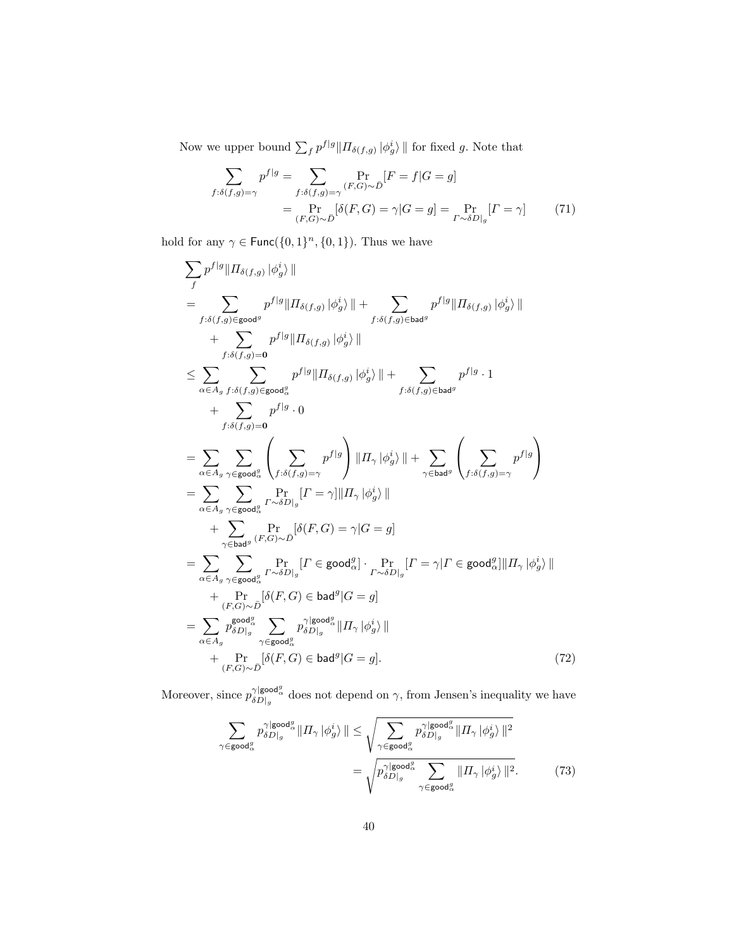Now we upper bound  $\sum_{f} p^{f|g} || H_{\delta(f,g)} || \phi_{g}^{i} \rangle ||$  for fixed g. Note that

$$
\sum_{f:\delta(f,g)=\gamma} p^{f|g} = \sum_{f:\delta(f,g)=\gamma} \Pr_{(F,G)\sim\bar{D}}[F=f|G=g]
$$
\n
$$
= \Pr_{(F,G)\sim\bar{D}}[\delta(F,G) = \gamma|G=g] = \Pr_{\Gamma\sim\delta D|g}[I=\gamma] \tag{71}
$$

hold for any  $\gamma \in \text{Func}(\{0,1\}^n, \{0,1\})$ . Thus we have

$$
\sum_{f} p^{f|g} ||H_{\delta(f,g)} |\phi_{g}^{i}\rangle ||
$$
\n
$$
= \sum_{f:\delta(f,g) \in \text{good}^{g}} p^{f|g} ||H_{\delta(f,g)} |\phi_{g}^{i}\rangle || + \sum_{f:\delta(f,g) \in \text{bad}^{g}} p^{f|g} ||H_{\delta(f,g)} |\phi_{g}^{i}\rangle ||
$$
\n
$$
+ \sum_{f:\delta(f,g) = 0} p^{f|g} ||H_{\delta(f,g)} |\phi_{g}^{i}\rangle ||
$$
\n
$$
\leq \sum_{\alpha \in A_{g}} \sum_{f:\delta(f,g) \in \text{good}^{g}_{\alpha}} p^{f|g} ||H_{\delta(f,g)} |\phi_{g}^{i}\rangle || + \sum_{f:\delta(f,g) \in \text{bad}^{g}} p^{f|g} \cdot 1
$$
\n
$$
+ \sum_{f:\delta(f,g) = 0} p^{f|g} \cdot 0
$$
\n
$$
= \sum_{\alpha \in A_{g}} \sum_{\gamma \in \text{good}^{g}_{\alpha}} \left( \sum_{f:\delta(f,g) = \gamma} p^{f|g} \right) ||H_{\gamma} |\phi_{g}^{i}\rangle || + \sum_{\gamma \in \text{bad}^{g}} \left( \sum_{f:\delta(f,g) = \gamma} p^{f|g} \right)
$$
\n
$$
= \sum_{\alpha \in A_{g}} \sum_{\gamma \in \text{good}^{g}_{\alpha}} \Pr_{\gamma \in \text{Mod}^{g}} [F \cdot \gamma^{g} \cdot 0] |H_{\gamma} |\phi_{g}^{i}\rangle ||
$$
\n
$$
+ \sum_{\gamma \in \text{bad}^{g}} \Pr_{(F,G) \sim \tilde{D}} [\delta(F,G) = \gamma | G = g]
$$
\n
$$
= \sum_{\alpha \in A_{g}} \sum_{\gamma \in \text{good}^{g}_{\alpha}} \Pr_{\gamma \in \text{Sol}^{g}} [F \in \text{good}^{g}_{\alpha}] \cdot \Pr_{\gamma \sim \tilde{D}|_{g}} [F = \gamma | F \in \text{good}^{g}_{\alpha}] ||H_{\gamma} |\phi_{g}^{i}\rangle ||
$$
\n
$$
+ \Pr_{(F,G) \sim \tilde{D}} [\delta(F,G) \in \text{bad}^{g} | G = g]
$$
\n
$$
= \sum_{\alpha \in A_{g}} \sum
$$

Moreover, since  $p_{\delta D|g}^{\gamma|good^g_{\alpha}}$  does not depend on  $\gamma$ , from Jensen's inequality we have

<span id="page-39-1"></span><span id="page-39-0"></span>
$$
\sum_{\gamma \in \text{good}^g_{\alpha}} p_{\delta D|_g}^{\gamma|\text{good}^g_{\alpha}} \| \Pi_{\gamma} | \phi_g^i \rangle \| \leq \sqrt{\sum_{\gamma \in \text{good}^g_{\alpha}} p_{\delta D|_g}^{\gamma|\text{good}^g_{\alpha}} \| \Pi_{\gamma} | \phi_g^i \rangle \|^2}
$$

$$
= \sqrt{p_{\delta D|_g}^{\gamma|\text{good}^g_{\alpha}} \sum_{\gamma \in \text{good}^g_{\alpha}} \| \Pi_{\gamma} | \phi_g^i \rangle \|^2}.
$$
(73)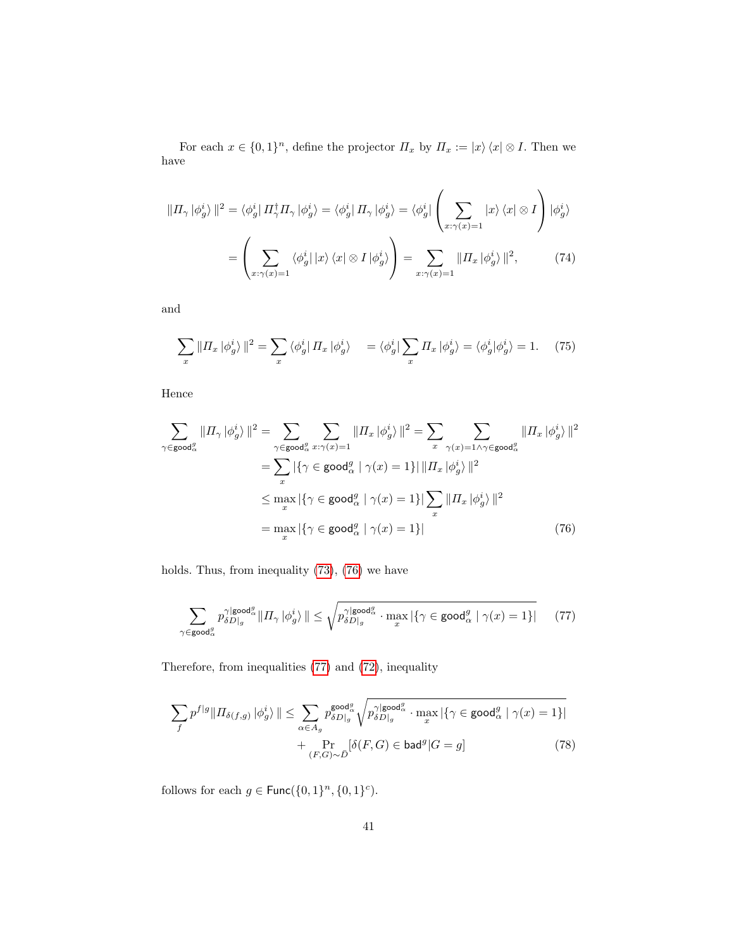For each  $x \in \{0,1\}^n$ , define the projector  $\Pi_x$  by  $\Pi_x := |x\rangle \langle x| \otimes I$ . Then we have

$$
||\Pi_{\gamma}|\phi_{g}^{i}\rangle||^{2} = \langle \phi_{g}^{i} | \Pi_{\gamma}^{\dagger} \Pi_{\gamma} |\phi_{g}^{i}\rangle = \langle \phi_{g}^{i} | \Pi_{\gamma} |\phi_{g}^{i}\rangle = \langle \phi_{g}^{i} | \left( \sum_{x:\gamma(x)=1} |x\rangle \langle x| \otimes I \right) |\phi_{g}^{i}\rangle
$$

$$
= \left( \sum_{x:\gamma(x)=1} \langle \phi_{g}^{i} | |x\rangle \langle x| \otimes I |\phi_{g}^{i}\rangle \right) = \sum_{x:\gamma(x)=1} ||\Pi_{x}|\phi_{g}^{i}\rangle||^{2}, \tag{74}
$$

and

$$
\sum_{x} \| \Pi_x \ket{\phi_g^i} \|^2 = \sum_{x} \langle \phi_g^i | \Pi_x | \phi_g^i \rangle = \langle \phi_g^i | \sum_{x} \Pi_x | \phi_g^i \rangle = \langle \phi_g^i | \phi_g^i \rangle = 1. \tag{75}
$$

Hence

$$
\sum_{\gamma \in \text{good}_{\alpha}^{g}} \| \Pi_{\gamma} \left| \phi_{g}^{i} \right| \|^{2} = \sum_{\gamma \in \text{good}_{\alpha}^{g}} \sum_{x:\gamma(x)=1} \| \Pi_{x} \left| \phi_{g}^{i} \right| \|^{2} = \sum_{x} \sum_{\gamma(x)=1 \land \gamma \in \text{good}_{\alpha}^{g}} \| \Pi_{x} \left| \phi_{g}^{i} \right| \|^{2}
$$

$$
= \sum_{x} |\{\gamma \in \text{good}_{\alpha}^{g} \mid \gamma(x)=1\}| \| \Pi_{x} \left| \phi_{g}^{i} \right| \|^{2}
$$

$$
\leq \max_{x} |\{\gamma \in \text{good}_{\alpha}^{g} \mid \gamma(x)=1\}| \sum_{x} \| \Pi_{x} \left| \phi_{g}^{i} \right| \|^{2}
$$

$$
= \max_{x} |\{\gamma \in \text{good}_{\alpha}^{g} \mid \gamma(x)=1\}|
$$
(76)

holds. Thus, from inequality [\(73\)](#page-39-0), [\(76\)](#page-40-0) we have

<span id="page-40-1"></span><span id="page-40-0"></span>
$$
\sum_{\gamma \in \text{good}_{\alpha}^{g}} p_{\delta D|_{g}}^{\gamma|\text{good}_{\alpha}^{g}} \| \Pi_{\gamma} |\phi_{g}^{i}\rangle \| \leq \sqrt{p_{\delta D|_{g}}^{\gamma|\text{good}_{\alpha}^{g}} \cdot \max_{x} |\{\gamma \in \text{good}_{\alpha}^{g} \mid \gamma(x) = 1\}|} \tag{77}
$$

Therefore, from inequalities [\(77\)](#page-40-1) and [\(72\)](#page-39-1), inequality

<span id="page-40-2"></span>
$$
\sum_{f} p^{f|g} \| \Pi_{\delta(f,g)} \, |\phi_g^i\rangle \| \leq \sum_{\alpha \in A_g} p_{\delta D|_g}^{\text{good}_{\alpha}^g} \sqrt{p_{\delta D|_g}^{\gamma|\text{good}_{\alpha}^g} \cdot \max_{x} |\{\gamma \in \text{good}_{\alpha}^g \mid \gamma(x) = 1\}|} + \Pr_{(F,G) \sim \bar{D}} [\delta(F,G) \in \text{bad}^g | G = g]
$$
\n(78)

follows for each  $g \in \text{Func}(\{0, 1\}^n, \{0, 1\}^c)$ .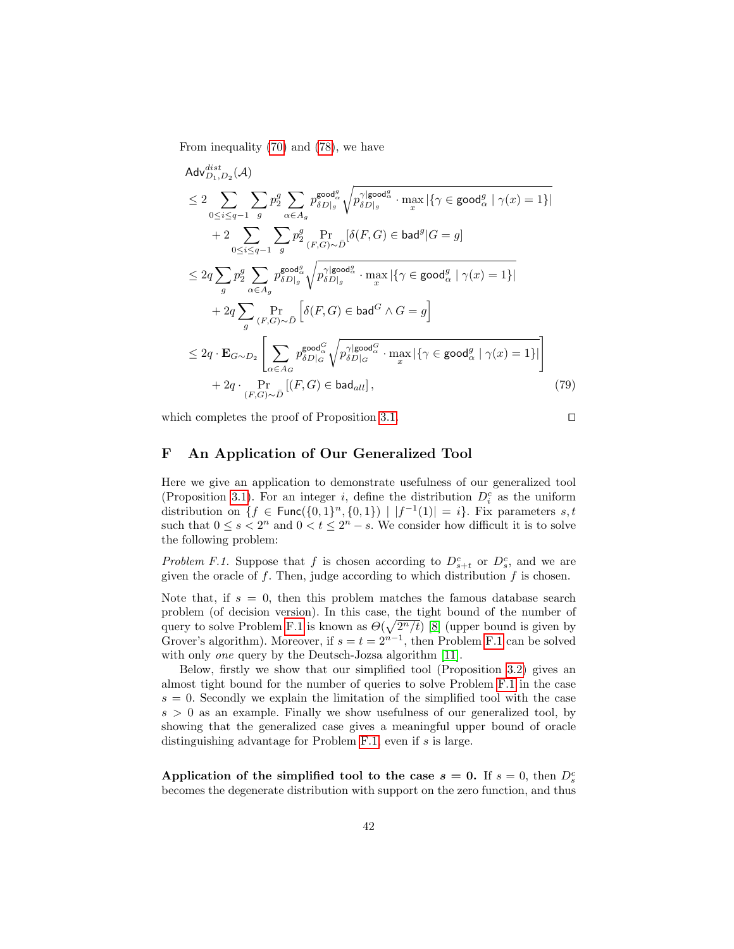From inequality [\(70\)](#page-38-4) and [\(78\)](#page-40-2), we have

$$
\begin{split}\n\mathsf{Adv}_{D_1, D_2}^{dist}(\mathcal{A}) \\
&\leq 2 \sum_{0 \leq i \leq q-1} \sum_{g} p_2^g \sum_{\alpha \in A_g} p_{\delta D|_g}^{\mathsf{good}_g^g} \sqrt{p_{\delta D|_g}^{\gamma |\mathsf{good}_\alpha^g} \cdot \max_{x} |\{\gamma \in \mathsf{good}_\alpha^g \mid \gamma(x) = 1\}|} \\
&+ 2 \sum_{0 \leq i \leq q-1} \sum_{g} p_2^g \sum_{(F, G) \sim \bar{D}} \left[ \delta(F, G) \in \mathsf{bad}^g | G = g \right] \\
&\leq 2q \sum_{g} p_2^g \sum_{\alpha \in A_g} p_{\delta D|_g}^{\mathsf{good}_\alpha^g} \sqrt{p_{\delta D|_g}^{\gamma |\mathsf{good}_\alpha^g} \cdot \max_{x} |\{\gamma \in \mathsf{good}_\alpha^g \mid \gamma(x) = 1\}|} \\
&+ 2q \sum_{g} \Pr_{(F, G) \sim \bar{D}} \left[ \delta(F, G) \in \mathsf{bad}^G \land G = g \right] \\
&\leq 2q \cdot \mathbf{E}_{G \sim D_2} \left[ \sum_{\alpha \in A_G} p_{\delta D|_G}^{\mathsf{good}_\alpha^G} \sqrt{p_{\delta D|_G}^{\gamma |\mathsf{good}_\alpha^G} \cdot \max_{x} |\{\gamma \in \mathsf{good}_\alpha^g \mid \gamma(x) = 1\}|} \right] \\
&+ 2q \cdot \Pr_{(F, G) \sim \bar{D}} \left[ (F, G) \in \mathsf{bad}_{all} \right],\n\end{split} \tag{79}
$$

which completes the proof of Proposition [3.1.](#page-11-0)  $\Box$ 

# <span id="page-41-0"></span>F An Application of Our Generalized Tool

Here we give an application to demonstrate usefulness of our generalized tool (Proposition [3.1\)](#page-11-0). For an integer i, define the distribution  $D_i^c$  as the uniform distribution on  $\{f \in \text{Func}(\{0,1\}^n, \{0,1\}) \mid |f^{-1}(1)| = i\}.$  Fix parameters s, t such that  $0 \le s < 2^n$  and  $0 < t \le 2^n - s$ . We consider how difficult it is to solve the following problem:

<span id="page-41-1"></span>Problem F.1. Suppose that f is chosen according to  $D_{s+t}^c$  or  $D_s^c$ , and we are given the oracle of f. Then, judge according to which distribution f is chosen.

Note that, if  $s = 0$ , then this problem matches the famous database search problem (of decision version). In this case, the tight bound of the number of query to solve Problem [F.1](#page-41-1) is known as  $\Theta(\sqrt{2^n/t})$  [\[8\]](#page-28-12) (upper bound is given by Grover's algorithm). Moreover, if  $s = t = 2^{n-1}$ , then Problem [F.1](#page-41-1) can be solved with only *one* query by the Deutsch-Jozsa algorithm [\[11\]](#page-28-15).

Below, firstly we show that our simplified tool (Proposition [3.2\)](#page-12-0) gives an almost tight bound for the number of queries to solve Problem [F.1](#page-41-1) in the case  $s = 0$ . Secondly we explain the limitation of the simplified tool with the case  $s > 0$  as an example. Finally we show usefulness of our generalized tool, by showing that the generalized case gives a meaningful upper bound of oracle distinguishing advantage for Problem [F.1,](#page-41-1) even if s is large.

Application of the simplified tool to the case  $s = 0$ . If  $s = 0$ , then  $D_s^c$ becomes the degenerate distribution with support on the zero function, and thus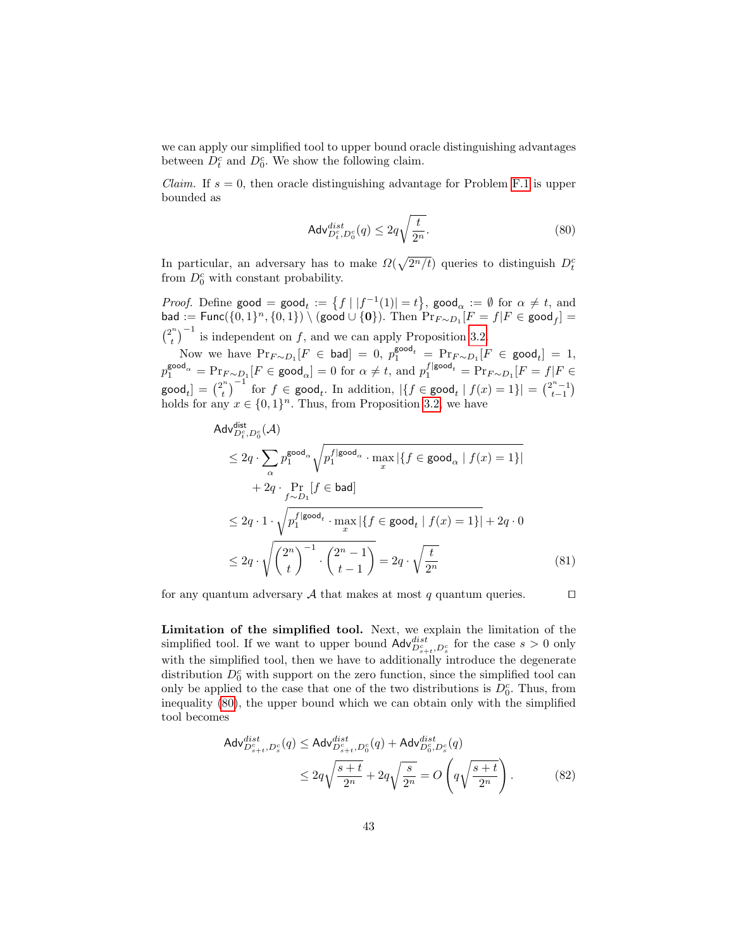we can apply our simplified tool to upper bound oracle distinguishing advantages between  $D_t^c$  and  $D_0^c$ . We show the following claim.

*Claim.* If  $s = 0$ , then oracle distinguishing advantage for Problem [F.1](#page-41-1) is upper bounded as

<span id="page-42-0"></span>
$$
\mathsf{Adv}_{D_t^c, D_0^c}^{dist}(q) \le 2q \sqrt{\frac{t}{2^n}}.\tag{80}
$$

In particular, an adversary has to make  $\Omega(\sqrt{2^n/t})$  queries to distinguish  $D_t^c$ from  $D_0^c$  with constant probability.

*Proof.* Define  $\text{good} = \text{good}_t := \{f \mid |f^{-1}(1)| = t\}$ ,  $\text{good}_{\alpha} := \emptyset$  for  $\alpha \neq t$ , and bad := Func $(\{0,1\}^n, \{0,1\}) \setminus (\text{good} \cup \{0\})$ . Then  $\Pr_{F \sim D_1}[F = f | F \in \text{good}_f] =$  $\binom{2^n}{4}$  $\int_t^n$  is independent on f, and we can apply Proposition [3.2.](#page-12-0)

Now we have  $\Pr_{F \sim D_1}[F \in \mathsf{bad}] = 0, p_1^{\mathsf{good}_t} = \Pr_{F \sim D_1}[F \in \mathsf{good}_t] = 1,$  $p_1^{\mathsf{good}_\alpha} = \Pr_{F \sim D_1}[F \in \mathsf{good}_\alpha] = 0 \text{ for } \alpha \neq t, \text{ and } p_1^{f|\mathsf{good}_t} = \Pr_{F \sim D_1}[F = f | F \in$  $\textsf{good}_t$ ] =  $\binom{2^n}{t}$  $\left\{ \begin{array}{l} t^{n} \\ t \end{array} \right\}^{-1}$  for  $f \in \text{good}_{t}$ . In addition,  $|\{f \in \text{good}_{t} | f(x) = 1\}| = \binom{2^{n}-1}{t-1}$ holds for any  $x \in \{0,1\}^n$ . Thus, from Proposition [3.2,](#page-12-0) we have

$$
\begin{split} &\text{Adv}_{D_t^c, D_0^c}^{\text{dist}}(\mathcal{A}) \\ &\leq 2q \cdot \sum_{\alpha} p_1^{\text{good}_{\alpha}} \sqrt{p_1^{f|\text{good}_{\alpha}} \cdot \max_x |\{f \in \text{good}_{\alpha} \mid f(x) = 1\}|} \\ &+ 2q \cdot \Pr_{f \sim D_1}^{\text{cp}}[f \in \text{bad}] \\ &\leq 2q \cdot 1 \cdot \sqrt{p_1^{f|\text{good}_t} \cdot \max_x |\{f \in \text{good}_t \mid f(x) = 1\}|} + 2q \cdot 0 \\ &\leq 2q \cdot \sqrt{\binom{2^n}{t}^{-1} \cdot \binom{2^n - 1}{t - 1}} = 2q \cdot \sqrt{\frac{t}{2^n}} \end{split} \tag{81}
$$

for any quantum adversary  $\mathcal A$  that makes at most q quantum queries.  $\Box$ 

Limitation of the simplified tool. Next, we explain the limitation of the simplified tool. If we want to upper bound  $\mathsf{Adv}_{D_{s+t}^c, D_s^c}^{dist}$  for the case  $s > 0$  only with the simplified tool, then we have to additionally introduce the degenerate distribution  $D_0^c$  with support on the zero function, since the simplified tool can only be applied to the case that one of the two distributions is  $D_0^c$ . Thus, from inequality [\(80\)](#page-42-0), the upper bound which we can obtain only with the simplified tool becomes

<span id="page-42-1"></span>
$$
\mathsf{Adv}_{D_{s+t}^{e}}^{dist}, p_s^{\circ}(q) \leq \mathsf{Adv}_{D_{s+t}^{e}}^{dist}, p_6^{\circ}(q) + \mathsf{Adv}_{D_6^{e}}^{dist}, p_s^{\circ}(q)
$$
\n
$$
\leq 2q\sqrt{\frac{s+t}{2^n}} + 2q\sqrt{\frac{s}{2^n}} = O\left(q\sqrt{\frac{s+t}{2^n}}\right). \tag{82}
$$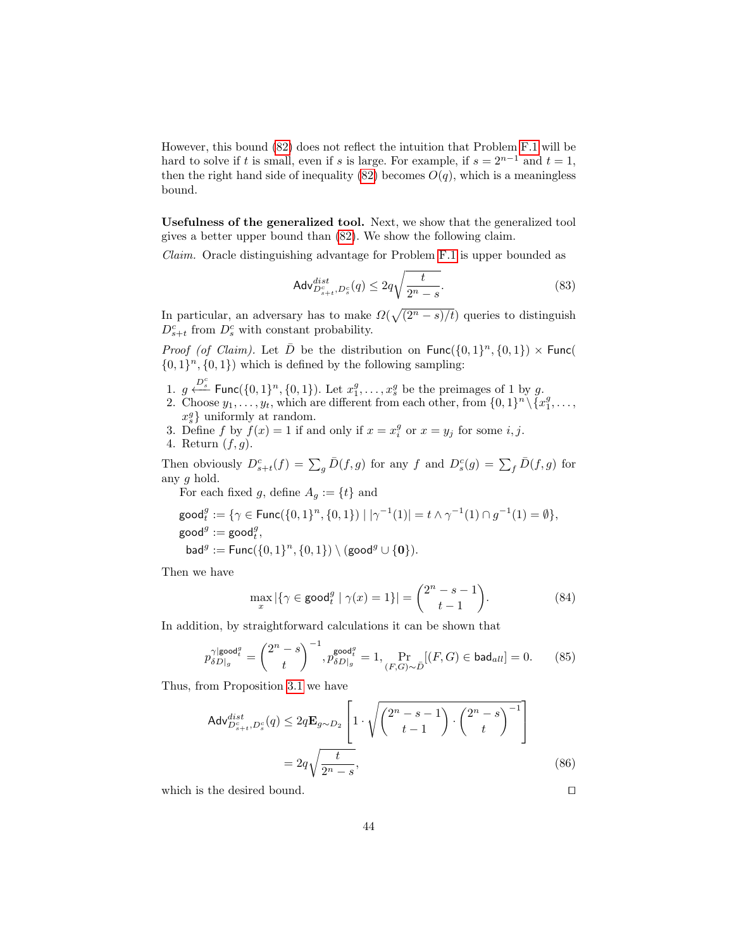However, this bound [\(82\)](#page-42-1) does not reflect the intuition that Problem [F.1](#page-41-1) will be hard to solve if t is small, even if s is large. For example, if  $s = 2^{n-1}$  and  $t = 1$ , then the right hand side of inequality [\(82\)](#page-42-1) becomes  $O(q)$ , which is a meaningless bound.

Usefulness of the generalized tool. Next, we show that the generalized tool gives a better upper bound than [\(82\)](#page-42-1). We show the following claim.

Claim. Oracle distinguishing advantage for Problem [F.1](#page-41-1) is upper bounded as

<span id="page-43-0"></span>
$$
\mathsf{Adv}_{D_{s+t}^c, D_s^c}^{dist}(q) \le 2q \sqrt{\frac{t}{2^n - s}}.\tag{83}
$$

In particular, an adversary has to make  $\Omega(\sqrt{(2^{n}-s)/t})$  queries to distinguish  $D_{s+t}^c$  from  $D_s^c$  with constant probability.

*Proof (of Claim)*. Let  $\overline{D}$  be the distribution on  $Func({0,1}^n, {0,1}) \times Func($  $\{0,1\}^n$ ,  $\{0,1\}$  which is defined by the following sampling:

- 1.  $g \stackrel{D_s^c}{\longleftarrow}$  Func $(\{0,1\}^n, \{0,1\})$ . Let  $x_1^g, \ldots, x_s^g$  be the preimages of 1 by g.
- 2. Choose  $y_1, \ldots, y_t$ , which are different from each other, from  $\{0, 1\}^n \setminus {\tilde{x}}_1^g, \ldots$ ,  $x_s^g$ } uniformly at random.
- 3. Define f by  $f(x) = 1$  if and only if  $x = x_i^g$  or  $x = y_j$  for some i, j. 4. Return  $(f, g)$ .

Then obviously  $D_{s+t}^c(f) = \sum_g \bar{D}(f,g)$  for any f and  $D_s^c(g) = \sum_f \bar{D}(f,g)$  for any g hold.

For each fixed g, define  $A_g := \{t\}$  and

$$
\begin{aligned} &\text{good}_t^g := \{\gamma \in \text{Func}(\{0,1\}^n,\{0,1\}) \mid |\gamma^{-1}(1)| = t \wedge \gamma^{-1}(1) \cap g^{-1}(1) = \emptyset\}, \\ &\text{good}^g := \text{good}_t^g, \\ &\text{bad}^g := \text{Func}(\{0,1\}^n,\{0,1\}) \setminus (\text{good}^g \cup \{\mathbf{0}\}). \end{aligned}
$$

Then we have

$$
\max_{x} |\{\gamma \in \text{good}_{t}^{g} \mid \gamma(x) = 1\}| = {2^{n} - s - 1 \choose t - 1}.
$$
 (84)

In addition, by straightforward calculations it can be shown that

$$
p_{\delta D|g}^{\gamma|\text{good}^g_t} = {2^n - s \choose t}^{-1}, p_{\delta D|g}^{\text{good}^g_t} = 1, \Pr_{(F,G)\sim \bar{D}}[(F,G) \in \text{bad}_{all}] = 0. \tag{85}
$$

Thus, from Proposition [3.1](#page-11-0) we have

$$
\mathsf{Adv}_{D_{s+t}^c, D_s^c}^{dist}(q) \le 2q \mathbf{E}_{g \sim D_2} \left[ 1 \cdot \sqrt{\binom{2^n - s - 1}{t - 1} \cdot \binom{2^n - s}{t}} \right]
$$
\n
$$
= 2q \sqrt{\frac{t}{2^n - s}},\tag{86}
$$

which is the desired bound.  $\Box$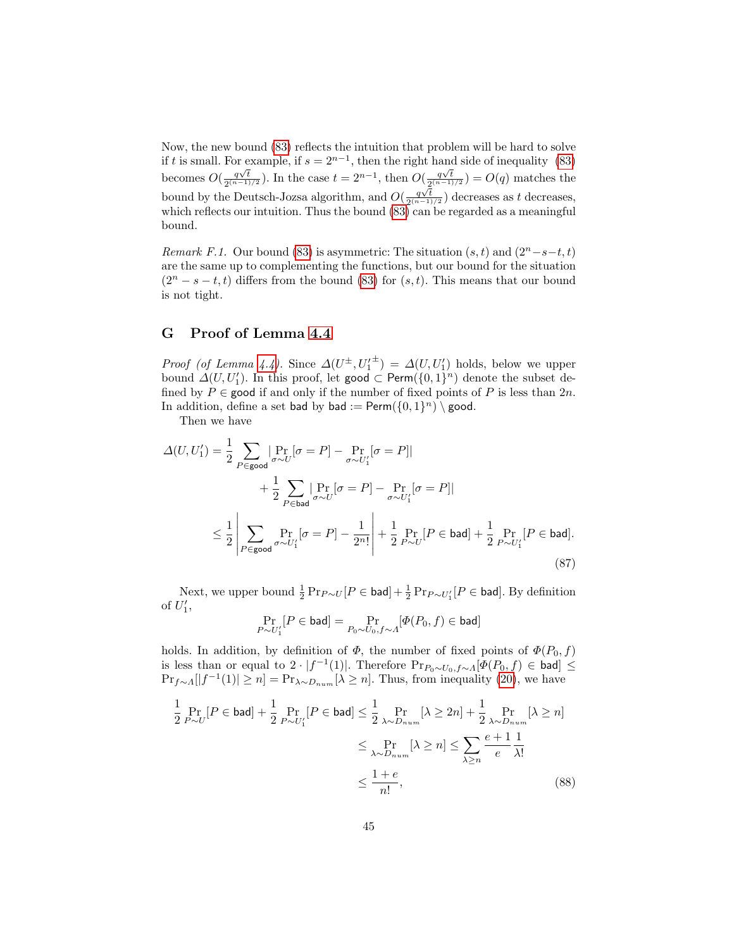Now, the new bound [\(83\)](#page-43-0) reflects the intuition that problem will be hard to solve if t is small. For example, if  $s = 2^{n-1}$ , then the right hand side of inequality [\(83\)](#page-43-0) becomes  $O(\frac{q\sqrt{t}}{2(n-1)})$  $\frac{q\sqrt{t}}{2^{(n-1)/2}}$ ). In the case  $t = 2^{n-1}$ , then  $O(\frac{q\sqrt{t}}{2^{(n-1)}})$  $\frac{q\sqrt{t}}{2^{(n-1)/2}}$  =  $O(q)$  matches the bound by the Deutsch-Jozsa algorithm, and  $O(\frac{q\sqrt{t}}{3(n-1)})$  $\frac{q\sqrt{t}}{2^{(n-1)/2}}$  decreases as t decreases, which reflects our intuition. Thus the bound [\(83\)](#page-43-0) can be regarded as a meaningful bound.

Remark F.1. Our bound [\(83\)](#page-43-0) is asymmetric: The situation  $(s, t)$  and  $(2<sup>n</sup> - s - t, t)$ are the same up to complementing the functions, but our bound for the situation  $(2^{n} - s - t, t)$  differs from the bound [\(83\)](#page-43-0) for  $(s, t)$ . This means that our bound is not tight.

# <span id="page-44-0"></span>G Proof of Lemma [4.4](#page-19-1)

*Proof (of Lemma [4.4\)](#page-19-1)*. Since  $\Delta(U^{\pm}, U_1'^{\pm}) = \Delta(U, U_1')$  holds, below we upper bound  $\Delta(U, U'_1)$ . In this proof, let good ⊂ Perm $(\{0,1\}^n)$  denote the subset defined by  $P \in \text{good if and only if the number of fixed points of } P \text{ is less than } 2n$ . In addition, define a set bad by bad :=  $\text{Perm}(\{0, 1\}^n) \setminus \text{good}.$ 

Then we have

$$
\Delta(U, U_1') = \frac{1}{2} \sum_{P \in \text{good}} \left| \Pr_{\sigma \sim U} [\sigma = P] - \Pr_{\sigma \sim U_1'} [\sigma = P] \right| \n+ \frac{1}{2} \sum_{P \in \text{bad}} \left| \Pr_{\sigma \sim U} [\sigma = P] - \Pr_{\sigma \sim U_1'} [\sigma = P] \right| \n\leq \frac{1}{2} \left| \sum_{P \in \text{good}} \Pr_{\sigma \sim U_1'} [\sigma = P] - \frac{1}{2^n!} \right| + \frac{1}{2} \Pr_{P \sim U} [P \in \text{bad}] + \frac{1}{2} \Pr_{P \sim U_1'} [P \in \text{bad}].
$$
\n(87)

Next, we upper bound  $\frac{1}{2} Pr_{P \sim U} [P \in \text{bad}] + \frac{1}{2} Pr_{P \sim U'_1} [P \in \text{bad}]$ . By definition of  $U_1'$ ,

<span id="page-44-2"></span><span id="page-44-1"></span>
$$
\Pr_{P \sim U_1'}[P \in \mathsf{bad}] = \Pr_{P_0 \sim U_0, f \sim \Lambda}[\Phi(P_0, f) \in \mathsf{bad}]
$$

holds. In addition, by definition of  $\Phi$ , the number of fixed points of  $\Phi(P_0, f)$ is less than or equal to  $2 \cdot |f^{-1}(1)|$ . Therefore  $Pr_{P_0 \sim U_0,f \sim A}[\Phi(P_0,f) \in \mathsf{bad}] \leq$  $\Pr_{f \sim A}(|f^{-1}(1)| \ge n] = \Pr_{\lambda \sim D_{num}}[\lambda \ge n].$  Thus, from inequality [\(20\)](#page-19-6), we have

$$
\frac{1}{2} \Pr_{P \sim U} [P \in \text{bad}] + \frac{1}{2} \Pr_{P \sim U_1'} [P \in \text{bad}] \le \frac{1}{2} \Pr_{\lambda \sim D_{num}} [\lambda \ge 2n] + \frac{1}{2} \Pr_{\lambda \sim D_{num}} [\lambda \ge n]
$$

$$
\le \Pr_{\lambda \sim D_{num}} [\lambda \ge n] \le \sum_{\lambda \ge n} \frac{e+1}{e} \frac{1}{\lambda!}
$$

$$
\le \frac{1+e}{n!}, \tag{88}
$$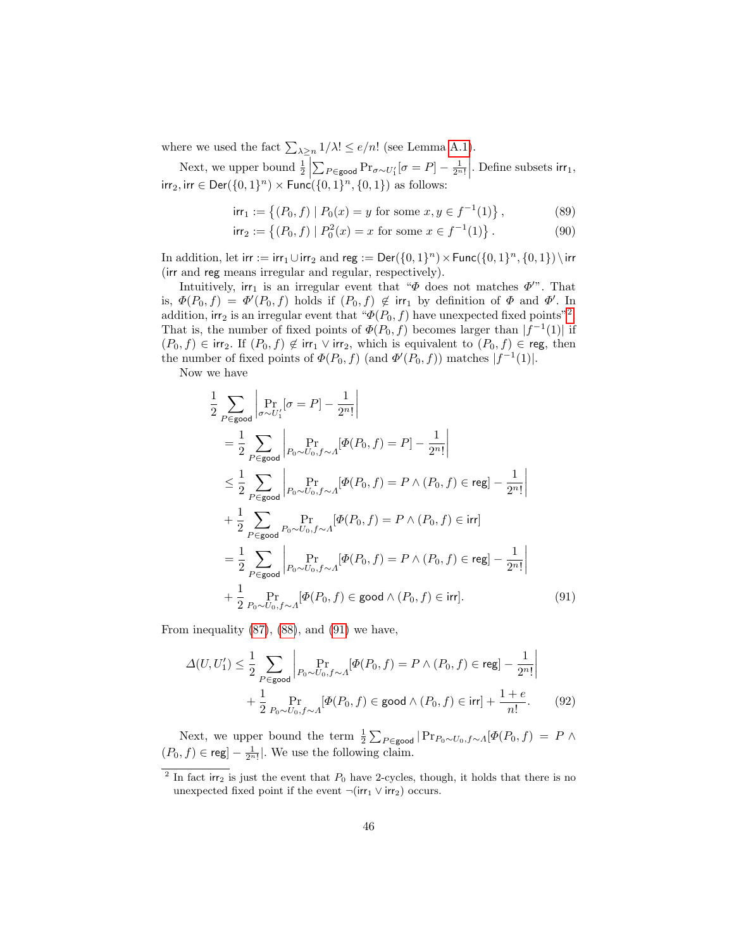where we used the fact  $\sum_{\lambda \geq n} 1/\lambda! \leq e/n!$  (see Lemma [A.1\)](#page-30-1).

Next, we upper bound  $\frac{1}{2} \left| \sum_{P \in \text{good}} \Pr_{\sigma \sim U_1'}[\sigma = P] - \frac{1}{2^{n_1}} \right|$ . Define subsets  $\text{irr}_1$ , irr<sub>2</sub>, irr ∈ Der( $\{0, 1\}$ <sup>n</sup>) × Func( $\{0, 1\}$ <sup>n</sup>,  $\{0, 1\}$ ) as follows:

$$
irr_1 := \{(P_0, f) | P_0(x) = y \text{ for some } x, y \in f^{-1}(1)\},
$$
\n(89)

<span id="page-45-4"></span><span id="page-45-3"></span>
$$
irr_2 := \{(P_0, f) | P_0^2(x) = x \text{ for some } x \in f^{-1}(1)\}.
$$
 (90)

In addition, let irr := irr $_1 \cup$ irr $_2$  and reg := Der $(\{0,1\}^n) \times$  Func $(\{0,1\}^n,\{0,1\}) \setminus$ irr (irr and reg means irregular and regular, respectively).

Intuitively, irr<sub>1</sub> is an irregular event that " $\Phi$  does not matches  $\Phi$ ". That is,  $\Phi(P_0, f) = \Phi'(P_0, f)$  holds if  $(P_0, f) \notin \text{irr}_1$  by definition of  $\Phi$  and  $\Phi'$ . In addition,  $\text{irr}_2$  $\text{irr}_2$  is an irregular event that " $\Phi(P_0, f)$  have unexpected fixed points"<sup>2</sup>. That is, the number of fixed points of  $\Phi(P_0, f)$  becomes larger than  $|f^{-1}(1)|$  if  $(P_0, f) \in \text{irr}_2$ . If  $(P_0, f) \notin \text{irr}_1 \vee \text{irr}_2$ , which is equivalent to  $(P_0, f) \in \text{reg}$ , then the number of fixed points of  $\Phi(P_0, f)$  (and  $\Phi'(P_0, f)$ ) matches  $|f^{-1}(1)|$ .

Now we have

$$
\frac{1}{2} \sum_{P \in \text{good}} \left| \Pr_{\sigma \sim U_1'}[\sigma = P] - \frac{1}{2^{n}!} \right|
$$
\n
$$
= \frac{1}{2} \sum_{P \in \text{good}} \left| \Pr_{P_0 \sim U_0, f \sim A}[\Phi(P_0, f) = P] - \frac{1}{2^{n}!} \right|
$$
\n
$$
\leq \frac{1}{2} \sum_{P \in \text{good}} \left| \Pr_{P_0 \sim U_0, f \sim A}[\Phi(P_0, f) = P \wedge (P_0, f) \in \text{reg}] - \frac{1}{2^{n}!} \right|
$$
\n
$$
+ \frac{1}{2} \sum_{P \in \text{good}} \Pr_{P_0 \sim U_0, f \sim A}[\Phi(P_0, f) = P \wedge (P_0, f) \in \text{irr}]
$$
\n
$$
= \frac{1}{2} \sum_{P \in \text{good}} \left| \Pr_{P_0 \sim U_0, f \sim A}[\Phi(P_0, f) = P \wedge (P_0, f) \in \text{reg}] - \frac{1}{2^{n}!} \right|
$$
\n
$$
+ \frac{1}{2} \sum_{P_0 \sim U_0, f \sim A}[\Phi(P_0, f) \in \text{good} \wedge (P_0, f) \in \text{irr}]. \tag{91}
$$

From inequality [\(87\)](#page-44-1), [\(88\)](#page-44-2), and [\(91\)](#page-45-1) we have,

<span id="page-45-2"></span><span id="page-45-1"></span>
$$
\Delta(U, U_1') \leq \frac{1}{2} \sum_{P \in \text{good}} \left| \Pr_{P_0 \sim U_0, f \sim \Lambda} [\Phi(P_0, f) = P \wedge (P_0, f) \in \text{reg}] - \frac{1}{2^{n}!} \right|
$$
  
+ 
$$
\frac{1}{2} \Pr_{P_0 \sim U_0, f \sim \Lambda} [\Phi(P_0, f) \in \text{good} \wedge (P_0, f) \in \text{irr}] + \frac{1+e}{n!}.
$$
 (92)

Next, we upper bound the term  $\frac{1}{2} \sum_{P \in \text{good}} |Pr_{P_0 \sim U_0, f \sim A}[\Phi(P_0, f)] = P \wedge$  $(P_0, f) \in \text{reg}]-\frac{1}{2^{n}!}$ . We use the following claim.

<span id="page-45-0"></span><sup>&</sup>lt;sup>2</sup> In fact irr<sub>2</sub> is just the event that  $P_0$  have 2-cycles, though, it holds that there is no unexpected fixed point if the event  $\neg (irr_1 \vee irr_2)$  occurs.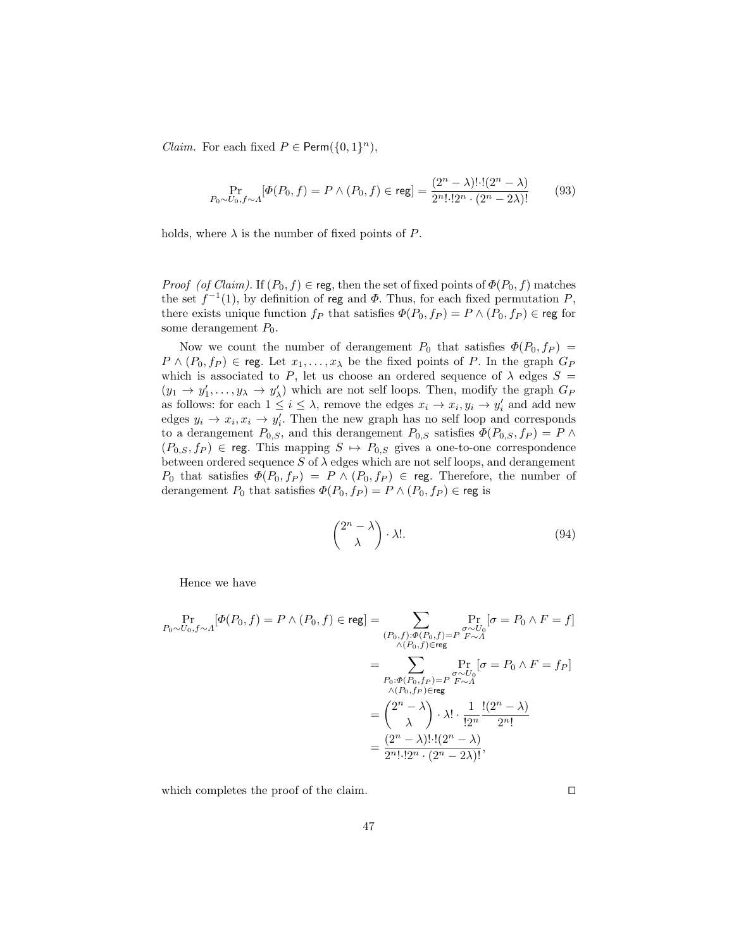*Claim.* For each fixed  $P \in \text{Perm}(\{0, 1\}^n)$ ,

$$
\Pr_{P_0 \sim U_0, f \sim \Lambda} [\Phi(P_0, f) = P \wedge (P_0, f) \in \text{reg}] = \frac{(2^n - \lambda)! \cdot ! (2^n - \lambda)}{2^{n}! \cdot 2^n \cdot (2^n - 2\lambda)!} \tag{93}
$$

holds, where  $\lambda$  is the number of fixed points of P.

*Proof (of Claim)*. If  $(P_0, f) \in \text{reg}$ , then the set of fixed points of  $\Phi(P_0, f)$  matches the set  $f^{-1}(1)$ , by definition of reg and  $\Phi$ . Thus, for each fixed permutation P, there exists unique function  $f_P$  that satisfies  $\Phi(P_0, f_P) = P \wedge (P_0, f_P) \in \text{reg}$  for some derangement  $P_0$ .

Now we count the number of derangement  $P_0$  that satisfies  $\Phi(P_0, f_P)$  =  $P \wedge (P_0, f_P) \in \text{reg. Let } x_1, \ldots, x_\lambda$  be the fixed points of P. In the graph  $G_P$ which is associated to P, let us choose an ordered sequence of  $\lambda$  edges  $S =$  $(y_1 \to y'_1, \ldots, y_\lambda \to y'_\lambda)$  which are not self loops. Then, modify the graph  $G_P$ as follows: for each  $1 \leq i \leq \lambda$ , remove the edges  $x_i \to x_i, y_i \to y'_i$  and add new edges  $y_i \to x_i, x_i \to y'_i$ . Then the new graph has no self loop and corresponds to a derangement  $P_{0,S}$ , and this derangement  $P_{0,S}$  satisfies  $\Phi(P_{0,S}, f_P) = P \wedge$  $(P_{0,S}, f_P) \in \text{reg. This mapping } S \mapsto P_{0,S}$  gives a one-to-one correspondence between ordered sequence  $S$  of  $\lambda$  edges which are not self loops, and derangement  $P_0$  that satisfies  $\Phi(P_0, f_P) = P \wedge (P_0, f_P) \in \text{reg. Therefore, the number of }$ derangement  $P_0$  that satisfies  $\Phi(P_0, f_P) = P \wedge (P_0, f_P) \in \text{reg}$  is

$$
\binom{2^n - \lambda}{\lambda} \cdot \lambda!.
$$
 (94)

Hence we have

$$
\Pr_{P_0 \sim U_0, f \sim A} [\Phi(P_0, f) = P \land (P_0, f) \in \text{reg}] = \sum_{\substack{(P_0, f) : \Phi(P_0, f) = P \ F \sim A \\ \land (P_0, f) \in \text{reg}}} \Pr_{F \sim A} [\sigma = P_0 \land F = f]
$$
\n
$$
= \sum_{\substack{P_0 : \Phi(P_0, f) = P \ F \sim A \\ \land (P_0, f) \in \text{reg}}} \Pr_{F \sim A} [\sigma = P_0 \land F = f_P]
$$
\n
$$
= \binom{2^n - \lambda}{\lambda} \cdot \lambda! \cdot \frac{1}{!2^n} \cdot \frac{!(2^n - \lambda)}{2^n!}
$$
\n
$$
= \frac{(2^n - \lambda)! \cdot [(2^n - \lambda)]}{2^n! \cdot [2^n \cdot (2^n - 2\lambda)!},
$$

which completes the proof of the claim.  $\Box$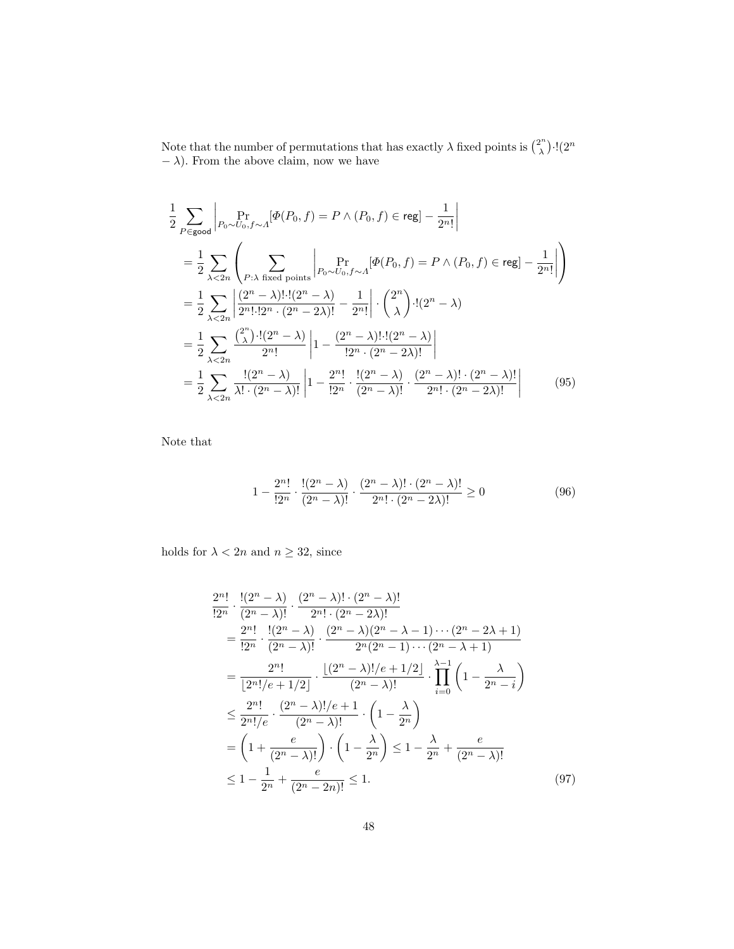Note that the number of permutations that has exactly  $\lambda$  fixed points is  $\binom{2^n}{\lambda}$  $\binom{2^n}{\lambda}$ .! $(2^n)$  $-\lambda$ ). From the above claim, now we have

$$
\frac{1}{2} \sum_{P \in \text{good}} \left| \Pr_{P_0 \sim U_0, f \sim A} [\Phi(P_0, f) = P \wedge (P_0, f) \in \text{reg}] - \frac{1}{2^{n}!} \right|
$$
\n
$$
= \frac{1}{2} \sum_{\lambda < 2n} \left( \sum_{P:\lambda \text{ fixed points}} \left| \Pr_{P_0 \sim U_0, f \sim A} [\Phi(P_0, f) = P \wedge (P_0, f) \in \text{reg}] - \frac{1}{2^{n}!} \right| \right)
$$
\n
$$
= \frac{1}{2} \sum_{\lambda < 2n} \left| \frac{(2^n - \lambda)! \cdot [(2^n - \lambda)}{2^{n}! \cdot (2^n - 2\lambda)!} - \frac{1}{2^{n}!} \right| \cdot {2^n \choose \lambda} \cdot [(2^n - \lambda)]
$$
\n
$$
= \frac{1}{2} \sum_{\lambda < 2n} \frac{\binom{2^n}{\lambda} \cdot [(2^n - \lambda)}{2^{n}!} \left| 1 - \frac{(2^n - \lambda)! \cdot [(2^n - \lambda)]}{12^n \cdot (2^n - 2\lambda)!} \right|
$$
\n
$$
= \frac{1}{2} \sum_{\lambda < 2n} \frac{!(2^n - \lambda)}{\lambda! \cdot (2^n - \lambda)!} \left| 1 - \frac{2^n!}{12^n} \cdot \frac{!(2^n - \lambda)}{(2^n - \lambda)!} \cdot \frac{(2^n - \lambda)! \cdot (2^n - \lambda)!}{2^{n}! \cdot (2^n - 2\lambda)!} \right| \tag{95}
$$

Note that

<span id="page-47-1"></span><span id="page-47-0"></span>
$$
1 - \frac{2^n!}{!2^n} \cdot \frac{!(2^n - \lambda)}{(2^n - \lambda)!} \cdot \frac{(2^n - \lambda)! \cdot (2^n - \lambda)!}{2^n! \cdot (2^n - 2\lambda)!} \ge 0
$$
\n(96)

holds for  $\lambda < 2n$  and  $n \geq 32$ , since

$$
\frac{2^{n}!}{!2^{n}} \cdot \frac{!(2^{n}-\lambda)}{(2^{n}-\lambda)!} \cdot \frac{(2^{n}-\lambda)! \cdot (2^{n}-\lambda)!}{2^{n}! \cdot (2^{n}-2\lambda)!}
$$
\n
$$
= \frac{2^{n}!}{!2^{n}} \cdot \frac{!(2^{n}-\lambda)}{(2^{n}-\lambda)!} \cdot \frac{(2^{n}-\lambda)(2^{n}-\lambda-1)\cdots(2^{n}-2\lambda+1)}{2^{n}(2^{n}-1)\cdots(2^{n}-\lambda+1)}
$$
\n
$$
= \frac{2^{n}!}{[2^{n}!/e+1/2]} \cdot \frac{\lfloor (2^{n}-\lambda)!/e+1/2 \rfloor}{(2^{n}-\lambda)!} \cdot \prod_{i=0}^{\lambda-1} \left(1 - \frac{\lambda}{2^{n}-i}\right)
$$
\n
$$
\leq \frac{2^{n}!}{2^{n}!/e} \cdot \frac{(2^{n}-\lambda)!/e+1}{(2^{n}-\lambda)!} \cdot \left(1 - \frac{\lambda}{2^{n}}\right)
$$
\n
$$
= \left(1 + \frac{e}{(2^{n}-\lambda)!}\right) \cdot \left(1 - \frac{\lambda}{2^{n}}\right) \leq 1 - \frac{\lambda}{2^{n}} + \frac{e}{(2^{n}-\lambda)!}
$$
\n
$$
\leq 1 - \frac{1}{2^{n}} + \frac{e}{(2^{n}-2n)!} \leq 1.
$$
\n(97)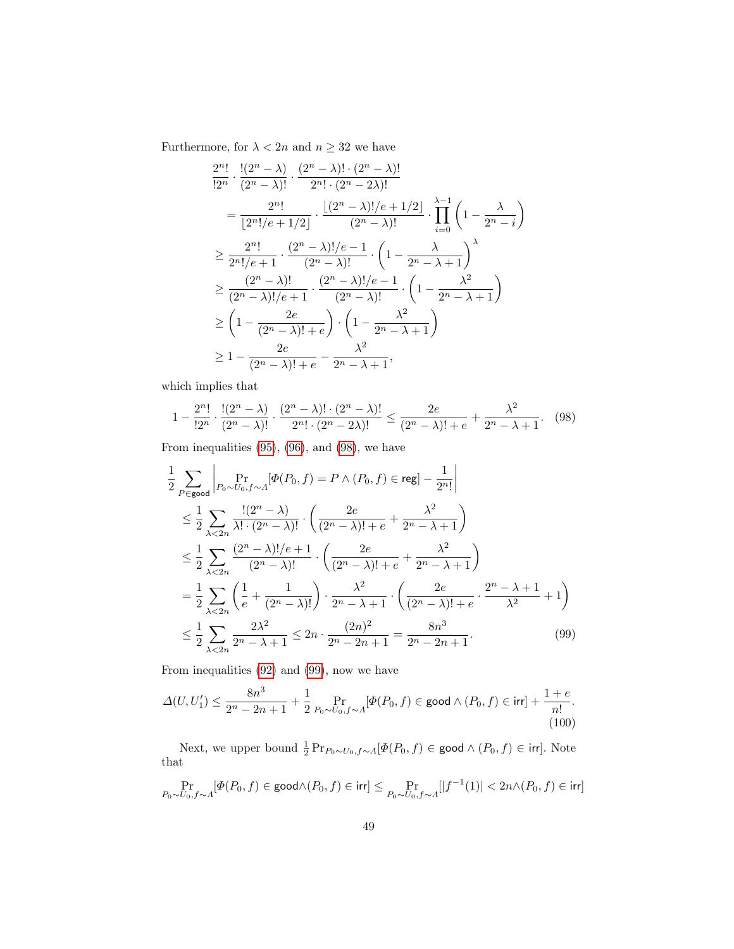Furthermore, for  $\lambda < 2n$  and  $n \geq 32$  we have

$$
\frac{2^{n}!}{2^{n}} \cdot \frac{(2^{n}-\lambda)!}{(2^{n}-\lambda)!} \cdot \frac{(2^{n}-\lambda)! \cdot (2^{n}-\lambda)!}{2^{n}! \cdot (2^{n}-2\lambda)!}
$$
\n
$$
= \frac{2^{n}!}{[2^{n}!/e+1/2]} \cdot \frac{[(2^{n}-\lambda)!/e+1/2]}{(2^{n}-\lambda)!} \cdot \prod_{i=0}^{\lambda-1} \left(1 - \frac{\lambda}{2^{n}-i}\right)
$$
\n
$$
\geq \frac{2^{n}!}{2^{n}!/e+1} \cdot \frac{(2^{n}-\lambda)!/e-1}{(2^{n}-\lambda)!} \cdot \left(1 - \frac{\lambda}{2^{n}-\lambda+1}\right)^{\lambda}
$$
\n
$$
\geq \frac{(2^{n}-\lambda)!}{(2^{n}-\lambda)!/e+1} \cdot \frac{(2^{n}-\lambda)!/e-1}{(2^{n}-\lambda)!} \cdot \left(1 - \frac{\lambda^{2}}{2^{n}-\lambda+1}\right)
$$
\n
$$
\geq \left(1 - \frac{2e}{(2^{n}-\lambda)!+e}\right) \cdot \left(1 - \frac{\lambda^{2}}{2^{n}-\lambda+1}\right)
$$
\n
$$
\geq 1 - \frac{2e}{(2^{n}-\lambda)!+e} - \frac{\lambda^{2}}{2^{n}-\lambda+1},
$$

which implies that

<span id="page-48-0"></span>
$$
1 - \frac{2^n!}{!2^n} \cdot \frac{(2^n - \lambda)}{(2^n - \lambda)!} \cdot \frac{(2^n - \lambda)! \cdot (2^n - \lambda)!}{2^n! \cdot (2^n - 2\lambda)!} \le \frac{2e}{(2^n - \lambda)! + e} + \frac{\lambda^2}{2^n - \lambda + 1}.
$$
 (98)

From inequalities [\(95\)](#page-47-0), [\(96\)](#page-47-1), and [\(98\)](#page-48-0), we have

$$
\frac{1}{2} \sum_{P \in \text{good}} \left| \Pr_{P_0 \sim U_0, f \sim A} [\Phi(P_0, f) = P \land (P_0, f) \in \text{reg}] - \frac{1}{2^n!} \right|
$$
\n
$$
\leq \frac{1}{2} \sum_{\lambda < 2n} \frac{!(2^n - \lambda)}{\lambda! \cdot (2^n - \lambda)!} \cdot \left( \frac{2e}{(2^n - \lambda)! + e} + \frac{\lambda^2}{2^n - \lambda + 1} \right)
$$
\n
$$
\leq \frac{1}{2} \sum_{\lambda < 2n} \frac{(2^n - \lambda)! / e + 1}{(2^n - \lambda)!} \cdot \left( \frac{2e}{(2^n - \lambda)! + e} + \frac{\lambda^2}{2^n - \lambda + 1} \right)
$$
\n
$$
= \frac{1}{2} \sum_{\lambda < 2n} \left( \frac{1}{e} + \frac{1}{(2^n - \lambda)!} \right) \cdot \frac{\lambda^2}{2^n - \lambda + 1} \cdot \left( \frac{2e}{(2^n - \lambda)! + e} \cdot \frac{2^n - \lambda + 1}{\lambda^2} + 1 \right)
$$
\n
$$
\leq \frac{1}{2} \sum_{\lambda < 2n} \frac{2\lambda^2}{2^n - \lambda + 1} \leq 2n \cdot \frac{(2n)^2}{2^n - 2n + 1} = \frac{8n^3}{2^n - 2n + 1}.
$$
\n(99)

<span id="page-48-1"></span>From inequalities [\(92\)](#page-45-2) and [\(99\)](#page-48-1), now we have

<span id="page-48-2"></span>
$$
\Delta(U, U_1') \le \frac{8n^3}{2^n - 2n + 1} + \frac{1}{2} \Pr_{P_0 \sim U_0, f \sim A} [\Phi(P_0, f) \in \mathsf{good} \land (P_0, f) \in \mathsf{irr}] + \frac{1 + e}{n!}.
$$
\n(100)

Next, we upper bound  $\frac{1}{2} Pr_{P_0 \sim U_0, f \sim \Lambda} [\Phi(P_0, f) \in \mathsf{good} \land (P_0, f) \in \mathsf{irr}]$ . Note that

$$
\Pr_{P_0 \sim U_0, f \sim \Lambda}[\Phi(P_0, f) \in \mathsf{good} \wedge (P_0, f) \in \mathsf{irr}] \le \Pr_{P_0 \sim U_0, f \sim \Lambda}[|f^{-1}(1)| < 2n \wedge (P_0, f) \in \mathsf{irr}]
$$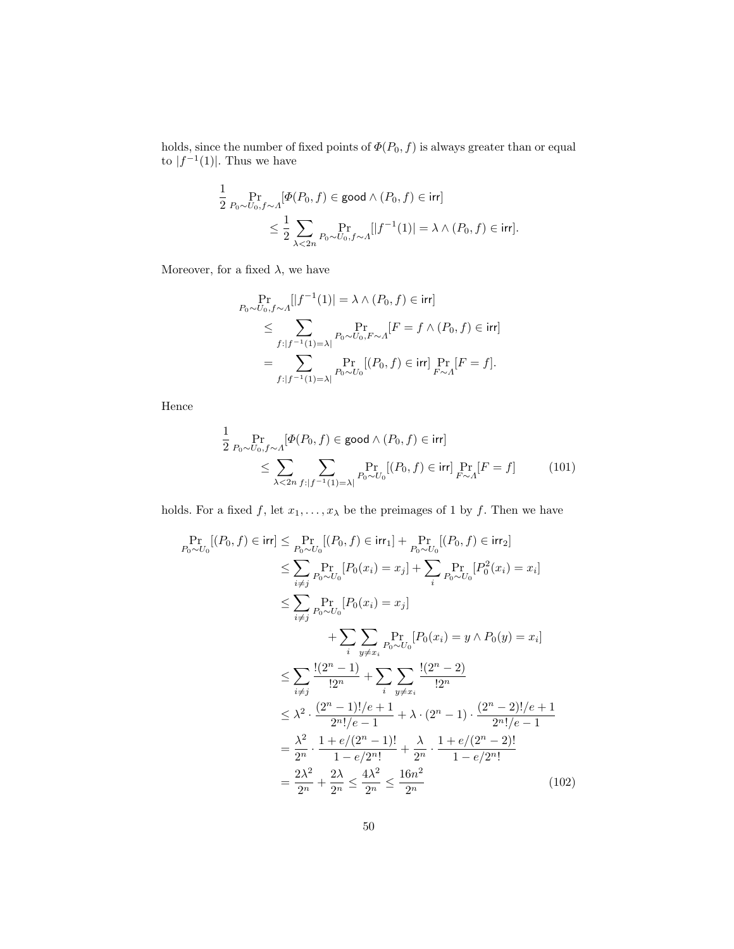holds, since the number of fixed points of  $\Phi(P_0, f)$  is always greater than or equal to  $|f^{-1}(1)|$ . Thus we have

$$
\frac{1}{2} \Pr_{P_0 \sim U_0, f \sim A} [\Phi(P_0, f) \in \text{good} \land (P_0, f) \in \text{irr}]
$$
\n
$$
\leq \frac{1}{2} \sum_{\lambda < 2n} \Pr_{P_0 \sim U_0, f \sim A} [|f^{-1}(1)| = \lambda \land (P_0, f) \in \text{irr}].
$$

Moreover, for a fixed  $\lambda$ , we have

$$
\Pr_{P_0 \sim U_0, f \sim A} [|f^{-1}(1)| = \lambda \land (P_0, f) \in \text{irr}]
$$
\n
$$
\leq \sum_{f: |f^{-1}(1) = \lambda|} \Pr_{P_0 \sim U_0, F \sim A} [F = f \land (P_0, f) \in \text{irr}]
$$
\n
$$
= \sum_{f: |f^{-1}(1) = \lambda|} \Pr_{P_0 \sim U_0} [(P_0, f) \in \text{irr}] \Pr_{F \sim A} [F = f].
$$

Hence

<span id="page-49-0"></span>
$$
\frac{1}{2} \Pr_{P_0 \sim U_0, f \sim A} [\Phi(P_0, f) \in \mathsf{good} \land (P_0, f) \in \mathsf{irr}]
$$
\n
$$
\leq \sum_{\lambda < 2n} \sum_{f: |f^{-1}(1) = \lambda]} \Pr_{P_0 \sim U_0} [P_0, f) \in \mathsf{irr}] \Pr_{F \sim A} [F = f]
$$
\n(101)

holds. For a fixed  $f$ , let  $x_1, \ldots, x_\lambda$  be the preimages of 1 by  $f$ . Then we have

<span id="page-49-1"></span>
$$
\Pr_{P_0 \sim U_0}[(P_0, f) \in \text{irr}] \le \Pr_{P_0 \sim U_0}[(P_0, f) \in \text{irr}_1] + \Pr_{P_0 \sim U_0}[(P_0, f) \in \text{irr}_2]
$$
\n
$$
\le \sum_{i \ne j} \Pr_{P_0 \sim U_0}[P_0(x_i) = x_j] + \sum_{i} \Pr_{P_0 \sim U_0}[P_0^2(x_i) = x_i]
$$
\n
$$
\le \sum_{i \ne j} \Pr_{P_0 \sim U_0}[P_0(x_i) = x_j]
$$
\n
$$
+ \sum_{i} \sum_{y \ne x_i} \Pr_{P_0 \sim U_0}[P_0(x_i) = y \land P_0(y) = x_i]
$$
\n
$$
\le \sum_{i \ne j} \frac{!(2^n - 1)}{!2^n} + \sum_{i} \sum_{y \ne x_i} \frac{!(2^n - 2)}{!2^n}
$$
\n
$$
\le \lambda^2 \cdot \frac{(2^n - 1)!/e + 1}{2^n!/e - 1} + \lambda \cdot (2^n - 1) \cdot \frac{(2^n - 2)!/e + 1}{2^n!/e - 1}
$$
\n
$$
= \frac{\lambda^2}{2^n} \cdot \frac{1 + e/(2^n - 1)!}{1 - e/2^n!} + \frac{\lambda}{2^n} \cdot \frac{1 + e/(2^n - 2)!}{1 - e/2^n!}
$$
\n
$$
= \frac{2\lambda^2}{2^n} + \frac{2\lambda}{2^n} \le \frac{4\lambda^2}{2^n} \le \frac{16n^2}{2^n}
$$
\n(102)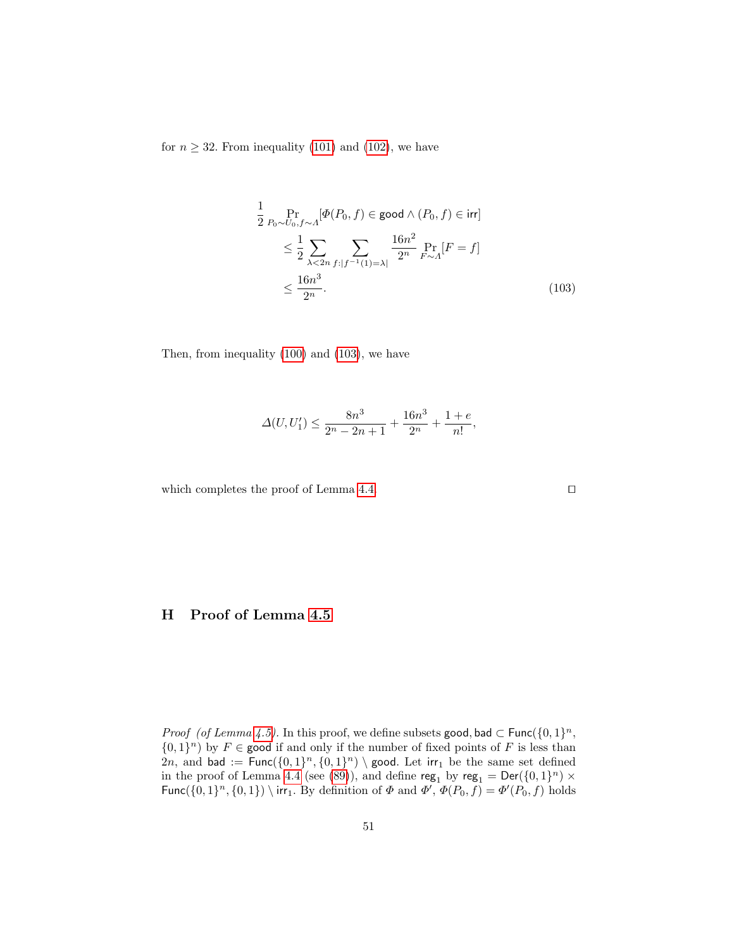for  $n \geq 32$ . From inequality [\(101\)](#page-49-0) and [\(102\)](#page-49-1), we have

$$
\frac{1}{2} \Pr_{P_0 \sim U_0, f \sim A} [\Phi(P_0, f) \in \text{good} \land (P_0, f) \in \text{irr}]
$$
\n
$$
\leq \frac{1}{2} \sum_{\lambda < 2n} \sum_{f: |f^{-1}(1) = \lambda]} \frac{16n^2}{2^n} \Pr_{F \sim A} [F = f]
$$
\n
$$
\leq \frac{16n^3}{2^n}.
$$
\n(103)

Then, from inequality [\(100\)](#page-48-2) and [\(103\)](#page-50-1), we have

$$
\Delta(U, U_1') \le \frac{8n^3}{2^n - 2n + 1} + \frac{16n^3}{2^n} + \frac{1+e}{n!},
$$

which completes the proof of Lemma [4.4.](#page-19-1)  $\Box$ 

# <span id="page-50-0"></span>H Proof of Lemma [4.5](#page-19-2)

*Proof (of Lemma [4.5\)](#page-19-2)*. In this proof, we define subsets good, bad  $\subset$  Func( $\{0,1\}^n$ ,  $\{0,1\}^n$  by  $F \in \text{good}$  if and only if the number of fixed points of F is less than 2n, and bad :=  $Func({0,1}<sup>n</sup>, {0,1}<sup>n</sup>) \setminus good$ . Let irr<sub>1</sub> be the same set defined in the proof of Lemma [4.4](#page-19-1) (see [\(89\)](#page-45-3)), and define  $\text{reg}_1$  by  $\text{reg}_1 = \text{Der}(\{0,1\}^n) \times$ Func $(\{0,1\}^n, \{0,1\})$  \ irr<sub>1</sub>. By definition of  $\Phi$  and  $\Phi'$ ,  $\Phi(P_0, f) = \Phi'(P_0, f)$  holds

<span id="page-50-1"></span>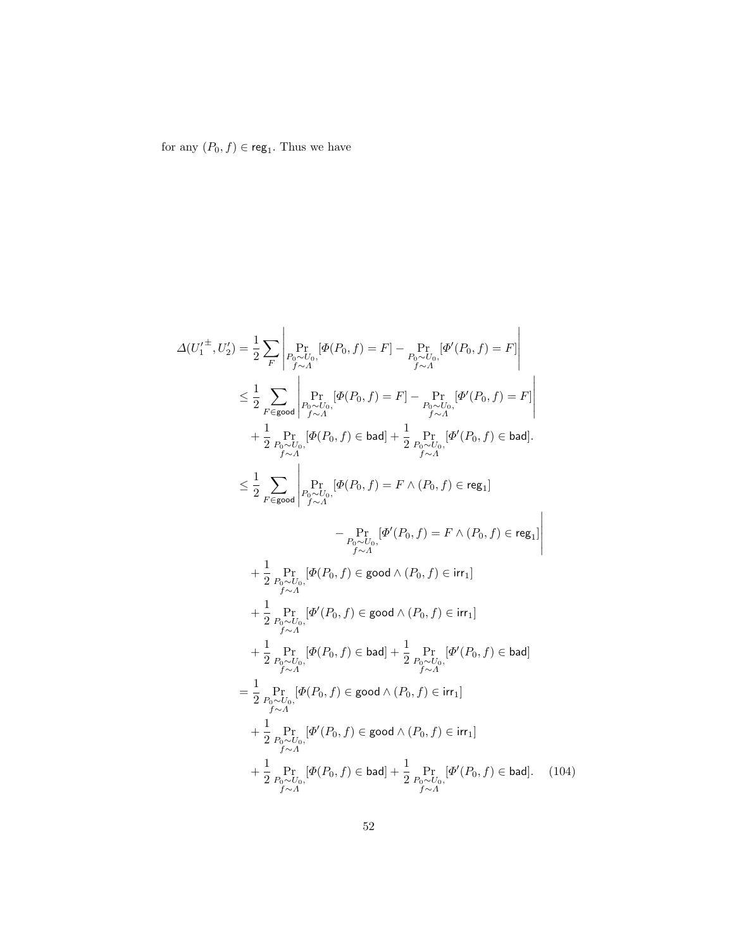for any  $(P_0, f) \in \text{reg}_1$ . Thus we have

∆(U 0 1 ± , U<sup>0</sup> 2 ) = <sup>1</sup> 2 X F Pr P0∼U0, f∼Λ [Φ(P0, f) = F] − Pr P0∼U0, f∼Λ [Φ 0 (P0, f) = F] ≤ 1 2 X F ∈good Pr P0∼U0, f∼Λ [Φ(P0, f) = F] − Pr P0∼U0, f∼Λ [Φ 0 (P0, f) = F] + 1 2 Pr P0∼U0, f∼Λ [Φ(P0, f) <sup>∈</sup> bad] + <sup>1</sup> 2 Pr P0∼U0, f∼Λ [Φ 0 (P0, f) ∈ bad]. ≤ 1 2 X F ∈good Pr P0∼U0, f∼Λ [Φ(P0, f) = F ∧ (P0, f) ∈ reg<sup>1</sup> ] − Pr P0∼U0, f∼Λ [Φ 0 (P0, f) = F ∧ (P0, f) ∈ reg<sup>1</sup> ] + 1 2 Pr P0∼U0, f∼Λ [Φ(P0, f) ∈ good ∧ (P0, f) ∈ irr1] + 1 2 Pr P0∼U0, f∼Λ [Φ 0 (P0, f) ∈ good ∧ (P0, f) ∈ irr1] + 1 2 Pr P0∼U0, f∼Λ [Φ(P0, f) <sup>∈</sup> bad] + <sup>1</sup> 2 Pr P0∼U0, f∼Λ [Φ 0 (P0, f) ∈ bad] = 1 2 Pr P0∼U0, f∼Λ [Φ(P0, f) ∈ good ∧ (P0, f) ∈ irr1] + 1 2 Pr P0∼U0, f∼Λ [Φ 0 (P0, f) ∈ good ∧ (P0, f) ∈ irr1] + 1 2 Pr P0∼U0, f∼Λ [Φ(P0, f) <sup>∈</sup> bad] + <sup>1</sup> 2 Pr P0∼U0, f∼Λ [Φ 0 (P0, f) ∈ bad]. (104)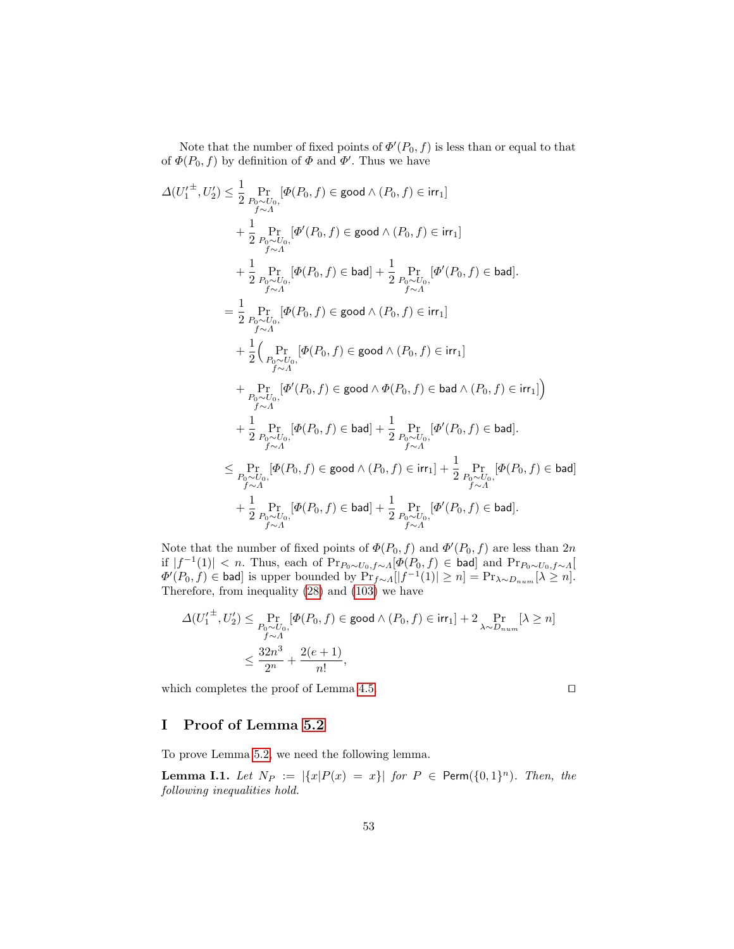Note that the number of fixed points of  $\Phi'(P_0, f)$  is less than or equal to that of  $\Phi(P_0, f)$  by definition of  $\Phi$  and  $\Phi'$ . Thus we have

$$
\begin{aligned} \varDelta(U_1^{\prime\pm},U_2^{\prime}) &\leq \frac{1}{2}\Pr_{P_0\sim U_0,}[\Phi(P_0,f)\in\mathsf{good}\wedge (P_0,f)\in\mathsf{irr}_1]\\ &+\frac{1}{2}\Pr_{P_0\sim U_0,}[\Phi'(P_0,f)\in\mathsf{good}\wedge (P_0,f)\in\mathsf{irr}_1]\\ &+\frac{1}{2}\Pr_{P_0\sim U_0,}[\Phi(P_0,f)\in\mathsf{bad}]+\frac{1}{2}\Pr_{P_0\sim U_0,}[\Phi'(P_0,f)\in\mathsf{bad}].\\ &\hspace{100pt}f\sim A\\ &=\frac{1}{2}\Pr_{P_0\sim U_0,}[\Phi(P_0,f)\in\mathsf{good}\wedge (P_0,f)\in\mathsf{irr}_1]\\ &+\frac{1}{2}\Big(\Pr_{P_0\sim U_0,}[\Phi(P_0,f)\in\mathsf{good}\wedge (P_0,f)\in\mathsf{irr}_1]\\ &\hspace{100pt}f\sim A\\ &+\frac{1}{2}\Big(\Pr_{P_0\sim U_0,}[\Phi'(P_0,f)\in\mathsf{good}\wedge\Phi(P_0,f)\in\mathsf{bad}\wedge (P_0,f)\in\mathsf{irr}_1]\Big)\\ &\hspace{100pt}f\sim A\\ &+\frac{1}{2}\Pr_{P_0\sim U_0,}[\Phi(P_0,f)\in\mathsf{bad}]+\frac{1}{2}\Pr_{P_0\sim U_0,}[\Phi'(P_0,f)\in\mathsf{bad}].\\ &\hspace{100pt}f\sim A\\ &\hspace{100pt}\leq\Pr_{P_0\sim U_0,}[\Phi(P_0,f)\in\mathsf{good}\wedge (P_0,f)\in\mathsf{irr}_1]+\frac{1}{2}\Pr_{P_0\sim U_0,}[\Phi(P_0,f)\in\mathsf{bad}]\\ &\hspace{100pt}f\sim A\\ &+\frac{1}{2}\Pr_{P_0\sim U_0,}[\Phi(P_0,f)\in\mathsf{bad}]+\frac{1}{2}\Pr_{P_0\sim U_0,}[\Phi'(P_0,f)\in\mathsf{bad}]. \end{aligned}
$$

Note that the number of fixed points of  $\Phi(P_0, f)$  and  $\Phi'(P_0, f)$  are less than  $2n$ if  $|f^{-1}(1)| < n$ . Thus, each of Pr<sub>P0</sub>∼U<sub>0</sub>,f∼Λ[ $\Phi(P_0, f) \in$  bad] and Pr<sub>P0</sub>∼U<sub>0</sub>,f∼Λ[  $\Phi'(P_0, f) \in \text{bad}$  is upper bounded by  $\Pr_{f \sim A} [|f^{-1}(1)| \ge n] = \Pr_{\lambda \sim D_{num}}[\lambda \ge n].$ Therefore, from inequality [\(28\)](#page-23-1) and [\(103\)](#page-50-1) we have

$$
\begin{aligned} \varDelta (U_1'^{\pm},U_2') &\leq \Pr_{\substack{P_0 \sim U_0, \\ f \sim A}}\left[\varPhi (P_0,f) \in \mathsf{good} \wedge (P_0,f) \in \mathsf{irr}_1\right] + 2 \Pr_{\lambda \sim D_{num}}[\lambda \geq n] \\ &\leq \frac{32n^3}{2^n} + \frac{2(e+1)}{n!}, \end{aligned}
$$

which completes the proof of Lemma [4.5.](#page-19-2)  $\Box$ 

<span id="page-52-1"></span>

# <span id="page-52-0"></span>I Proof of Lemma [5.2](#page-25-0)

To prove Lemma [5.2,](#page-25-0) we need the following lemma.

**Lemma I.1.** Let  $N_P := |\{x|P(x) = x\}|$  for  $P \in \text{Perm}(\{0,1\}^n)$ . Then, the following inequalities hold.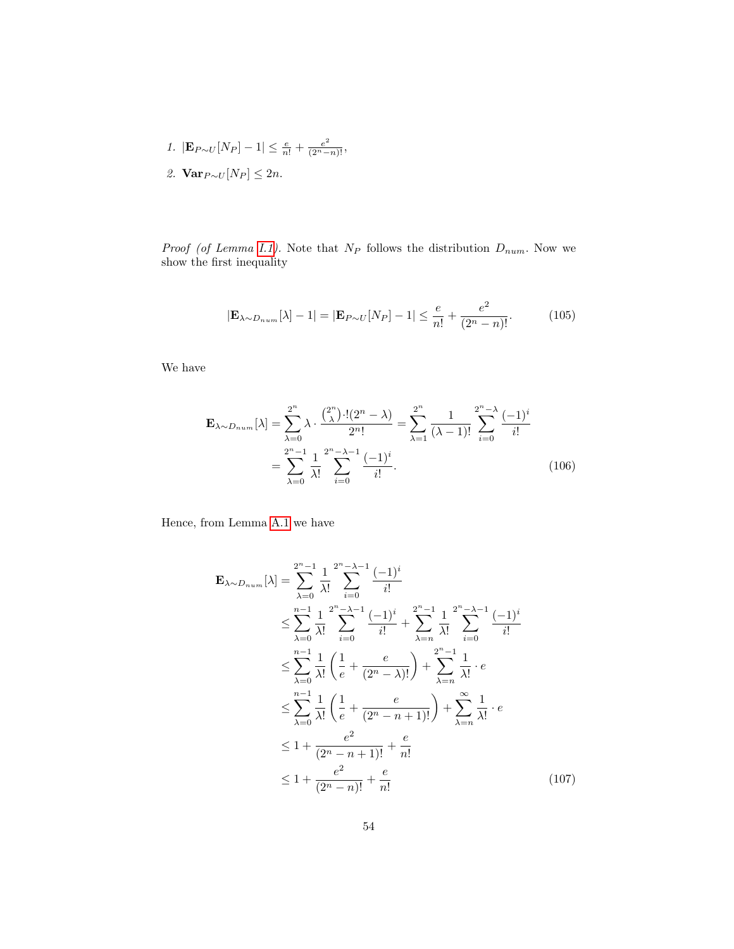- 1.  $|\mathbf{E}_{P\sim U}[N_P]-1| \leq \frac{e}{n!} + \frac{e^2}{(2^n-n)!}$
- 2.  $Var_{P\sim U}[N_P] \leq 2n$ .

*Proof (of Lemma [I.1\)](#page-52-1).* Note that  $N_P$  follows the distribution  $D_{num}$ . Now we show the first inequality

<span id="page-53-1"></span>
$$
|\mathbf{E}_{\lambda \sim D_{num}}[\lambda] - 1| = |\mathbf{E}_{P \sim U}[N_P] - 1| \le \frac{e}{n!} + \frac{e^2}{(2^n - n)!}.
$$
 (105)

We have

$$
\mathbf{E}_{\lambda \sim D_{num}}[\lambda] = \sum_{\lambda=0}^{2^n} \lambda \cdot \frac{\binom{2^n}{\lambda} \cdot \frac{(2^n - \lambda)}{2^n!}}{2^n!} = \sum_{\lambda=1}^{2^n} \frac{1}{(\lambda - 1)!} \sum_{i=0}^{2^n - \lambda} \frac{(-1)^i}{i!}
$$

$$
= \sum_{\lambda=0}^{2^n - 1} \frac{1}{\lambda!} \sum_{i=0}^{2^n - \lambda - 1} \frac{(-1)^i}{i!}.
$$
(106)

Hence, from Lemma [A.1](#page-30-1) we have

<span id="page-53-0"></span>
$$
\mathbf{E}_{\lambda \sim D_{num}}[\lambda] = \sum_{\lambda=0}^{2^{n}-1} \frac{1}{\lambda!} \sum_{i=0}^{2^{n}-\lambda-1} \frac{(-1)^{i}}{i!} \n\leq \sum_{\lambda=0}^{n-1} \frac{1}{\lambda!} \sum_{i=0}^{2^{n}-\lambda-1} \frac{(-1)^{i}}{i!} + \sum_{\lambda=n}^{2^{n}-1} \frac{1}{\lambda!} \sum_{i=0}^{2^{n}-\lambda-1} \frac{(-1)^{i}}{i!} \n\leq \sum_{\lambda=0}^{n-1} \frac{1}{\lambda!} \left( \frac{1}{e} + \frac{e}{(2^{n}-\lambda)!} \right) + \sum_{\lambda=n}^{2^{n}-1} \frac{1}{\lambda!} \cdot e \n\leq \sum_{\lambda=0}^{n-1} \frac{1}{\lambda!} \left( \frac{1}{e} + \frac{e}{(2^{n}-n+1)!} \right) + \sum_{\lambda=n}^{\infty} \frac{1}{\lambda!} \cdot e \n\leq 1 + \frac{e^{2}}{(2^{n}-n+1)!} + \frac{e}{n!} \n\leq 1 + \frac{e^{2}}{(2^{n}-n)!} + \frac{e}{n!}
$$
\n(107)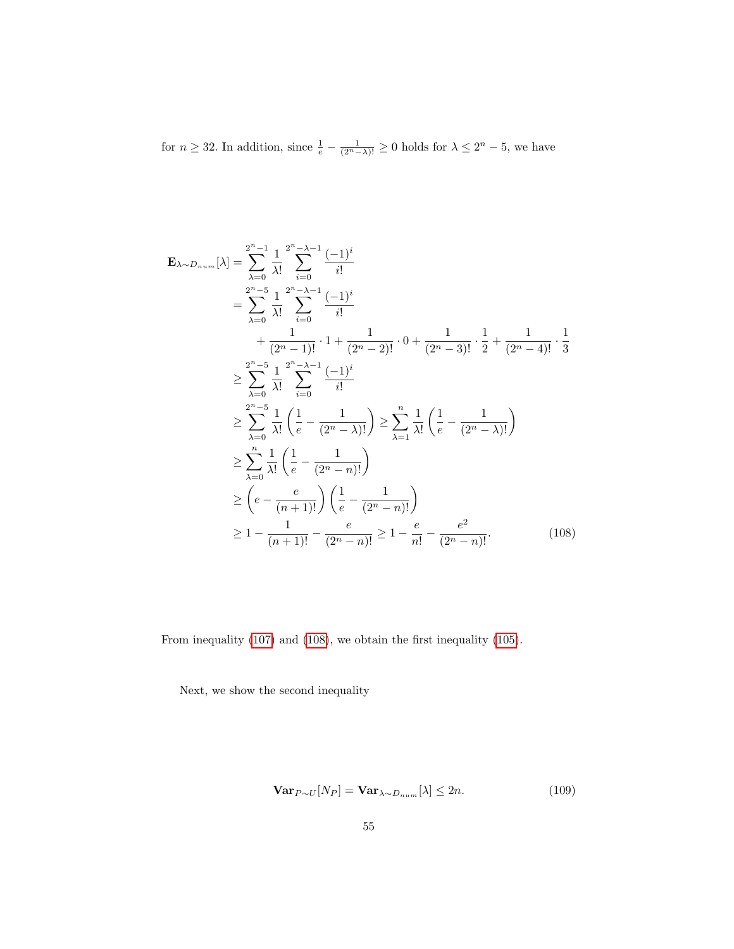for  $n \geq 32$ . In addition, since  $\frac{1}{e} - \frac{1}{(2^n - \lambda)!} \geq 0$  holds for  $\lambda \leq 2^n - 5$ , we have

$$
\mathbf{E}_{\lambda \sim D_{num}}[\lambda] = \sum_{\lambda=0}^{2^{n}-1} \frac{1}{\lambda!} \sum_{i=0}^{2^{n}-\lambda-1} \frac{(-1)^{i}}{i!} \n= \sum_{\lambda=0}^{2^{n}-5} \frac{1}{\lambda!} \sum_{i=0}^{2^{n}-\lambda-1} \frac{(-1)^{i}}{i!} \n+ \frac{1}{(2^{n}-1)!} \cdot 1 + \frac{1}{(2^{n}-2)!} \cdot 0 + \frac{1}{(2^{n}-3)!} \cdot \frac{1}{2} + \frac{1}{(2^{n}-4)!} \cdot \frac{1}{3} \n\geq \sum_{\lambda=0}^{2^{n}-5} \frac{1}{\lambda!} \sum_{i=0}^{2^{n}-\lambda-1} \frac{(-1)^{i}}{i!} \n\geq \sum_{\lambda=0}^{2^{n}-5} \frac{1}{\lambda!} \left( \frac{1}{e} - \frac{1}{(2^{n}-\lambda)!} \right) \geq \sum_{\lambda=1}^{n} \frac{1}{\lambda!} \left( \frac{1}{e} - \frac{1}{(2^{n}-\lambda)!} \right) \n\geq \sum_{\lambda=0}^{n} \frac{1}{\lambda!} \left( \frac{1}{e} - \frac{1}{(2^{n}-n)!} \right) \n\geq \left( e - \frac{e}{(n+1)!} \right) \left( \frac{1}{e} - \frac{1}{(2^{n}-n)!} \right) \n\geq 1 - \frac{1}{(n+1)!} - \frac{e}{(2^{n}-n)!} \geq 1 - \frac{e}{n!} - \frac{e^{2}}{(2^{n}-n)!}
$$
\n(108)

From inequality [\(107\)](#page-53-0) and [\(108\)](#page-54-0), we obtain the first inequality [\(105\)](#page-53-1).

Next, we show the second inequality

<span id="page-54-1"></span><span id="page-54-0"></span>
$$
\mathbf{Var}_{P \sim U}[N_P] = \mathbf{Var}_{\lambda \sim D_{num}}[\lambda] \le 2n. \tag{109}
$$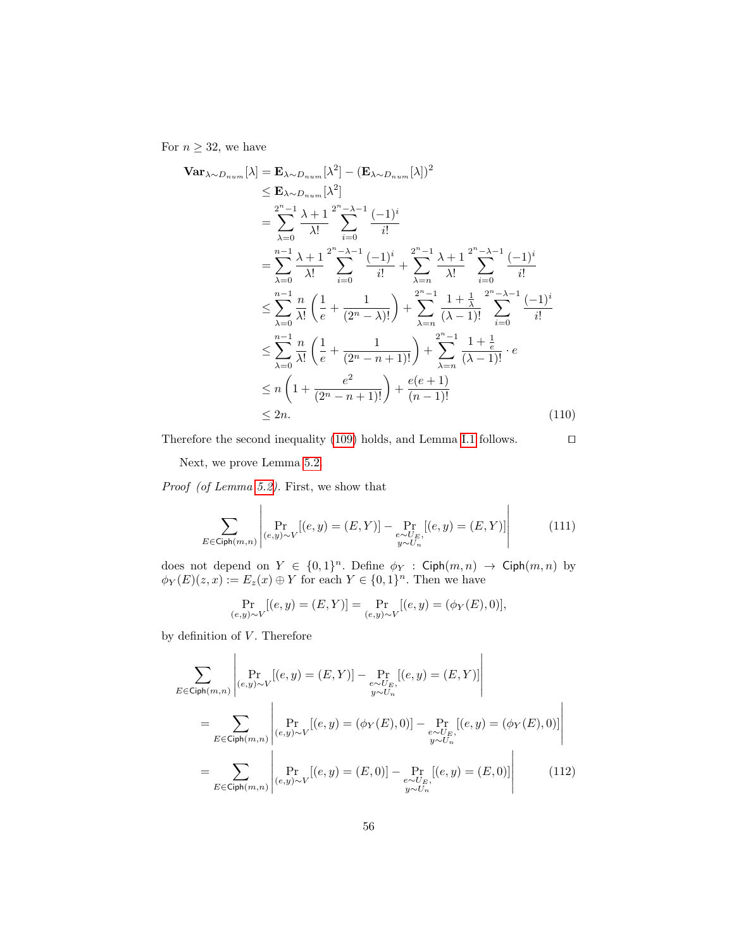For  $n \geq 32$ , we have

$$
\begin{split}\n\textbf{Var}_{\lambda \sim D_{num}}[\lambda] &= \mathbf{E}_{\lambda \sim D_{num}}[\lambda^2] - (\mathbf{E}_{\lambda \sim D_{num}}[\lambda])^2 \\
&\leq \mathbf{E}_{\lambda \sim D_{num}}[\lambda^2] \\
&= \sum_{\lambda=0}^{2^n - 1} \frac{\lambda + 1}{\lambda!} \sum_{i=0}^{2^n - \lambda - 1} \frac{(-1)^i}{i!} \\
&= \sum_{\lambda=0}^{n-1} \frac{\lambda + 1}{\lambda!} \sum_{i=0}^{2^n - \lambda - 1} \frac{(-1)^i}{i!} + \sum_{\lambda=n}^{2^n - 1} \frac{\lambda + 1}{\lambda!} \sum_{i=0}^{2^n - \lambda - 1} \frac{(-1)^i}{i!} \\
&\leq \sum_{\lambda=0}^{n-1} \frac{n}{\lambda!} \left( \frac{1}{e} + \frac{1}{(2^n - \lambda)!} \right) + \sum_{\lambda=n}^{2^n - 1} \frac{1 + \frac{1}{\lambda}}{(\lambda - 1)!} \sum_{i=0}^{2^n - \lambda - 1} \frac{(-1)^i}{i!} \\
&\leq \sum_{\lambda=0}^{n-1} \frac{n}{\lambda!} \left( \frac{1}{e} + \frac{1}{(2^n - n + 1)!} \right) + \sum_{\lambda=n}^{2^n - 1} \frac{1 + \frac{1}{e}}{(\lambda - 1)!} \cdot e \\
&\leq n \left( 1 + \frac{e^2}{(2^n - n + 1)!} \right) + \frac{e(e + 1)}{(n - 1)!} \\
&\leq 2n. \tag{110}\n\end{split}
$$

Therefore the second inequality [\(109\)](#page-54-1) holds, and Lemma [I.1](#page-52-1) follows.  $\hfill \Box$ 

Next, we prove Lemma [5.2.](#page-25-0)

Proof (of Lemma [5.2\)](#page-25-0). First, we show that

<span id="page-55-0"></span>
$$
\sum_{E \in \text{Ciph}(m,n)} \left| \Pr_{(e,y) \sim V} [(e,y) = (E,Y)] - \Pr_{\substack{e \sim U_E, \\ y \sim U_n}} [(e,y) = (E,Y)] \right| \tag{111}
$$

does not depend on  $Y \in \{0,1\}^n$ . Define  $\phi_Y : \mathsf{Ciph}(m,n) \to \mathsf{Ciph}(m,n)$  by  $\phi_Y(E)(z, x) := E_z(x) \oplus Y$  for each  $Y \in \{0, 1\}^n$ . Then we have

$$
\Pr_{(e,y)\sim V}[(e,y)=(E,Y)]=\Pr_{(e,y)\sim V}[(e,y)=(\phi_Y(E),0)],
$$

by definition of  $V$ . Therefore

$$
\sum_{E \in \text{Ciph}(m,n)} \left| \Pr_{(e,y) \sim V}[(e,y) = (E,Y)] - \Pr_{\substack{e \sim U_E, \\ y \sim U_n}}[(e,y) = (E,Y)] \right|
$$
\n
$$
= \sum_{E \in \text{Ciph}(m,n)} \left| \Pr_{(e,y) \sim V}[(e,y) = (\phi_Y(E), 0)] - \Pr_{\substack{e \sim U_E, \\ y \sim U_n}}[(e,y) = (\phi_Y(E), 0)] \right|
$$
\n
$$
= \sum_{E \in \text{Ciph}(m,n)} \left| \Pr_{(e,y) \sim V}[(e,y) = (E, 0)] - \Pr_{\substack{e \sim U_E, \\ y \sim U_n}}[(e,y) = (E, 0)] \right| \tag{112}
$$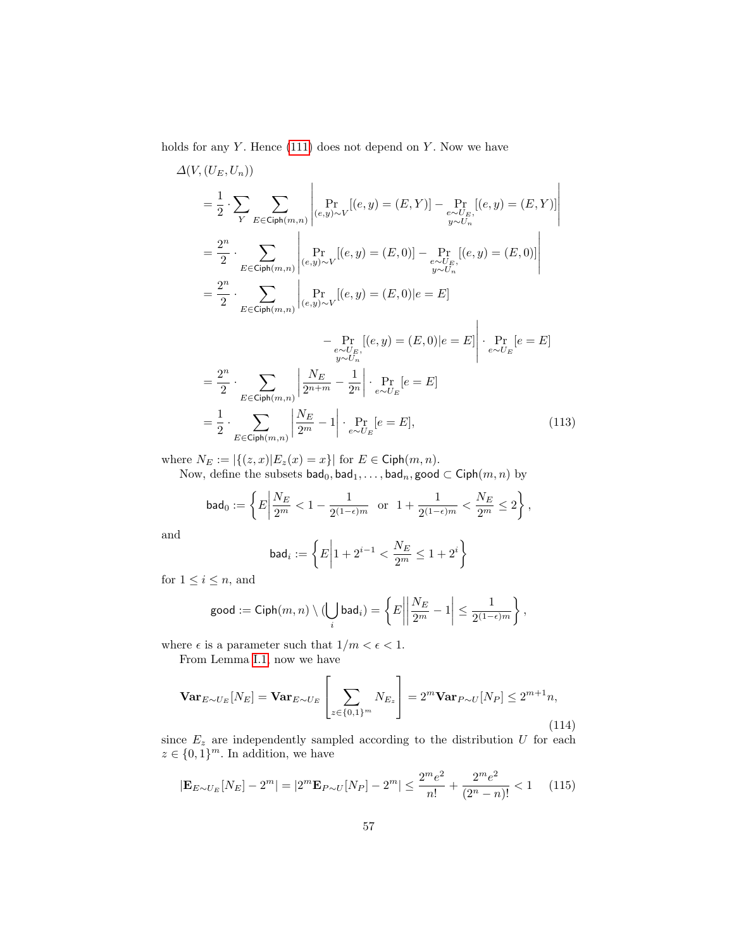holds for any  $Y$ . Hence [\(111\)](#page-55-0) does not depend on  $Y$ . Now we have

$$
\Delta(V, (U_E, U_n))
$$
\n
$$
= \frac{1}{2} \cdot \sum_{Y} \sum_{E \in \text{Ciph}(m,n)} \left| \Pr_{(e,y) \sim V}[(e,y) = (E,Y)] - \Pr_{e \sim U_E}[(e,y) = (E,Y)] \right|
$$
\n
$$
= \frac{2^n}{2} \cdot \sum_{E \in \text{Ciph}(m,n)} \left| \Pr_{(e,y) \sim V}[(e,y) = (E,0)] - \Pr_{e \sim U_E, [(e,y) = (E,0)] \right|
$$
\n
$$
= \frac{2^n}{2} \cdot \sum_{E \in \text{Ciph}(m,n)} \left| \Pr_{(e,y) \sim V}[(e,y) = (E,0)]e = E \right|
$$
\n
$$
- \Pr_{e \sim U_E, [(e,y) = (E,0)]e = E} \right| \cdot \Pr_{e \sim U_E} [e = E]
$$
\n
$$
= \frac{2^n}{2} \cdot \sum_{E \in \text{Ciph}(m,n)} \left| \frac{N_E}{2^{n+m}} - \frac{1}{2^n} \right| \cdot \Pr_{e \sim U_E} [e = E]
$$
\n
$$
= \frac{1}{2} \cdot \sum_{E \in \text{Ciph}(m,n)} \left| \frac{N_E}{2^m} - 1 \right| \cdot \Pr_{e \sim U_E} [e = E], \tag{113}
$$

where  $N_E := |\{(z, x)|E_z(x) = x\}|$  for  $E \in \text{Ciph}(m, n)$ .

Now, define the subsets  $\mathsf{bad}_0, \mathsf{bad}_1, \ldots, \mathsf{bad}_n, \mathsf{good} \subset \mathsf{Ciph}(m,n)$  by

$$
\mathsf{bad}_0 := \left\{ E \bigg| \frac{N_E}{2^m} < 1 - \frac{1}{2^{(1-\epsilon)m}} \text{ or } 1 + \frac{1}{2^{(1-\epsilon)m}} < \frac{N_E}{2^m} \le 2 \right\},\
$$

and

<span id="page-56-1"></span>
$$
\mathsf{bad}_i := \left\{E \middle| 1+2^{i-1} < \frac{N_E}{2^m} \leq 1+2^i \right\}
$$

for  $1 \leq i \leq n$ , and

$$
\mathsf{good} := \mathsf{Ciph}(m,n) \setminus (\bigcup_i \mathsf{bad}_i) = \left\{ E \middle| \left| \frac{N_E}{2^m} - 1 \right| \leq \frac{1}{2^{(1-\epsilon)m}} \right\},
$$

where  $\epsilon$  is a parameter such that  $1/m < \epsilon < 1$ .

From Lemma [I.1,](#page-52-1) now we have

<span id="page-56-0"></span>
$$
\mathbf{Var}_{E \sim U_E}[N_E] = \mathbf{Var}_{E \sim U_E} \left[ \sum_{z \in \{0,1\}^m} N_{E_z} \right] = 2^m \mathbf{Var}_{P \sim U}[N_P] \le 2^{m+1} n,
$$
\n(114)

since  $E_z$  are independently sampled according to the distribution U for each  $z \in \{0,1\}^m$ . In addition, we have

$$
|\mathbf{E}_{E \sim U_E}[N_E] - 2^m| = |2^m \mathbf{E}_{P \sim U}[N_P] - 2^m| \le \frac{2^m e^2}{n!} + \frac{2^m e^2}{(2^n - n)!} < 1 \quad (115)
$$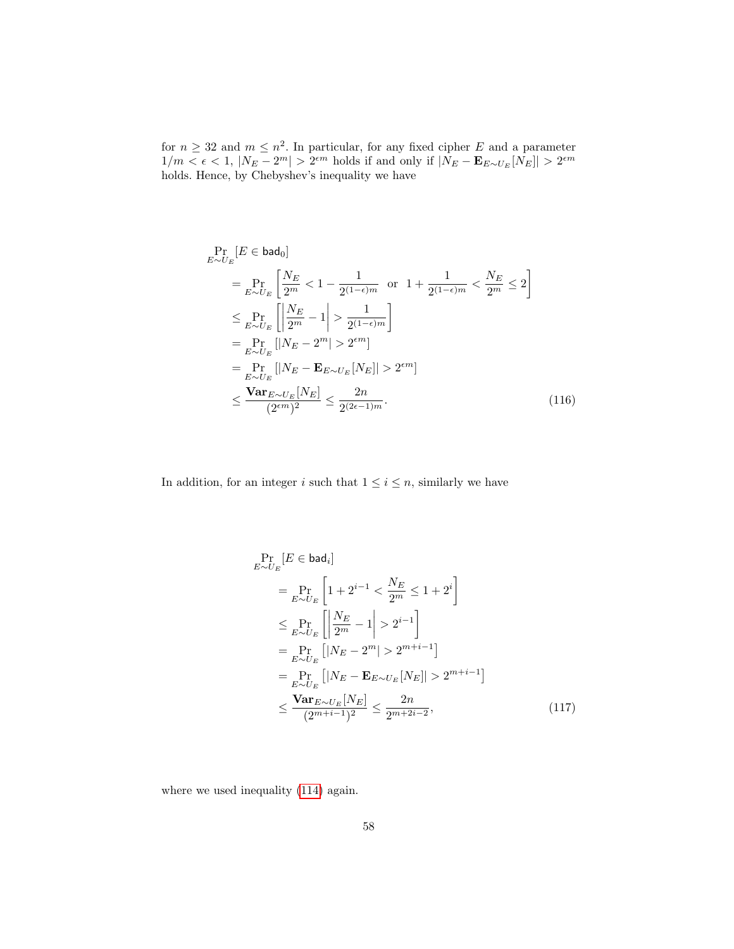for  $n \geq 32$  and  $m \leq n^2$ . In particular, for any fixed cipher E and a parameter  $1/m < \epsilon < 1, |N_E - 2^m| > 2^{\epsilon m}$  holds if and only if  $|N_E - \mathbf{E}_{E \sim U_E}[N_E]| > 2^{\epsilon m}$ holds. Hence, by Chebyshev's inequality we have

$$
\Pr_{E \sim U_E} [E \in \text{bad}_0]
$$
\n
$$
= \Pr_{E \sim U_E} \left[ \frac{N_E}{2^m} < 1 - \frac{1}{2^{(1-\epsilon)m}} \text{ or } 1 + \frac{1}{2^{(1-\epsilon)m}} < \frac{N_E}{2^m} \le 2 \right]
$$
\n
$$
\le \Pr_{E \sim U_E} \left[ \left| \frac{N_E}{2^m} - 1 \right| > \frac{1}{2^{(1-\epsilon)m}} \right]
$$
\n
$$
= \Pr_{E \sim U_E} \left[ |N_E - 2^m| > 2^{\epsilon m} \right]
$$
\n
$$
= \Pr_{E \sim U_E} \left[ |N_E - \mathbf{E}_{E \sim U_E} [N_E]| > 2^{\epsilon m} \right]
$$
\n
$$
\le \frac{\text{Var}_{E \sim U_E} [N_E]}{(2^{\epsilon m})^2} \le \frac{2n}{2^{(2\epsilon - 1)m}}. \tag{116}
$$

In addition, for an integer  $i$  such that  $1\leq i\leq n,$  similarly we have

<span id="page-57-1"></span><span id="page-57-0"></span>
$$
\Pr_{E \sim U_E} [E \in \text{bad}_i] \n= \Pr_{E \sim U_E} \left[ 1 + 2^{i-1} < \frac{N_E}{2^m} \le 1 + 2^i \right] \n\le \Pr_{E \sim U_E} \left[ \left| \frac{N_E}{2^m} - 1 \right| > 2^{i-1} \right] \n= \Pr_{E \sim U_E} \left[ |N_E - 2^m| > 2^{m+i-1} \right] \n= \Pr_{E \sim U_E} \left[ |N_E - \mathbf{E}_{E \sim U_E} [N_E]| > 2^{m+i-1} \right] \n\le \frac{\text{Var}_{E \sim U_E} [N_E]}{(2^{m+i-1})^2} \le \frac{2n}{2^{m+2i-2}}, \tag{117}
$$

where we used inequality  $(114)$  again.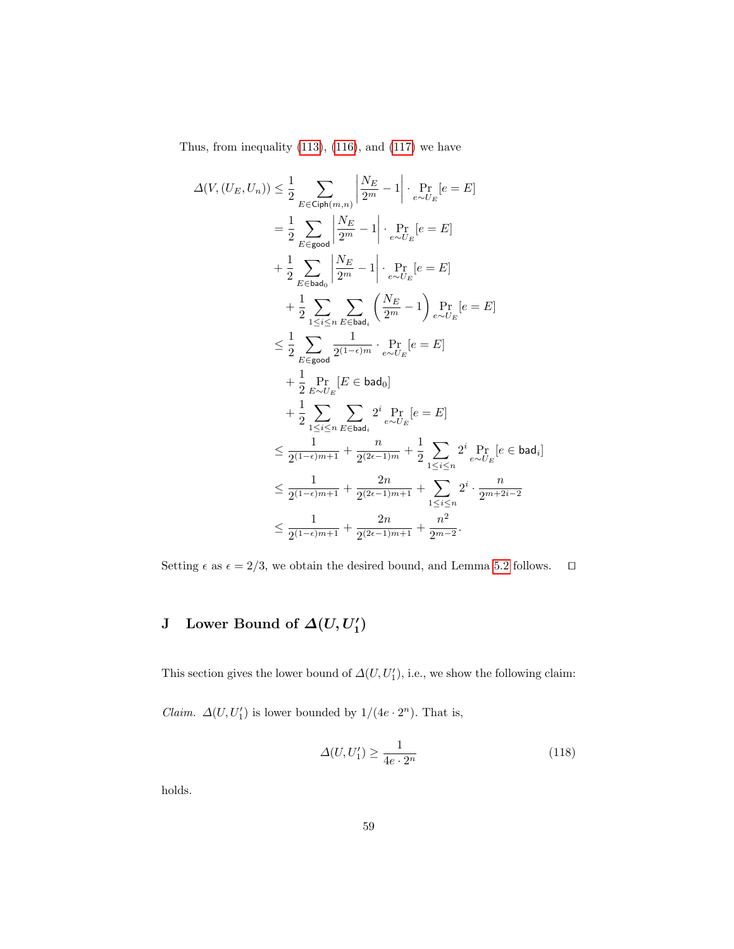Thus, from inequality  $(113)$ ,  $(116)$ , and  $(117)$  we have

$$
\Delta(V, (U_E, U_n)) \leq \frac{1}{2} \sum_{E \in \text{Ciph}(m, n)} \left| \frac{N_E}{2^m} - 1 \right| \cdot \Pr_{e \sim U_E} [e = E] \n= \frac{1}{2} \sum_{E \in \text{good}} \left| \frac{N_E}{2^m} - 1 \right| \cdot \Pr_{e \sim U_E} [e = E] \n+ \frac{1}{2} \sum_{E \in \text{bad}_0} \left| \frac{N_E}{2^m} - 1 \right| \cdot \Pr_{e \sim U_E} [e = E] \n+ \frac{1}{2} \sum_{1 \leq i \leq n} \sum_{E \in \text{bad}_i} \left( \frac{N_E}{2^m} - 1 \right) \Pr_{e \sim U_E} [e = E] \n\leq \frac{1}{2} \sum_{E \in \text{good}} \frac{1}{2^{(1-\epsilon)m}} \cdot \Pr_{e \sim U_E} [e = E] \n+ \frac{1}{2} \sum_{1 \leq i \leq n} \sum_{E \in \text{bad}_i} 2^i \Pr_{e \sim U_E} [e = E] \n\leq \frac{1}{2^{(1-\epsilon)m+1}} + \frac{n}{2^{(2\epsilon-1)m}} + \frac{1}{2} \sum_{1 \leq i \leq n} 2^i \Pr_{e \sim U_E} [e \in \text{bad}_i] \n\leq \frac{1}{2^{(1-\epsilon)m+1}} + \frac{2n}{2^{(2\epsilon-1)m+1}} + \sum_{1 \leq i \leq n} 2^i \cdot \frac{n}{2^{m+2i-2}} \n\leq \frac{1}{2^{(1-\epsilon)m+1}} + \frac{2n}{2^{(2\epsilon-1)m+1}} + \frac{n^2}{2^{m-2}}.
$$

Setting  $\epsilon$  as  $\epsilon = 2/3$ , we obtain the desired bound, and Lemma [5.2](#page-25-0) follows.  $\Box$ 

# <span id="page-58-0"></span>J Lower Bound of  $\Delta(U, U_1')$

This section gives the lower bound of  $\Delta(U, U'_1)$ , i.e., we show the following claim:

*Claim.*  $\Delta(U, U'_1)$  is lower bounded by  $1/(4e \cdot 2^n)$ . That is,

$$
\Delta(U, U_1') \ge \frac{1}{4e \cdot 2^n} \tag{118}
$$

holds.